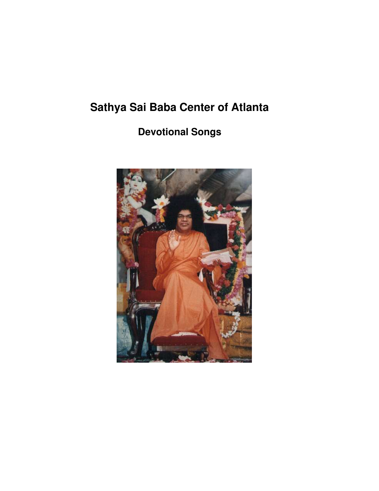# **Sathya Sai Baba Center of Atlanta**

# **Devotional Songs**

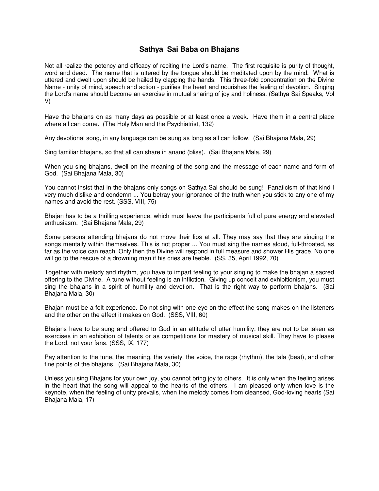### **Sathya Sai Baba on Bhajans**

Not all realize the potency and efficacy of reciting the Lord's name. The first requisite is purity of thought, word and deed. The name that is uttered by the tongue should be meditated upon by the mind. What is uttered and dwelt upon should be hailed by clapping the hands. This three-fold concentration on the Divine Name - unity of mind, speech and action - purifies the heart and nourishes the feeling of devotion. Singing the Lord's name should become an exercise in mutual sharing of joy and holiness. (Sathya Sai Speaks, Vol V)

Have the bhajans on as many days as possible or at least once a week. Have them in a central place where all can come. (The Holy Man and the Psychiatrist, 132)

Any devotional song, in any language can be sung as long as all can follow. (Sai Bhajana Mala, 29)

Sing familiar bhajans, so that all can share in anand (bliss). (Sai Bhajana Mala, 29)

When you sing bhajans, dwell on the meaning of the song and the message of each name and form of God. (Sai Bhajana Mala, 30)

You cannot insist that in the bhajans only songs on Sathya Sai should be sung! Fanaticism of that kind I very much dislike and condemn ... You betray your ignorance of the truth when you stick to any one of my names and avoid the rest. (SSS, VIII, 75)

Bhajan has to be a thrilling experience, which must leave the participants full of pure energy and elevated enthusiasm. (Sai Bhajana Mala, 29)

Some persons attending bhajans do not move their lips at all. They may say that they are singing the songs mentally within themselves. This is not proper ... You must sing the names aloud, full-throated, as far as the voice can reach. Only then the Divine will respond in full measure and shower His grace. No one will go to the rescue of a drowning man if his cries are feeble. (SS, 35, April 1992, 70)

Together with melody and rhythm, you have to impart feeling to your singing to make the bhajan a sacred offering to the Divine. A tune without feeling is an infliction. Giving up conceit and exhibitionism, you must sing the bhajans in a spirit of humility and devotion. That is the right way to perform bhajans. (Sai Bhajana Mala, 30)

Bhajan must be a felt experience. Do not sing with one eye on the effect the song makes on the listeners and the other on the effect it makes on God. (SSS, VIII, 60)

Bhajans have to be sung and offered to God in an attitude of utter humility; they are not to be taken as exercises in an exhibition of talents or as competitions for mastery of musical skill. They have to please the Lord, not your fans. (SSS, IX, 177)

Pay attention to the tune, the meaning, the variety, the voice, the raga (rhythm), the tala (beat), and other fine points of the bhajans. (Sai Bhajana Mala, 30)

Unless you sing Bhajans for your own joy, you cannot bring joy to others. It is only when the feeling arises in the heart that the song will appeal to the hearts of the others. I am pleased only when love is the keynote, when the feeling of unity prevails, when the melody comes from cleansed, God-loving hearts (Sai Bhajana Mala, 17)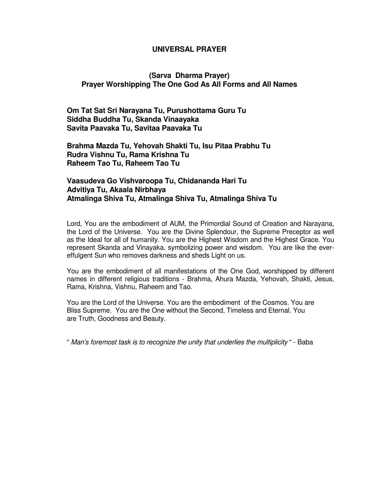### **UNIVERSAL PRAYER**

# **(Sarva Dharma Prayer) Prayer Worshipping The One God As All Forms and All Names**

 **Om Tat Sat Sri Narayana Tu, Purushottama Guru Tu Siddha Buddha Tu, Skanda Vinaayaka Savita Paavaka Tu, Savitaa Paavaka Tu** 

 **Brahma Mazda Tu, Yehovah Shakti Tu, Isu Pitaa Prabhu Tu Rudra Vishnu Tu, Rama Krishna Tu Raheem Tao Tu, Raheem Tao Tu** 

### **Vaasudeva Go Vishvaroopa Tu, Chidananda Hari Tu Advitiya Tu, Akaala Nirbhaya Atmalinga Shiva Tu, Atmalinga Shiva Tu, Atmalinga Shiva Tu**

Lord, You are the embodiment of AUM, the Primordial Sound of Creation and Narayana, the Lord of the Universe. You are the Divine Splendour, the Supreme Preceptor as well as the Ideal for all of humanity. You are the Highest Wisdom and the Highest Grace. You represent Skanda and Vinayaka, symbolizing power and wisdom. You are like the evereffulgent Sun who removes darkness and sheds Light on us.

 You are the embodiment of all manifestations of the One God, worshipped by different names in different religious traditions - Brahma, Ahura Mazda, Yehovah, Shakti, Jesus, Rama, Krishna, Vishnu, Raheem and Tao.

 You are the Lord of the Universe. You are the embodiment of the Cosmos. You are Bliss Supreme. You are the One without the Second, Timeless and Eternal. You are Truth, Goodness and Beauty.

" Man's foremost task is to recognize the unity that underlies the multiplicity " - Baba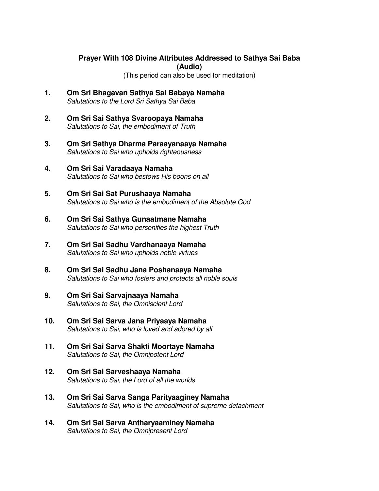# **Prayer With 108 Divine Attributes Addressed to Sathya Sai Baba (Audio)**

(This period can also be used for meditation)

- **1. Om Sri Bhagavan Sathya Sai Babaya Namaha**  Salutations to the Lord Sri Sathya Sai Baba
- **2. Om Sri Sai Sathya Svaroopaya Namaha**  Salutations to Sai, the embodiment of Truth
- **3. Om Sri Sathya Dharma Paraayanaaya Namaha**  Salutations to Sai who upholds righteousness
- **4. Om Sri Sai Varadaaya Namaha** Salutations to Sai who bestows His boons on all
- **5. Om Sri Sai Sat Purushaaya Namaha**  Salutations to Sai who is the embodiment of the Absolute God
- **6. Om Sri Sai Sathya Gunaatmane Namaha**  Salutations to Sai who personifies the highest Truth
- **7. Om Sri Sai Sadhu Vardhanaaya Namaha**  Salutations to Sai who upholds noble virtues
- **8. Om Sri Sai Sadhu Jana Poshanaaya Namaha**  Salutations to Sai who fosters and protects all noble souls
- **9. Om Sri Sai Sarvajnaaya Namaha**  Salutations to Sai, the Omniscient Lord
- **10. Om Sri Sai Sarva Jana Priyaaya Namaha**  Salutations to Sai, who is loved and adored by all
- **11. Om Sri Sai Sarva Shakti Moortaye Namaha**  Salutations to Sai, the Omnipotent Lord
- **12. Om Sri Sai Sarveshaaya Namaha**  Salutations to Sai, the Lord of all the worlds
- **13. Om Sri Sai Sarva Sanga Parityaaginey Namaha**  Salutations to Sai, who is the embodiment of supreme detachment
- **14. Om Sri Sai Sarva Antharyaaminey Namaha**  Salutations to Sai, the Omnipresent Lord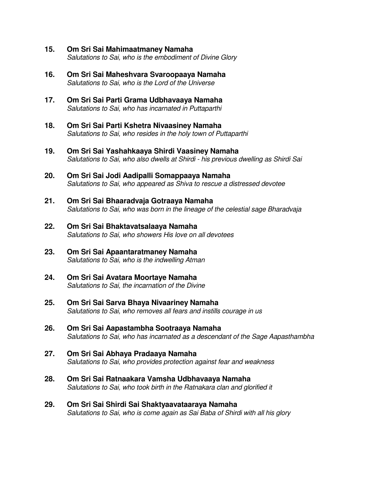- **15. Om Sri Sai Mahimaatmaney Namaha**  Salutations to Sai, who is the embodiment of Divine Glory
- **16. Om Sri Sai Maheshvara Svaroopaaya Namaha**  Salutations to Sai, who is the Lord of the Universe
- **17. Om Sri Sai Parti Grama Udbhavaaya Namaha**  Salutations to Sai, who has incarnated in Puttaparthi
- **18. Om Sri Sai Parti Kshetra Nivaasiney Namaha**  Salutations to Sai, who resides in the holy town of Puttaparthi
- **19. Om Sri Sai Yashahkaaya Shirdi Vaasiney Namaha**  Salutations to Sai, who also dwells at Shirdi - his previous dwelling as Shirdi Sai
- **20. Om Sri Sai Jodi Aadipalli Somappaaya Namaha**  Salutations to Sai, who appeared as Shiva to rescue a distressed devotee
- **21. Om Sri Sai Bhaaradvaja Gotraaya Namaha**  Salutations to Sai, who was born in the lineage of the celestial sage Bharadvaja
- **22. Om Sri Sai Bhaktavatsalaaya Namaha**  Salutations to Sai, who showers His love on all devotees
- **23. Om Sri Sai Apaantaratmaney Namaha**  Salutations to Sai, who is the indwelling Atman
- **24. Om Sri Sai Avatara Moortaye Namaha**  Salutations to Sai, the incarnation of the Divine
- **25. Om Sri Sai Sarva Bhaya Nivaariney Namaha**  Salutations to Sai, who removes all fears and instills courage in us
- **26. Om Sri Sai Aapastambha Sootraaya Namaha**  Salutations to Sai, who has incarnated as a descendant of the Sage Aapasthambha
- **27. Om Sri Sai Abhaya Pradaaya Namaha**  Salutations to Sai, who provides protection against fear and weakness
- **28. Om Sri Sai Ratnaakara Vamsha Udbhavaaya Namaha**  Salutations to Sai, who took birth in the Ratnakara clan and glorified it
- **29. Om Sri Sai Shirdi Sai Shaktyaavataaraya Namaha**  Salutations to Sai, who is come again as Sai Baba of Shirdi with all his glory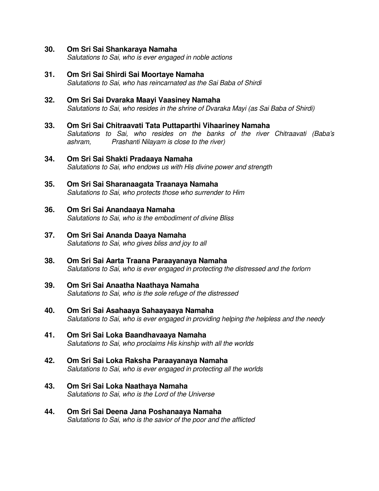### **30. Om Sri Sai Shankaraya Namaha**

Salutations to Sai, who is ever engaged in noble actions

### **31. Om Sri Sai Shirdi Sai Moortaye Namaha**

Salutations to Sai, who has reincarnated as the Sai Baba of Shirdi

#### **32. Om Sri Sai Dvaraka Maayi Vaasiney Namaha**  Salutations to Sai, who resides in the shrine of Dvaraka Mayi (as Sai Baba of Shirdi)

**33. Om Sri Sai Chitraavati Tata Puttaparthi Vihaariney Namaha**  Salutations to Sai, who resides on the banks of the river Chitraavati (Baba's ashram, Prashanti Nilayam is close to the river)

# **34. Om Sri Sai Shakti Pradaaya Namaha**

Salutations to Sai, who endows us with His divine power and strength

#### **35. Om Sri Sai Sharanaagata Traanaya Namaha**  Salutations to Sai, who protects those who surrender to Him

**36. Om Sri Sai Anandaaya Namaha**  Salutations to Sai, who is the embodiment of divine Bliss

### **37. Om Sri Sai Ananda Daaya Namaha**  Salutations to Sai, who gives bliss and joy to all

- **38. Om Sri Sai Aarta Traana Paraayanaya Namaha**  Salutations to Sai, who is ever engaged in protecting the distressed and the forlorn
- **39. Om Sri Sai Anaatha Naathaya Namaha**  Salutations to Sai, who is the sole refuge of the distressed
- **40. Om Sri Sai Asahaaya Sahaayaaya Namaha**  Salutations to Sai, who is ever engaged in providing helping the helpless and the needy
- **41. Om Sri Sai Loka Baandhavaaya Namaha**  Salutations to Sai, who proclaims His kinship with all the worlds

### **42. Om Sri Sai Loka Raksha Paraayanaya Namaha**  Salutations to Sai, who is ever engaged in protecting all the worlds

- **43. Om Sri Sai Loka Naathaya Namaha**  Salutations to Sai, who is the Lord of the Universe
- **44. Om Sri Sai Deena Jana Poshanaaya Namaha**  Salutations to Sai, who is the savior of the poor and the afflicted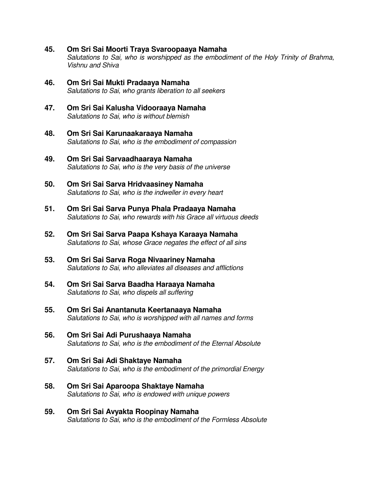**45. Om Sri Sai Moorti Traya Svaroopaaya Namaha** 

Salutations to Sai, who is worshipped as the embodiment of the Holy Trinity of Brahma, Vishnu and Shiva

- **46. Om Sri Sai Mukti Pradaaya Namaha**  Salutations to Sai, who grants liberation to all seekers
- **47. Om Sri Sai Kalusha Vidooraaya Namaha**  Salutations to Sai, who is without blemish
- **48. Om Sri Sai Karunaakaraaya Namaha**  Salutations to Sai, who is the embodiment of compassion
- **49. Om Sri Sai Sarvaadhaaraya Namaha**  Salutations to Sai, who is the very basis of the universe
- **50. Om Sri Sai Sarva Hridvaasiney Namaha**  Salutations to Sai, who is the indweller in every heart
- **51. Om Sri Sai Sarva Punya Phala Pradaaya Namaha**  Salutations to Sai, who rewards with his Grace all virtuous deeds
- **52. Om Sri Sai Sarva Paapa Kshaya Karaaya Namaha**  Salutations to Sai, whose Grace negates the effect of all sins
- **53. Om Sri Sai Sarva Roga Nivaariney Namaha**  Salutations to Sai, who alleviates all diseases and afflictions
- **54. Om Sri Sai Sarva Baadha Haraaya Namaha**  Salutations to Sai, who dispels all suffering
- **55. Om Sri Sai Anantanuta Keertanaaya Namaha**  Salutations to Sai, who is worshipped with all names and forms
- **56. Om Sri Sai Adi Purushaaya Namaha**  Salutations to Sai, who is the embodiment of the Eternal Absolute
- **57. Om Sri Sai Adi Shaktaye Namaha**  Salutations to Sai, who is the embodiment of the primordial Energy
- **58. Om Sri Sai Aparoopa Shaktaye Namaha**  Salutations to Sai, who is endowed with unique powers
- **59. Om Sri Sai Avyakta Roopinay Namaha**  Salutations to Sai, who is the embodiment of the Formless Absolute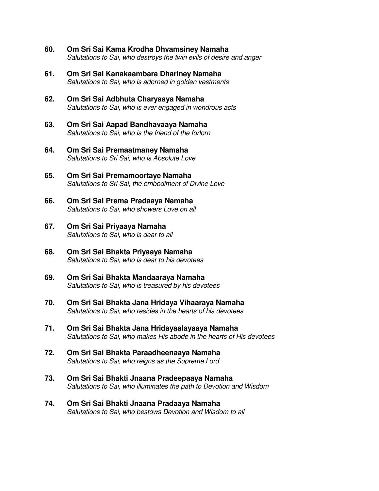- **60. Om Sri Sai Kama Krodha Dhvamsiney Namaha**  Salutations to Sai, who destroys the twin evils of desire and anger
- **61. Om Sri Sai Kanakaambara Dhariney Namaha**  Salutations to Sai, who is adorned in golden vestments
- **62. Om Sri Sai Adbhuta Charyaaya Namaha**  Salutations to Sai, who is ever engaged in wondrous acts
- **63. Om Sri Sai Aapad Bandhavaaya Namaha**  Salutations to Sai, who is the friend of the forlorn
- **64. Om Sri Sai Premaatmaney Namaha**  Salutations to Sri Sai, who is Absolute Love
- **65. Om Sri Sai Premamoortaye Namaha**  Salutations to Sri Sai, the embodiment of Divine Love
- **66. Om Sri Sai Prema Pradaaya Namaha**  Salutations to Sai, who showers Love on all
- **67. Om Sri Sai Priyaaya Namaha**  Salutations to Sai, who is dear to all
- **68. Om Sri Sai Bhakta Priyaaya Namaha**  Salutations to Sai, who is dear to his devotees
- **69. Om Sri Sai Bhakta Mandaaraya Namaha**  Salutations to Sai, who is treasured by his devotees
- **70. Om Sri Sai Bhakta Jana Hridaya Vihaaraya Namaha** Salutations to Sai, who resides in the hearts of his devotees
- **71. Om Sri Sai Bhakta Jana Hridayaalayaaya Namaha**  Salutations to Sai, who makes His abode in the hearts of His devotees
- **72. Om Sri Sai Bhakta Paraadheenaaya Namaha**  Salutations to Sai, who reigns as the Supreme Lord
- **73. Om Sri Sai Bhakti Jnaana Pradeepaaya Namaha**  Salutations to Sai, who illuminates the path to Devotion and Wisdom
- **74. Om Sri Sai Bhakti Jnaana Pradaaya Namaha**  Salutations to Sai, who bestows Devotion and Wisdom to all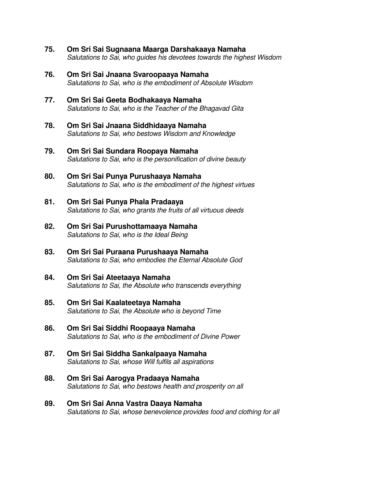- **75. Om Sri Sai Sugnaana Maarga Darshakaaya Namaha**  Salutations to Sai, who guides his devotees towards the highest Wisdom
- **76. Om Sri Sai Jnaana Svaroopaaya Namaha**  Salutations to Sai, who is the embodiment of Absolute Wisdom
- **77. Om Sri Sai Geeta Bodhakaaya Namaha**  Salutations to Sai, who is the Teacher of the Bhagavad Gita
- **78. Om Sri Sai Jnaana Siddhidaaya Namaha**  Salutations to Sai, who bestows Wisdom and Knowledge
- **79. Om Sri Sai Sundara Roopaya Namaha**  Salutations to Sai, who is the personification of divine beauty
- **80. Om Sri Sai Punya Purushaaya Namaha**  Salutations to Sai, who is the embodiment of the highest virtues
- **81. Om Sri Sai Punya Phala Pradaaya**  Salutations to Sai, who grants the fruits of all virtuous deeds
- **82. Om Sri Sai Purushottamaaya Namaha**  Salutations to Sai, who is the Ideal Being
- **83. Om Sri Sai Puraana Purushaaya Namaha**  Salutations to Sai, who embodies the Eternal Absolute God
- **84. Om Sri Sai Ateetaaya Namaha**  Salutations to Sai, the Absolute who transcends everything
- **85. Om Sri Sai Kaalateetaya Namaha**  Salutations to Sai, the Absolute who is beyond Time
- **86. Om Sri Sai Siddhi Roopaaya Namaha**  Salutations to Sai, who is the embodiment of Divine Power
- **87. Om Sri Sai Siddha Sankalpaaya Namaha**  Salutations to Sai, whose Will fulfils all aspirations
- **88. Om Sri Sai Aarogya Pradaaya Namaha**  Salutations to Sai, who bestows health and prosperity on all
- **89. Om Sri Sai Anna Vastra Daaya Namaha**  Salutations to Sai, whose benevolence provides food and clothing for all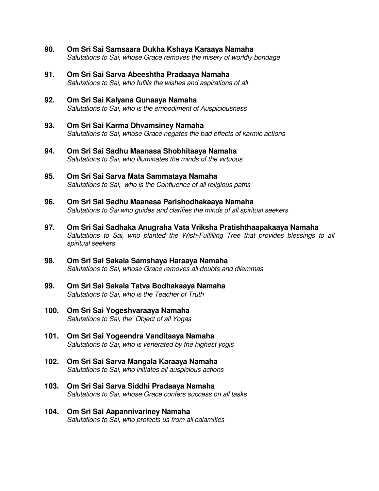- **90. Om Sri Sai Samsaara Dukha Kshaya Karaaya Namaha** Salutations to Sai, whose Grace removes the misery of worldly bondage
- **91. Om Sri Sai Sarva Abeeshtha Pradaaya Namaha**  Salutations to Sai, who fufills the wishes and aspirations of all
- **92. Om Sri Sai Kalyana Gunaaya Namaha**  Salutations to Sai, who is the embodiment of Auspiciousness
- **93. Om Sri Sai Karma Dhvamsiney Namaha**  Salutations to Sai, whose Grace negates the bad effects of karmic actions
- **94. Om Sri Sai Sadhu Maanasa Shobhitaaya Namaha**  Salutations to Sai, who illuminates the minds of the virtuous
- **95. Om Sri Sai Sarva Mata Sammataya Namaha**  Salutations to Sai, who is the Confluence of all religious paths
- **96. Om Sri Sai Sadhu Maanasa Parishodhakaaya Namaha** Salutations to Sai who guides and clarifies the minds of all spiritual seekers
- **97. Om Sri Sai Sadhaka Anugraha Vata Vriksha Pratishthaapakaaya Namaha**  Salutations to Sai, who planted the Wish-Fulfilling Tree that provides blessings to all spiritual seekers
- **98. Om Sri Sai Sakala Samshaya Haraaya Namaha**  Salutations to Sai, whose Grace removes all doubts and dilemmas
- **99. Om Sri Sai Sakala Tatva Bodhakaaya Namaha**  Salutations to Sai, who is the Teacher of Truth
- **100. Om Sri Sai Yogeshvaraaya Namaha**  Salutations to Sai, the Object of all Yogas
- **101. Om Sri Sai Yogeendra Vanditaaya Namaha**  Salutations to Sai, who is venerated by the highest yogis
- **102. Om Sri Sai Sarva Mangala Karaaya Namaha**  Salutations to Sai, who initiates all auspicious actions
- **103. Om Sri Sai Sarva Siddhi Pradaaya Namaha**  Salutations to Sai, whose Grace confers success on all tasks
- **104. Om Sri Sai Aapannivariney Namaha**  Salutations to Sai, who protects us from all calamities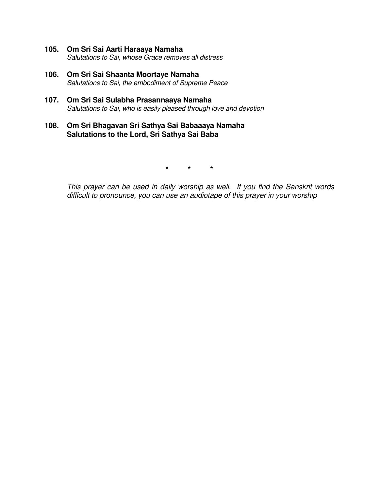- **105. Om Sri Sai Aarti Haraaya Namaha**  Salutations to Sai, whose Grace removes all distress
- **106. Om Sri Sai Shaanta Moortaye Namaha**  Salutations to Sai, the embodiment of Supreme Peace
- **107. Om Sri Sai Sulabha Prasannaaya Namaha**  Salutations to Sai, who is easily pleased through love and devotion
- **108. Om Sri Bhagavan Sri Sathya Sai Babaaaya Namaha Salutations to the Lord, Sri Sathya Sai Baba**

**\* \* \*** 

This prayer can be used in daily worship as well. If you find the Sanskrit words difficult to pronounce, you can use an audiotape of this prayer in your worship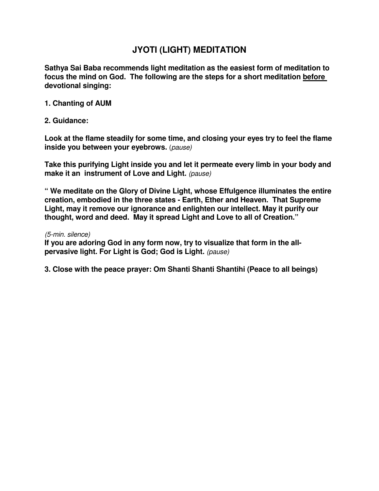# **JYOTI (LIGHT) MEDITATION**

**Sathya Sai Baba recommends light meditation as the easiest form of meditation to focus the mind on God. The following are the steps for a short meditation before devotional singing:** 

- **1. Chanting of AUM**
- **2. Guidance:**

**Look at the flame steadily for some time, and closing your eyes try to feel the flame inside you between your eyebrows.** (pause)

**Take this purifying Light inside you and let it permeate every limb in your body and make it an instrument of Love and Light.** (pause)

**" We meditate on the Glory of Divine Light, whose Effulgence illuminates the entire creation, embodied in the three states - Earth, Ether and Heaven. That Supreme Light, may it remove our ignorance and enlighten our intellect. May it purify our thought, word and deed. May it spread Light and Love to all of Creation."** 

(5-min. silence)

**If you are adoring God in any form now, try to visualize that form in the allpervasive light. For Light is God; God is Light.** (pause)

**3. Close with the peace prayer: Om Shanti Shanti Shantihi (Peace to all beings)**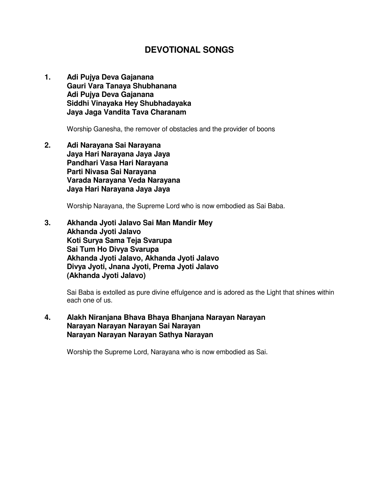# **DEVOTIONAL SONGS**

**1. Adi Pujya Deva Gajanana Gauri Vara Tanaya Shubhanana Adi Pujya Deva Gajanana Siddhi Vinayaka Hey Shubhadayaka Jaya Jaga Vandita Tava Charanam**

Worship Ganesha, the remover of obstacles and the provider of boons

**2. Adi Narayana Sai Narayana Jaya Hari Narayana Jaya Jaya Pandhari Vasa Hari Narayana Parti Nivasa Sai Narayana Varada Narayana Veda Narayana Jaya Hari Narayana Jaya Jaya**

Worship Narayana, the Supreme Lord who is now embodied as Sai Baba.

**3. Akhanda Jyoti Jalavo Sai Man Mandir Mey Akhanda Jyoti Jalavo Koti Surya Sama Teja Svarupa Sai Tum Ho Divya Svarupa Akhanda Jyoti Jalavo, Akhanda Jyoti Jalavo Divya Jyoti, Jnana Jyoti, Prema Jyoti Jalavo (Akhanda Jyoti Jalavo)**

> Sai Baba is extolled as pure divine effulgence and is adored as the Light that shines within each one of us.

**4. Alakh Niranjana Bhava Bhaya Bhanjana Narayan Narayan Narayan Narayan Narayan Sai Narayan Narayan Narayan Narayan Sathya Narayan**

Worship the Supreme Lord, Narayana who is now embodied as Sai.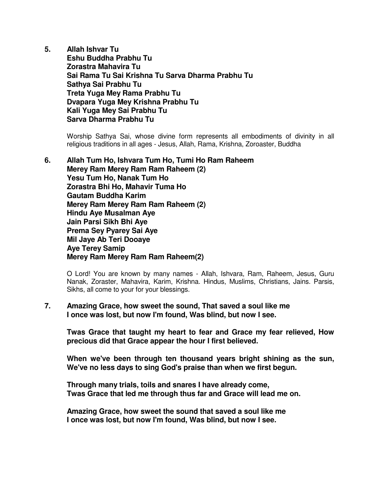**5. Allah Ishvar Tu Eshu Buddha Prabhu Tu Zorastra Mahavira Tu Sai Rama Tu Sai Krishna Tu Sarva Dharma Prabhu Tu Sathya Sai Prabhu Tu Treta Yuga Mey Rama Prabhu Tu Dvapara Yuga Mey Krishna Prabhu Tu Kali Yuga Mey Sai Prabhu Tu Sarva Dharma Prabhu Tu** 

> Worship Sathya Sai, whose divine form represents all embodiments of divinity in all religious traditions in all ages - Jesus, Allah, Rama, Krishna, Zoroaster, Buddha

**6. Allah Tum Ho, Ishvara Tum Ho, Tumi Ho Ram Raheem Merey Ram Merey Ram Ram Raheem (2) Yesu Tum Ho, Nanak Tum Ho Zorastra Bhi Ho, Mahavir Tuma Ho Gautam Buddha Karim Merey Ram Merey Ram Ram Raheem (2) Hindu Aye Musalman Aye Jain Parsi Sikh Bhi Aye Prema Sey Pyarey Sai Aye Mil Jaye Ab Teri Dooaye Aye Terey Samip Merey Ram Merey Ram Ram Raheem(2)**

> O Lord! You are known by many names - Allah, Ishvara, Ram, Raheem, Jesus, Guru Nanak, Zoraster, Mahavira, Karim, Krishna. Hindus, Muslims, Christians, Jains. Parsis, Sikhs, all come to your for your blessings.

### **7. Amazing Grace, how sweet the sound, That saved a soul like me I once was lost, but now I'm found, Was blind, but now I see.**

 **Twas Grace that taught my heart to fear and Grace my fear relieved, How precious did that Grace appear the hour I first believed.** 

 **When we've been through ten thousand years bright shining as the sun, We've no less days to sing God's praise than when we first begun.** 

 **Through many trials, toils and snares I have already come, Twas Grace that led me through thus far and Grace will lead me on.** 

 **Amazing Grace, how sweet the sound that saved a soul like me I once was lost, but now I'm found, Was blind, but now I see.**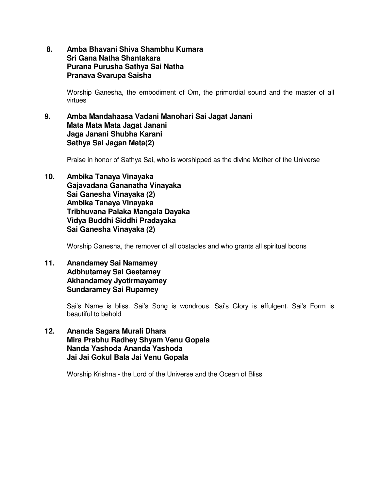**8. Amba Bhavani Shiva Shambhu Kumara Sri Gana Natha Shantakara Purana Purusha Sathya Sai Natha Pranava Svarupa Saisha**

> Worship Ganesha, the embodiment of Om, the primordial sound and the master of all virtues

**9. Amba Mandahaasa Vadani Manohari Sai Jagat Janani Mata Mata Mata Jagat Janani Jaga Janani Shubha Karani Sathya Sai Jagan Mata(2)**

Praise in honor of Sathya Sai, who is worshipped as the divine Mother of the Universe

**10. Ambika Tanaya Vinayaka Gajavadana Gananatha Vinayaka Sai Ganesha Vinayaka (2) Ambika Tanaya Vinayaka Tribhuvana Palaka Mangala Dayaka Vidya Buddhi Siddhi Pradayaka Sai Ganesha Vinayaka (2)**

Worship Ganesha, the remover of all obstacles and who grants all spiritual boons

**11. Anandamey Sai Namamey Adbhutamey Sai Geetamey Akhandamey Jyotirmayamey Sundaramey Sai Rupamey**

> Sai's Name is bliss. Sai's Song is wondrous. Sai's Glory is effulgent. Sai's Form is beautiful to behold

**12. Ananda Sagara Murali Dhara Mira Prabhu Radhey Shyam Venu Gopala Nanda Yashoda Ananda Yashoda Jai Jai Gokul Bala Jai Venu Gopala**

Worship Krishna - the Lord of the Universe and the Ocean of Bliss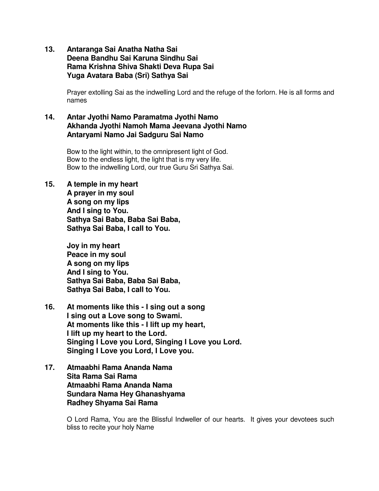**13. Antaranga Sai Anatha Natha Sai Deena Bandhu Sai Karuna Sindhu Sai Rama Krishna Shiva Shakti Deva Rupa Sai Yuga Avatara Baba (Sri) Sathya Sai**

> Prayer extolling Sai as the indwelling Lord and the refuge of the forlorn. He is all forms and names

# **14. Antar Jyothi Namo Paramatma Jyothi Namo Akhanda Jyothi Namoh Mama Jeevana Jyothi Namo Antaryami Namo Jai Sadguru Sai Namo**

Bow to the light within, to the omnipresent light of God. Bow to the endless light, the light that is my very life. Bow to the indwelling Lord, our true Guru Sri Sathya Sai.

**15. A temple in my heart A prayer in my soul A song on my lips And I sing to You. Sathya Sai Baba, Baba Sai Baba, Sathya Sai Baba, I call to You.** 

> **Joy in my heart Peace in my soul A song on my lips And I sing to You. Sathya Sai Baba, Baba Sai Baba, Sathya Sai Baba, I call to You.**

- **16. At moments like this I sing out a song I sing out a Love song to Swami. At moments like this - I lift up my heart, I lift up my heart to the Lord. Singing I Love you Lord, Singing I Love you Lord. Singing I Love you Lord, I Love you.**
- **17. Atmaabhi Rama Ananda Nama Sita Rama Sai Rama Atmaabhi Rama Ananda Nama Sundara Nama Hey Ghanashyama Radhey Shyama Sai Rama**

O Lord Rama, You are the Blissful Indweller of our hearts. It gives your devotees such bliss to recite your holy Name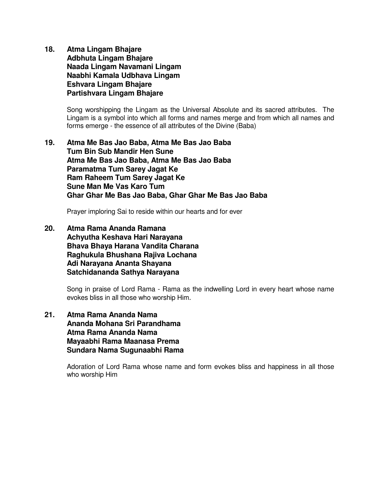**18. Atma Lingam Bhajare Adbhuta Lingam Bhajare Naada Lingam Navamani Lingam Naabhi Kamala Udbhava Lingam Eshvara Lingam Bhajare Partishvara Lingam Bhajare**

> Song worshipping the Lingam as the Universal Absolute and its sacred attributes. The Lingam is a symbol into which all forms and names merge and from which all names and forms emerge - the essence of all attributes of the Divine (Baba)

**19. Atma Me Bas Jao Baba, Atma Me Bas Jao Baba Tum Bin Sub Mandir Hen Sune Atma Me Bas Jao Baba, Atma Me Bas Jao Baba Paramatma Tum Sarey Jagat Ke Ram Raheem Tum Sarey Jagat Ke Sune Man Me Vas Karo Tum Ghar Ghar Me Bas Jao Baba, Ghar Ghar Me Bas Jao Baba**

Prayer imploring Sai to reside within our hearts and for ever

**20. Atma Rama Ananda Ramana Achyutha Keshava Hari Narayana Bhava Bhaya Harana Vandita Charana Raghukula Bhushana Rajiva Lochana Adi Narayana Ananta Shayana Satchidananda Sathya Narayana**

> Song in praise of Lord Rama - Rama as the indwelling Lord in every heart whose name evokes bliss in all those who worship Him.

**21. Atma Rama Ananda Nama Ananda Mohana Sri Parandhama Atma Rama Ananda Nama Mayaabhi Rama Maanasa Prema Sundara Nama Sugunaabhi Rama** 

> Adoration of Lord Rama whose name and form evokes bliss and happiness in all those who worship Him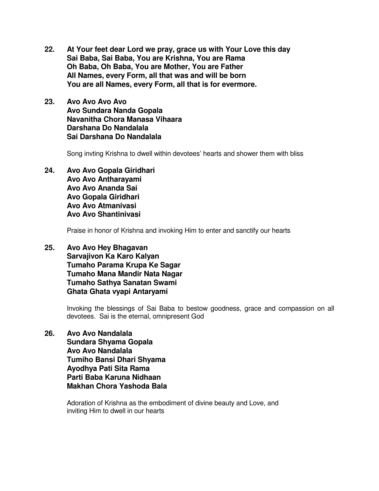- **22. At Your feet dear Lord we pray, grace us with Your Love this day Sai Baba, Sai Baba, You are Krishna, You are Rama Oh Baba, Oh Baba, You are Mother, You are Father All Names, every Form, all that was and will be born You are all Names, every Form, all that is for evermore.**
- **23. Avo Avo Avo Avo Avo Sundara Nanda Gopala Navanitha Chora Manasa Vihaara Darshana Do Nandalala Sai Darshana Do Nandalala**

Song invting Krishna to dwell within devotees' hearts and shower them with bliss

**24. Avo Avo Gopala Giridhari Avo Avo Antharayami Avo Avo Ananda Sai Avo Gopala Giridhari Avo Avo Atmanivasi Avo Avo Shantinivasi**

Praise in honor of Krishna and invoking Him to enter and sanctify our hearts

**25. Avo Avo Hey Bhagavan Sarvajivon Ka Karo Kalyan Tumaho Parama Krupa Ke Sagar Tumaho Mana Mandir Nata Nagar Tumaho Sathya Sanatan Swami Ghata Ghata vyapi Antaryami** 

> Invoking the blessings of Sai Baba to bestow goodness, grace and compassion on all devotees. Sai is the eternal, omnipresent God

**26. Avo Avo Nandalala** 

 **Sundara Shyama Gopala Avo Avo Nandalala Tumiho Bansi Dhari Shyama Ayodhya Pati Sita Rama Parti Baba Karuna Nidhaan Makhan Chora Yashoda Bala** 

Adoration of Krishna as the embodiment of divine beauty and Love, and inviting Him to dwell in our hearts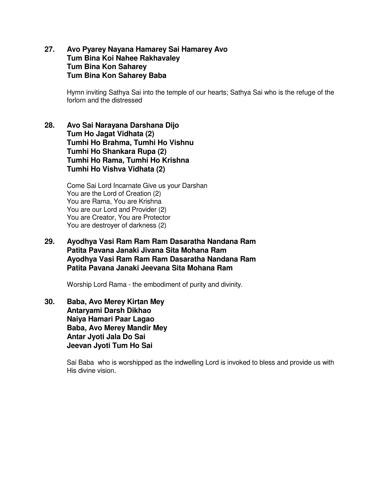# **27. Avo Pyarey Nayana Hamarey Sai Hamarey Avo Tum Bina Koi Nahee Rakhavaley Tum Bina Kon Saharey Tum Bina Kon Saharey Baba**

Hymn inviting Sathya Sai into the temple of our hearts; Sathya Sai who is the refuge of the forlorn and the distressed

**28. Avo Sai Narayana Darshana Dijo Tum Ho Jagat Vidhata (2) Tumhi Ho Brahma, Tumhi Ho Vishnu Tumhi Ho Shankara Rupa (2) Tumhi Ho Rama, Tumhi Ho Krishna Tumhi Ho Vishva Vidhata (2)**

> Come Sai Lord Incarnate Give us your Darshan You are the Lord of Creation (2) You are Rama, You are Krishna You are our Lord and Provider (2) You are Creator, You are Protector You are destroyer of darkness (2)

**29. Ayodhya Vasi Ram Ram Ram Dasaratha Nandana Ram Patita Pavana Janaki Jivana Sita Mohana Ram Ayodhya Vasi Ram Ram Ram Dasaratha Nandana Ram Patita Pavana Janaki Jeevana Sita Mohana Ram**

Worship Lord Rama - the embodiment of purity and divinity.

**30. Baba, Avo Merey Kirtan Mey Antaryami Darsh Dikhao Naiya Hamari Paar Lagao Baba, Avo Merey Mandir Mey Antar Jyoti Jala Do Sai Jeevan Jyoti Tum Ho Sai** 

> Sai Baba who is worshipped as the indwelling Lord is invoked to bless and provide us with His divine vision.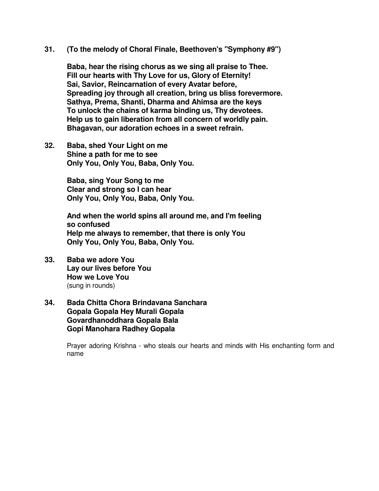**31. (To the melody of Choral Finale, Beethoven's "Symphony #9")** 

 **Baba, hear the rising chorus as we sing all praise to Thee. Fill our hearts with Thy Love for us, Glory of Eternity! Sai, Savior, Reincarnation of every Avatar before, Spreading joy through all creation, bring us bliss forevermore. Sathya, Prema, Shanti, Dharma and Ahimsa are the keys To unlock the chains of karma binding us, Thy devotees. Help us to gain liberation from all concern of worldly pain. Bhagavan, our adoration echoes in a sweet refrain.**

**32. Baba, shed Your Light on me Shine a path for me to see Only You, Only You, Baba, Only You.** 

> **Baba, sing Your Song to me Clear and strong so I can hear Only You, Only You, Baba, Only You.**

 **And when the world spins all around me, and I'm feeling so confused Help me always to remember, that there is only You Only You, Only You, Baba, Only You.**

- **33. Baba we adore You Lay our lives before You How we Love You** (sung in rounds)
- **34. Bada Chitta Chora Brindavana Sanchara Gopala Gopala Hey Murali Gopala Govardhanoddhara Gopala Bala Gopi Manohara Radhey Gopala**

Prayer adoring Krishna - who steals our hearts and minds with His enchanting form and name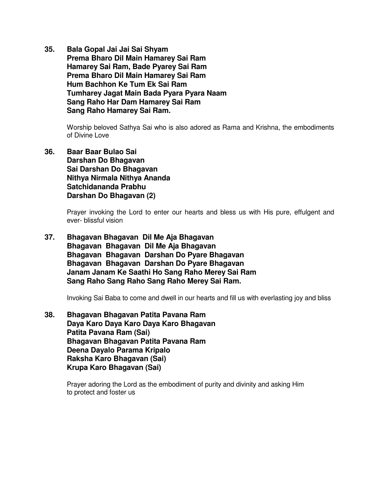**35. Bala Gopal Jai Jai Sai Shyam Prema Bharo Dil Main Hamarey Sai Ram Hamarey Sai Ram, Bade Pyarey Sai Ram Prema Bharo Dil Main Hamarey Sai Ram Hum Bachhon Ke Tum Ek Sai Ram Tumharey Jagat Main Bada Pyara Pyara Naam Sang Raho Har Dam Hamarey Sai Ram Sang Raho Hamarey Sai Ram.**

> Worship beloved Sathya Sai who is also adored as Rama and Krishna, the embodiments of Divine Love

**36. Baar Baar Bulao Sai Darshan Do Bhagavan Sai Darshan Do Bhagavan Nithya Nirmala Nithya Ananda Satchidananda Prabhu Darshan Do Bhagavan (2)** 

> Prayer invoking the Lord to enter our hearts and bless us with His pure, effulgent and ever- blissful vision

**37. Bhagavan Bhagavan Dil Me Aja Bhagavan Bhagavan Bhagavan Dil Me Aja Bhagavan Bhagavan Bhagavan Darshan Do Pyare Bhagavan Bhagavan Bhagavan Darshan Do Pyare Bhagavan Janam Janam Ke Saathi Ho Sang Raho Merey Sai Ram Sang Raho Sang Raho Sang Raho Merey Sai Ram.**

Invoking Sai Baba to come and dwell in our hearts and fill us with everlasting joy and bliss

**38. Bhagavan Bhagavan Patita Pavana Ram Daya Karo Daya Karo Daya Karo Bhagavan Patita Pavana Ram (Sai) Bhagavan Bhagavan Patita Pavana Ram Deena Dayalo Parama Kripalo Raksha Karo Bhagavan (Sai) Krupa Karo Bhagavan (Sai)**

> Prayer adoring the Lord as the embodiment of purity and divinity and asking Him to protect and foster us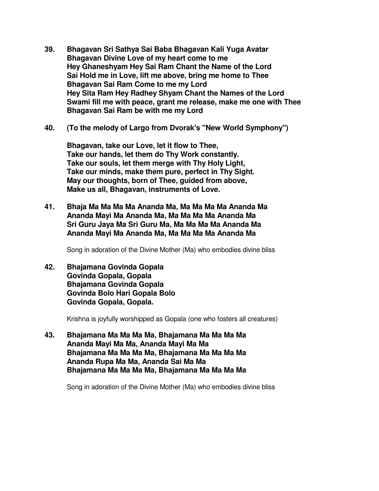- **39. Bhagavan Sri Sathya Sai Baba Bhagavan Kali Yuga Avatar Bhagavan Divine Love of my heart come to me Hey Ghaneshyam Hey Sai Ram Chant the Name of the Lord Sai Hold me in Love, lift me above, bring me home to Thee Bhagavan Sai Ram Come to me my Lord Hey Sita Ram Hey Radhey Shyam Chant the Names of the Lord Swami fill me with peace, grant me release, make me one with Thee Bhagavan Sai Ram be with me my Lord**
- **40. (To the melody of Largo from Dvorak's "New World Symphony")**

 **Bhagavan, take our Love, let it flow to Thee, Take our hands, let them do Thy Work constantly. Take our souls, let them merge with Thy Holy Light, Take our minds, make them pure, perfect in Thy Sight. May our thoughts, born of Thee, guided from above, Make us all, Bhagavan, instruments of Love.** 

**41. Bhaja Ma Ma Ma Ma Ananda Ma, Ma Ma Ma Ma Ananda Ma Ananda Mayi Ma Ananda Ma, Ma Ma Ma Ma Ananda Ma Sri Guru Jaya Ma Sri Guru Ma, Ma Ma Ma Ma Ananda Ma Ananda Mayi Ma Ananda Ma, Ma Ma Ma Ma Ananda Ma** 

Song in adoration of the Divine Mother (Ma) who embodies divine bliss

**42. Bhajamana Govinda Gopala Govinda Gopala, Gopala Bhajamana Govinda Gopala Govinda Bolo Hari Gopala Bolo Govinda Gopala, Gopala.**

Krishna is joyfully worshipped as Gopala (one who fosters all creatures)

**43. Bhajamana Ma Ma Ma Ma, Bhajamana Ma Ma Ma Ma Ananda Mayi Ma Ma, Ananda Mayi Ma Ma Bhajamana Ma Ma Ma Ma, Bhajamana Ma Ma Ma Ma Ananda Rupa Ma Ma, Ananda Sai Ma Ma Bhajamana Ma Ma Ma Ma, Bhajamana Ma Ma Ma Ma**

Song in adoration of the Divine Mother (Ma) who embodies divine bliss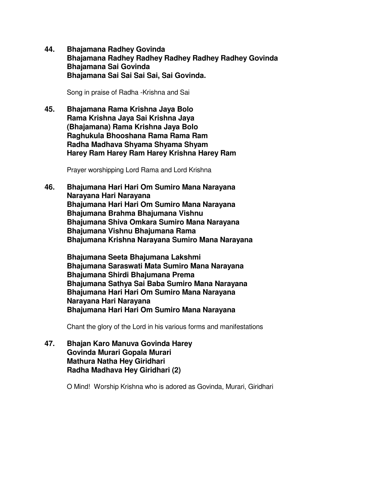**44. Bhajamana Radhey Govinda Bhajamana Radhey Radhey Radhey Radhey Radhey Govinda Bhajamana Sai Govinda Bhajamana Sai Sai Sai Sai, Sai Govinda.**

Song in praise of Radha -Krishna and Sai

**45. Bhajamana Rama Krishna Jaya Bolo Rama Krishna Jaya Sai Krishna Jaya (Bhajamana) Rama Krishna Jaya Bolo Raghukula Bhooshana Rama Rama Ram Radha Madhava Shyama Shyama Shyam Harey Ram Harey Ram Harey Krishna Harey Ram**

Prayer worshipping Lord Rama and Lord Krishna

**46. Bhajumana Hari Hari Om Sumiro Mana Narayana Narayana Hari Narayana Bhajumana Hari Hari Om Sumiro Mana Narayana Bhajumana Brahma Bhajumana Vishnu Bhajumana Shiva Omkara Sumiro Mana Narayana Bhajumana Vishnu Bhajumana Rama Bhajumana Krishna Narayana Sumiro Mana Narayana** 

> **Bhajumana Seeta Bhajumana Lakshmi Bhajumana Saraswati Mata Sumiro Mana Narayana Bhajumana Shirdi Bhajumana Prema Bhajumana Sathya Sai Baba Sumiro Mana Narayana Bhajumana Hari Hari Om Sumiro Mana Narayana Narayana Hari Narayana Bhajumana Hari Hari Om Sumiro Mana Narayana**

Chant the glory of the Lord in his various forms and manifestations

**47. Bhajan Karo Manuva Govinda Harey Govinda Murari Gopala Murari Mathura Natha Hey Giridhari Radha Madhava Hey Giridhari (2)**

O Mind! Worship Krishna who is adored as Govinda, Murari, Giridhari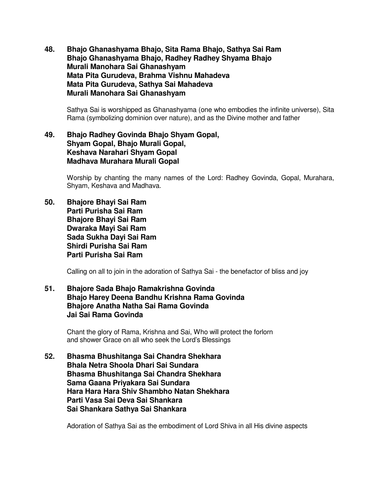**48. Bhajo Ghanashyama Bhajo, Sita Rama Bhajo, Sathya Sai Ram Bhajo Ghanashyama Bhajo, Radhey Radhey Shyama Bhajo Murali Manohara Sai Ghanashyam Mata Pita Gurudeva, Brahma Vishnu Mahadeva Mata Pita Gurudeva, Sathya Sai Mahadeva Murali Manohara Sai Ghanashyam**

Sathya Sai is worshipped as Ghanashyama (one who embodies the infinite universe), Sita Rama (symbolizing dominion over nature), and as the Divine mother and father

### **49. Bhajo Radhey Govinda Bhajo Shyam Gopal, Shyam Gopal, Bhajo Murali Gopal, Keshava Narahari Shyam Gopal Madhava Murahara Murali Gopal**

Worship by chanting the many names of the Lord: Radhey Govinda, Gopal, Murahara, Shyam, Keshava and Madhava.

**50. Bhajore Bhayi Sai Ram Parti Purisha Sai Ram Bhajore Bhayi Sai Ram Dwaraka Mayi Sai Ram Sada Sukha Dayi Sai Ram Shirdi Purisha Sai Ram Parti Purisha Sai Ram**

Calling on all to join in the adoration of Sathya Sai - the benefactor of bliss and joy

# **51. Bhajore Sada Bhajo Ramakrishna Govinda Bhajo Harey Deena Bandhu Krishna Rama Govinda Bhajore Anatha Natha Sai Rama Govinda Jai Sai Rama Govinda**

Chant the glory of Rama, Krishna and Sai, Who will protect the forlorn and shower Grace on all who seek the Lord's Blessings

**52. Bhasma Bhushitanga Sai Chandra Shekhara Bhala Netra Shoola Dhari Sai Sundara Bhasma Bhushitanga Sai Chandra Shekhara Sama Gaana Priyakara Sai Sundara Hara Hara Hara Shiv Shambho Natan Shekhara Parti Vasa Sai Deva Sai Shankara Sai Shankara Sathya Sai Shankara**

Adoration of Sathya Sai as the embodiment of Lord Shiva in all His divine aspects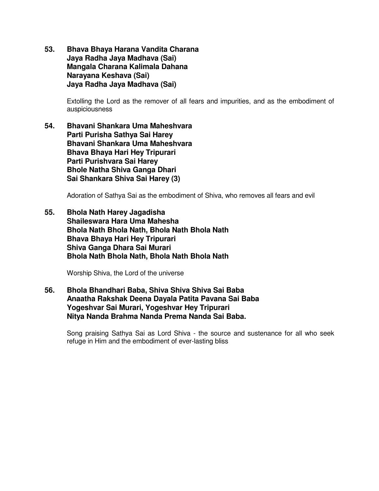**53. Bhava Bhaya Harana Vandita Charana Jaya Radha Jaya Madhava (Sai) Mangala Charana Kalimala Dahana Narayana Keshava (Sai) Jaya Radha Jaya Madhava (Sai)**

> Extolling the Lord as the remover of all fears and impurities, and as the embodiment of auspiciousness

**54. Bhavani Shankara Uma Maheshvara Parti Purisha Sathya Sai Harey Bhavani Shankara Uma Maheshvara Bhava Bhaya Hari Hey Tripurari Parti Purishvara Sai Harey Bhole Natha Shiva Ganga Dhari Sai Shankara Shiva Sai Harey (3)**

Adoration of Sathya Sai as the embodiment of Shiva, who removes all fears and evil

**55. Bhola Nath Harey Jagadisha Shaileswara Hara Uma Mahesha Bhola Nath Bhola Nath, Bhola Nath Bhola Nath Bhava Bhaya Hari Hey Tripurari Shiva Ganga Dhara Sai Murari Bhola Nath Bhola Nath, Bhola Nath Bhola Nath**

Worship Shiva, the Lord of the universe

**56. Bhola Bhandhari Baba, Shiva Shiva Shiva Sai Baba Anaatha Rakshak Deena Dayala Patita Pavana Sai Baba Yogeshvar Sai Murari, Yogeshvar Hey Tripurari Nitya Nanda Brahma Nanda Prema Nanda Sai Baba.**

> Song praising Sathya Sai as Lord Shiva - the source and sustenance for all who seek refuge in Him and the embodiment of ever-lasting bliss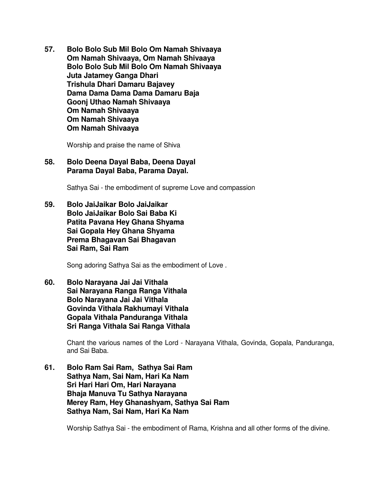**57. Bolo Bolo Sub Mil Bolo Om Namah Shivaaya Om Namah Shivaaya, Om Namah Shivaaya Bolo Bolo Sub Mil Bolo Om Namah Shivaaya Juta Jatamey Ganga Dhari Trishula Dhari Damaru Bajavey Dama Dama Dama Dama Damaru Baja Goonj Uthao Namah Shivaaya Om Namah Shivaaya Om Namah Shivaaya Om Namah Shivaaya**

Worship and praise the name of Shiva

### **58. Bolo Deena Dayal Baba, Deena Dayal Parama Dayal Baba, Parama Dayal.**

Sathya Sai - the embodiment of supreme Love and compassion

**59. Bolo JaiJaikar Bolo JaiJaikar Bolo JaiJaikar Bolo Sai Baba Ki Patita Pavana Hey Ghana Shyama Sai Gopala Hey Ghana Shyama Prema Bhagavan Sai Bhagavan Sai Ram, Sai Ram**

Song adoring Sathya Sai as the embodiment of Love .

**60. Bolo Narayana Jai Jai Vithala Sai Narayana Ranga Ranga Vithala Bolo Narayana Jai Jai Vithala Govinda Vithala Rakhumayi Vithala Gopala Vithala Panduranga Vithala Sri Ranga Vithala Sai Ranga Vithala**

> Chant the various names of the Lord - Narayana Vithala, Govinda, Gopala, Panduranga, and Sai Baba.

**61. Bolo Ram Sai Ram, Sathya Sai Ram Sathya Nam, Sai Nam, Hari Ka Nam Sri Hari Hari Om, Hari Narayana Bhaja Manuva Tu Sathya Narayana Merey Ram, Hey Ghanashyam, Sathya Sai Ram Sathya Nam, Sai Nam, Hari Ka Nam**

Worship Sathya Sai - the embodiment of Rama, Krishna and all other forms of the divine.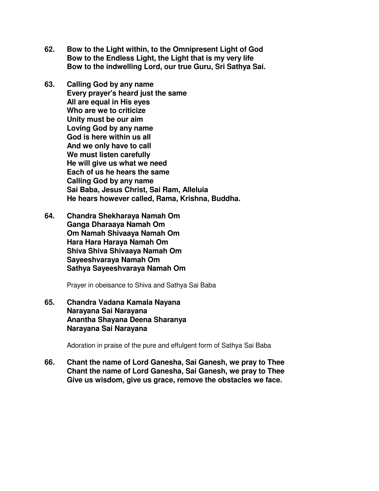- **62. Bow to the Light within, to the Omnipresent Light of God Bow to the Endless Light, the Light that is my very life Bow to the indwelling Lord, our true Guru, Sri Sathya Sai.**
- **63. Calling God by any name Every prayer's heard just the same All are equal in His eyes Who are we to criticize Unity must be our aim Loving God by any name God is here within us all And we only have to call We must listen carefully He will give us what we need Each of us he hears the same Calling God by any name Sai Baba, Jesus Christ, Sai Ram, Alleluia He hears however called, Rama, Krishna, Buddha.**
- **64. Chandra Shekharaya Namah Om Ganga Dharaaya Namah Om Om Namah Shivaaya Namah Om Hara Hara Haraya Namah Om Shiva Shiva Shivaaya Namah Om Sayeeshvaraya Namah Om Sathya Sayeeshvaraya Namah Om**

Prayer in obeisance to Shiva and Sathya Sai Baba

**65. Chandra Vadana Kamala Nayana Narayana Sai Narayana Anantha Shayana Deena Sharanya Narayana Sai Narayana**

Adoration in praise of the pure and effulgent form of Sathya Sai Baba

**66. Chant the name of Lord Ganesha, Sai Ganesh, we pray to Thee Chant the name of Lord Ganesha, Sai Ganesh, we pray to Thee Give us wisdom, give us grace, remove the obstacles we face.**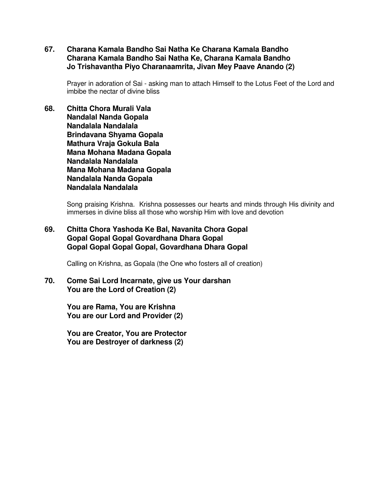**67. Charana Kamala Bandho Sai Natha Ke Charana Kamala Bandho Charana Kamala Bandho Sai Natha Ke, Charana Kamala Bandho Jo Trishavantha Piyo Charanaamrita, Jivan Mey Paave Anando (2)**

Prayer in adoration of Sai - asking man to attach Himself to the Lotus Feet of the Lord and imbibe the nectar of divine bliss

**68. Chitta Chora Murali Vala Nandalal Nanda Gopala Nandalala Nandalala Brindavana Shyama Gopala Mathura Vraja Gokula Bala Mana Mohana Madana Gopala Nandalala Nandalala Mana Mohana Madana Gopala Nandalala Nanda Gopala Nandalala Nandalala**

> Song praising Krishna. Krishna possesses our hearts and minds through His divinity and immerses in divine bliss all those who worship Him with love and devotion

**69. Chitta Chora Yashoda Ke Bal, Navanita Chora Gopal Gopal Gopal Gopal Govardhana Dhara Gopal Gopal Gopal Gopal Gopal, Govardhana Dhara Gopal**

Calling on Krishna, as Gopala (the One who fosters all of creation)

**70. Come Sai Lord Incarnate, give us Your darshan You are the Lord of Creation (2)** 

> **You are Rama, You are Krishna You are our Lord and Provider (2)**

 **You are Creator, You are Protector You are Destroyer of darkness (2)**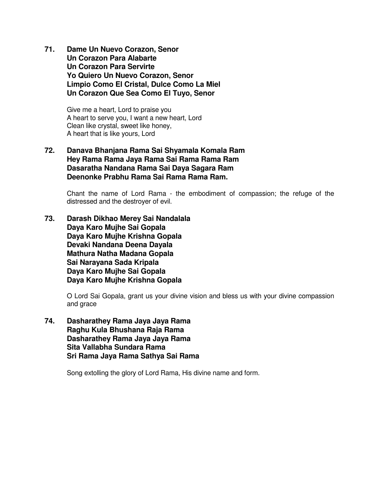**71. Dame Un Nuevo Corazon, Senor Un Corazon Para Alabarte Un Corazon Para Servirte Yo Quiero Un Nuevo Corazon, Senor Limpio Como El Cristal, Dulce Como La Miel Un Corazon Que Sea Como El Tuyo, Senor**

> Give me a heart, Lord to praise you A heart to serve you, I want a new heart, Lord Clean like crystal, sweet like honey, A heart that is like yours, Lord

# **72. Danava Bhanjana Rama Sai Shyamala Komala Ram Hey Rama Rama Jaya Rama Sai Rama Rama Ram Dasaratha Nandana Rama Sai Daya Sagara Ram Deenonke Prabhu Rama Sai Rama Rama Ram.**

Chant the name of Lord Rama - the embodiment of compassion; the refuge of the distressed and the destroyer of evil.

**73. Darash Dikhao Merey Sai Nandalala Daya Karo Mujhe Sai Gopala Daya Karo Mujhe Krishna Gopala Devaki Nandana Deena Dayala Mathura Natha Madana Gopala Sai Narayana Sada Kripala Daya Karo Mujhe Sai Gopala Daya Karo Mujhe Krishna Gopala**

> O Lord Sai Gopala, grant us your divine vision and bless us with your divine compassion and grace

**74. Dasharathey Rama Jaya Jaya Rama Raghu Kula Bhushana Raja Rama Dasharathey Rama Jaya Jaya Rama Sita Vallabha Sundara Rama Sri Rama Jaya Rama Sathya Sai Rama**

Song extolling the glory of Lord Rama, His divine name and form.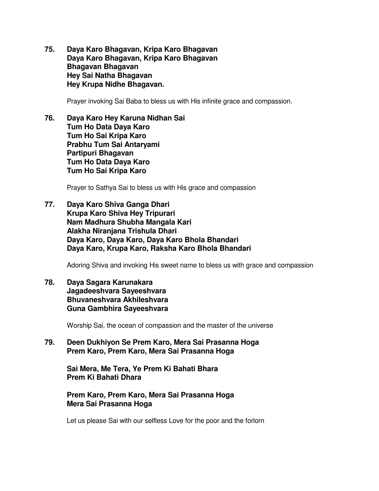**75. Daya Karo Bhagavan, Kripa Karo Bhagavan Daya Karo Bhagavan, Kripa Karo Bhagavan Bhagavan Bhagavan Hey Sai Natha Bhagavan Hey Krupa Nidhe Bhagavan.**

Prayer invoking Sai Baba to bless us with His infinite grace and compassion.

**76. Daya Karo Hey Karuna Nidhan Sai Tum Ho Data Daya Karo Tum Ho Sai Kripa Karo Prabhu Tum Sai Antaryami Partipuri Bhagavan Tum Ho Data Daya Karo Tum Ho Sai Kripa Karo**

Prayer to Sathya Sai to bless us with His grace and compassion

**77. Daya Karo Shiva Ganga Dhari Krupa Karo Shiva Hey Tripurari Nam Madhura Shubha Mangala Kari Alakha Niranjana Trishula Dhari Daya Karo, Daya Karo, Daya Karo Bhola Bhandari Daya Karo, Krupa Karo, Raksha Karo Bhola Bhandari**

Adoring Shiva and invoking His sweet name to bless us with grace and compassion

**78. Daya Sagara Karunakara Jagadeeshvara Sayeeshvara Bhuvaneshvara Akhileshvara Guna Gambhira Sayeeshvara** 

Worship Sai, the ocean of compassion and the master of the universe

**79. Deen Dukhiyon Se Prem Karo, Mera Sai Prasanna Hoga Prem Karo, Prem Karo, Mera Sai Prasanna Hoga** 

> **Sai Mera, Me Tera, Ye Prem Ki Bahati Bhara Prem Ki Bahati Dhara**

# **Prem Karo, Prem Karo, Mera Sai Prasanna Hoga Mera Sai Prasanna Hoga**

Let us please Sai with our selfless Love for the poor and the forlorn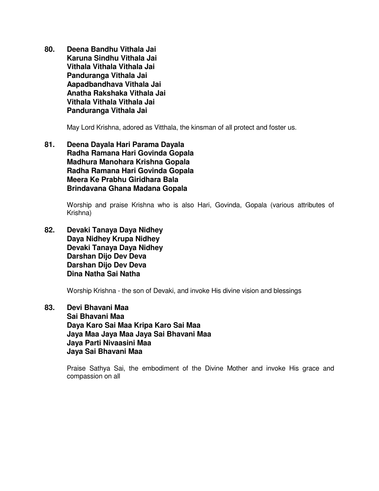**80. Deena Bandhu Vithala Jai Karuna Sindhu Vithala Jai Vithala Vithala Vithala Jai Panduranga Vithala Jai Aapadbandhava Vithala Jai Anatha Rakshaka Vithala Jai Vithala Vithala Vithala Jai Panduranga Vithala Jai**

May Lord Krishna, adored as Vitthala, the kinsman of all protect and foster us.

**81. Deena Dayala Hari Parama Dayala Radha Ramana Hari Govinda Gopala Madhura Manohara Krishna Gopala Radha Ramana Hari Govinda Gopala Meera Ke Prabhu Giridhara Bala Brindavana Ghana Madana Gopala** 

> Worship and praise Krishna who is also Hari, Govinda, Gopala (various attributes of Krishna)

**82. Devaki Tanaya Daya Nidhey Daya Nidhey Krupa Nidhey Devaki Tanaya Daya Nidhey Darshan Dijo Dev Deva Darshan Dijo Dev Deva Dina Natha Sai Natha**

Worship Krishna - the son of Devaki, and invoke His divine vision and blessings

**83. Devi Bhavani Maa** 

 **Sai Bhavani Maa Daya Karo Sai Maa Kripa Karo Sai Maa Jaya Maa Jaya Maa Jaya Sai Bhavani Maa Jaya Parti Nivaasini Maa Jaya Sai Bhavani Maa**

Praise Sathya Sai, the embodiment of the Divine Mother and invoke His grace and compassion on all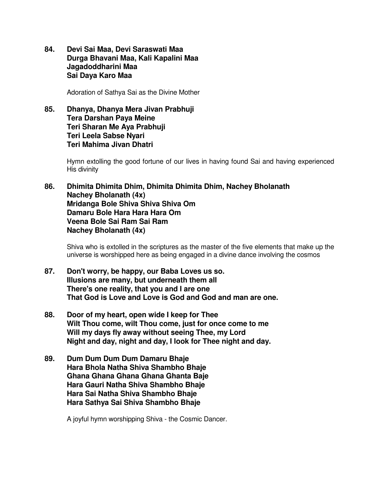**84. Devi Sai Maa, Devi Saraswati Maa Durga Bhavani Maa, Kali Kapalini Maa Jagadoddharini Maa Sai Daya Karo Maa**

Adoration of Sathya Sai as the Divine Mother

# **85. Dhanya, Dhanya Mera Jivan Prabhuji Tera Darshan Paya Meine Teri Sharan Me Aya Prabhuji Teri Leela Sabse Nyari Teri Mahima Jivan Dhatri**

Hymn extolling the good fortune of our lives in having found Sai and having experienced His divinity

# **86. Dhimita Dhimita Dhim, Dhimita Dhimita Dhim, Nachey Bholanath Nachey Bholanath (4x) Mridanga Bole Shiva Shiva Shiva Om Damaru Bole Hara Hara Hara Om Veena Bole Sai Ram Sai Ram Nachey Bholanath (4x)**

Shiva who is extolled in the scriptures as the master of the five elements that make up the universe is worshipped here as being engaged in a divine dance involving the cosmos

- **87. Don't worry, be happy, our Baba Loves us so. Illusions are many, but underneath them all There's one reality, that you and I are one That God is Love and Love is God and God and man are one.**
- **88. Door of my heart, open wide I keep for Thee Wilt Thou come, wilt Thou come, just for once come to me Will my days fly away without seeing Thee, my Lord Night and day, night and day, I look for Thee night and day.**
- **89. Dum Dum Dum Dum Damaru Bhaje Hara Bhola Natha Shiva Shambho Bhaje Ghana Ghana Ghana Ghana Ghanta Baje Hara Gauri Natha Shiva Shambho Bhaje Hara Sai Natha Shiva Shambho Bhaje Hara Sathya Sai Shiva Shambho Bhaje**

A joyful hymn worshipping Shiva - the Cosmic Dancer.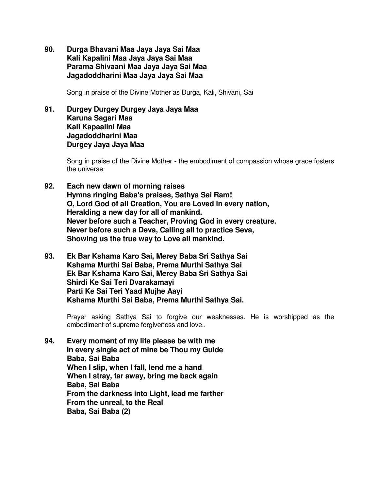**90. Durga Bhavani Maa Jaya Jaya Sai Maa Kali Kapalini Maa Jaya Jaya Sai Maa Parama Shivaani Maa Jaya Jaya Sai Maa Jagadoddharini Maa Jaya Jaya Sai Maa**

Song in praise of the Divine Mother as Durga, Kali, Shivani, Sai

**91. Durgey Durgey Durgey Jaya Jaya Maa Karuna Sagari Maa Kali Kapaalini Maa Jagadoddharini Maa Durgey Jaya Jaya Maa**

> Song in praise of the Divine Mother - the embodiment of compassion whose grace fosters the universe

- **92. Each new dawn of morning raises Hymns ringing Baba's praises, Sathya Sai Ram! O, Lord God of all Creation, You are Loved in every nation, Heralding a new day for all of mankind. Never before such a Teacher, Proving God in every creature. Never before such a Deva, Calling all to practice Seva, Showing us the true way to Love all mankind.**
- **93. Ek Bar Kshama Karo Sai, Merey Baba Sri Sathya Sai Kshama Murthi Sai Baba, Prema Murthi Sathya Sai Ek Bar Kshama Karo Sai, Merey Baba Sri Sathya Sai Shirdi Ke Sai Teri Dvarakamayi Parti Ke Sai Teri Yaad Mujhe Aayi Kshama Murthi Sai Baba, Prema Murthi Sathya Sai.**

Prayer asking Sathya Sai to forgive our weaknesses. He is worshipped as the embodiment of supreme forgiveness and love..

**94. Every moment of my life please be with me In every single act of mine be Thou my Guide Baba, Sai Baba When I slip, when I fall, lend me a hand When I stray, far away, bring me back again Baba, Sai Baba From the darkness into Light, lead me farther From the unreal, to the Real Baba, Sai Baba (2)**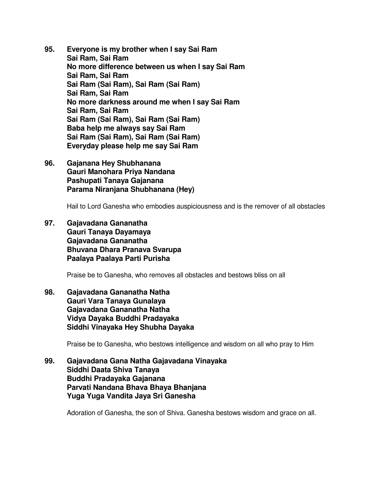- **95. Everyone is my brother when I say Sai Ram Sai Ram, Sai Ram No more difference between us when I say Sai Ram Sai Ram, Sai Ram Sai Ram (Sai Ram), Sai Ram (Sai Ram) Sai Ram, Sai Ram No more darkness around me when I say Sai Ram Sai Ram, Sai Ram Sai Ram (Sai Ram), Sai Ram (Sai Ram) Baba help me always say Sai Ram Sai Ram (Sai Ram), Sai Ram (Sai Ram) Everyday please help me say Sai Ram**
- **96. Gajanana Hey Shubhanana Gauri Manohara Priya Nandana Pashupati Tanaya Gajanana Parama Niranjana Shubhanana (Hey)**

Hail to Lord Ganesha who embodies auspiciousness and is the remover of all obstacles

**97. Gajavadana Gananatha Gauri Tanaya Dayamaya Gajavadana Gananatha Bhuvana Dhara Pranava Svarupa Paalaya Paalaya Parti Purisha**

Praise be to Ganesha, who removes all obstacles and bestows bliss on all

**98. Gajavadana Gananatha Natha Gauri Vara Tanaya Gunalaya Gajavadana Gananatha Natha Vidya Dayaka Buddhi Pradayaka Siddhi Vinayaka Hey Shubha Dayaka**

Praise be to Ganesha, who bestows intelligence and wisdom on all who pray to Him

**99. Gajavadana Gana Natha Gajavadana Vinayaka Siddhi Daata Shiva Tanaya Buddhi Pradayaka Gajanana Parvati Nandana Bhava Bhaya Bhanjana Yuga Yuga Vandita Jaya Sri Ganesha**

Adoration of Ganesha, the son of Shiva. Ganesha bestows wisdom and grace on all.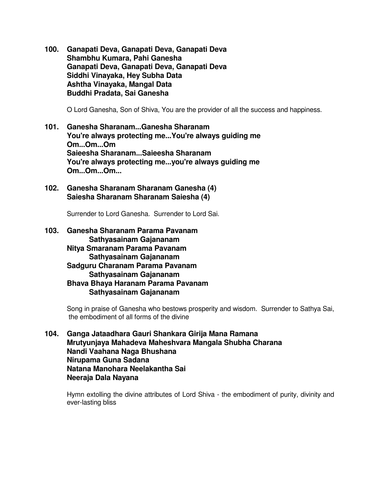**100. Ganapati Deva, Ganapati Deva, Ganapati Deva Shambhu Kumara, Pahi Ganesha Ganapati Deva, Ganapati Deva, Ganapati Deva Siddhi Vinayaka, Hey Subha Data Ashtha Vinayaka, Mangal Data Buddhi Pradata, Sai Ganesha**

O Lord Ganesha, Son of Shiva, You are the provider of all the success and happiness.

- **101. Ganesha Sharanam...Ganesha Sharanam You're always protecting me...You're always guiding me Om...Om...Om Saieesha Sharanam...Saieesha Sharanam You're always protecting me...you're always guiding me Om...Om...Om...**
- **102. Ganesha Sharanam Sharanam Ganesha (4) Saiesha Sharanam Sharanam Saiesha (4)**

Surrender to Lord Ganesha. Surrender to Lord Sai.

**103. Ganesha Sharanam Parama Pavanam Sathyasainam Gajananam Nitya Smaranam Parama Pavanam Sathyasainam Gajananam Sadguru Charanam Parama Pavanam Sathyasainam Gajananam Bhava Bhaya Haranam Parama Pavanam Sathyasainam Gajananam**

> Song in praise of Ganesha who bestows prosperity and wisdom. Surrender to Sathya Sai, the embodiment of all forms of the divine

**104. Ganga Jataadhara Gauri Shankara Girija Mana Ramana Mrutyunjaya Mahadeva Maheshvara Mangala Shubha Charana Nandi Vaahana Naga Bhushana Nirupama Guna Sadana Natana Manohara Neelakantha Sai Neeraja Dala Nayana**

Hymn extolling the divine attributes of Lord Shiva - the embodiment of purity, divinity and ever-lasting bliss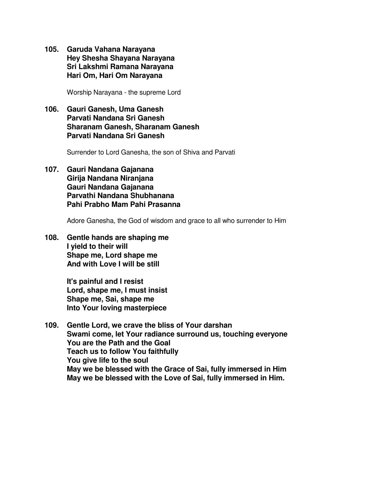**105. Garuda Vahana Narayana Hey Shesha Shayana Narayana Sri Lakshmi Ramana Narayana Hari Om, Hari Om Narayana**

Worship Narayana - the supreme Lord

**106. Gauri Ganesh, Uma Ganesh Parvati Nandana Sri Ganesh Sharanam Ganesh, Sharanam Ganesh Parvati Nandana Sri Ganesh**

Surrender to Lord Ganesha, the son of Shiva and Parvati

**107. Gauri Nandana Gajanana Girija Nandana Niranjana Gauri Nandana Gajanana Parvathi Nandana Shubhanana Pahi Prabho Mam Pahi Prasanna**

Adore Ganesha, the God of wisdom and grace to all who surrender to Him

**108. Gentle hands are shaping me I yield to their will Shape me, Lord shape me And with Love I will be still** 

> **It's painful and I resist Lord, shape me, I must insist Shape me, Sai, shape me Into Your loving masterpiece**

**109. Gentle Lord, we crave the bliss of Your darshan Swami come, let Your radiance surround us, touching everyone You are the Path and the Goal Teach us to follow You faithfully You give life to the soul May we be blessed with the Grace of Sai, fully immersed in Him May we be blessed with the Love of Sai, fully immersed in Him.**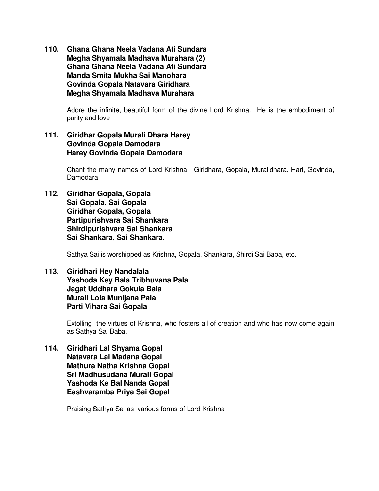**110. Ghana Ghana Neela Vadana Ati Sundara Megha Shyamala Madhava Murahara (2) Ghana Ghana Neela Vadana Ati Sundara Manda Smita Mukha Sai Manohara Govinda Gopala Natavara Giridhara Megha Shyamala Madhava Murahara** 

> Adore the infinite, beautiful form of the divine Lord Krishna. He is the embodiment of purity and love

### **111. Giridhar Gopala Murali Dhara Harey Govinda Gopala Damodara Harey Govinda Gopala Damodara**

Chant the many names of Lord Krishna - Giridhara, Gopala, Muralidhara, Hari, Govinda, Damodara

**112. Giridhar Gopala, Gopala Sai Gopala, Sai Gopala Giridhar Gopala, Gopala Partipurishvara Sai Shankara Shirdipurishvara Sai Shankara Sai Shankara, Sai Shankara.** 

Sathya Sai is worshipped as Krishna, Gopala, Shankara, Shirdi Sai Baba, etc.

**113. Giridhari Hey Nandalala Yashoda Key Bala Tribhuvana Pala Jagat Uddhara Gokula Bala Murali Lola Munijana Pala Parti Vihara Sai Gopala**

> Extolling the virtues of Krishna, who fosters all of creation and who has now come again as Sathya Sai Baba.

**114. Giridhari Lal Shyama Gopal Natavara Lal Madana Gopal Mathura Natha Krishna Gopal Sri Madhusudana Murali Gopal Yashoda Ke Bal Nanda Gopal Eashvaramba Priya Sai Gopal** 

Praising Sathya Sai as various forms of Lord Krishna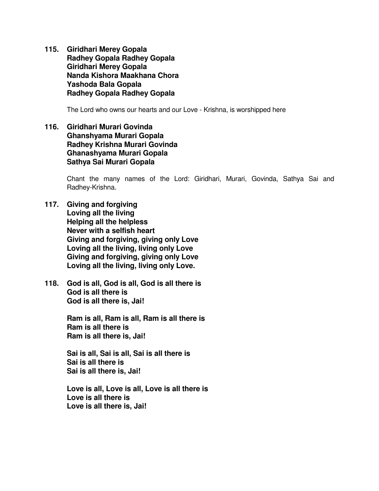**115. Giridhari Merey Gopala Radhey Gopala Radhey Gopala Giridhari Merey Gopala Nanda Kishora Maakhana Chora Yashoda Bala Gopala Radhey Gopala Radhey Gopala**

The Lord who owns our hearts and our Love - Krishna, is worshipped here

**116. Giridhari Murari Govinda Ghanshyama Murari Gopala Radhey Krishna Murari Govinda Ghanashyama Murari Gopala Sathya Sai Murari Gopala**

> Chant the many names of the Lord: Giridhari, Murari, Govinda, Sathya Sai and Radhey-Krishna.

- **117. Giving and forgiving Loving all the living Helping all the helpless Never with a selfish heart Giving and forgiving, giving only Love Loving all the living, living only Love Giving and forgiving, giving only Love Loving all the living, living only Love.**
- **118. God is all, God is all, God is all there is God is all there is God is all there is, Jai!**

 **Ram is all, Ram is all, Ram is all there is Ram is all there is Ram is all there is, Jai!** 

 **Sai is all, Sai is all, Sai is all there is Sai is all there is Sai is all there is, Jai!** 

 **Love is all, Love is all, Love is all there is Love is all there is Love is all there is, Jai!**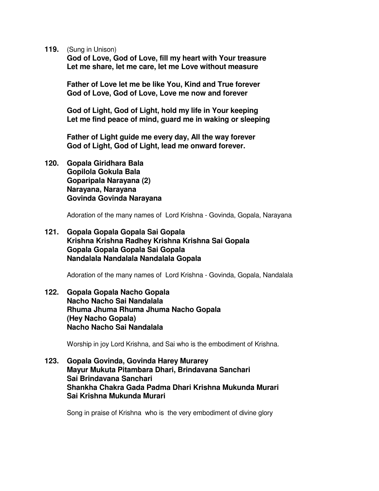**119.** (Sung in Unison)

 **God of Love, God of Love, fill my heart with Your treasure Let me share, let me care, let me Love without measure** 

 **Father of Love let me be like You, Kind and True forever God of Love, God of Love, Love me now and forever** 

 **God of Light, God of Light, hold my life in Your keeping Let me find peace of mind, guard me in waking or sleeping** 

 **Father of Light guide me every day, All the way forever God of Light, God of Light, lead me onward forever.** 

**120. Gopala Giridhara Bala Gopilola Gokula Bala Goparipala Narayana (2) Narayana, Narayana Govinda Govinda Narayana**

Adoration of the many names of Lord Krishna - Govinda, Gopala, Narayana

**121. Gopala Gopala Gopala Sai Gopala Krishna Krishna Radhey Krishna Krishna Sai Gopala Gopala Gopala Gopala Sai Gopala Nandalala Nandalala Nandalala Gopala**

Adoration of the many names of Lord Krishna - Govinda, Gopala, Nandalala

## **122. Gopala Gopala Nacho Gopala Nacho Nacho Sai Nandalala Rhuma Jhuma Rhuma Jhuma Nacho Gopala (Hey Nacho Gopala) Nacho Nacho Sai Nandalala**

Worship in joy Lord Krishna, and Sai who is the embodiment of Krishna.

**123. Gopala Govinda, Govinda Harey Murarey Mayur Mukuta Pitambara Dhari, Brindavana Sanchari Sai Brindavana Sanchari Shankha Chakra Gada Padma Dhari Krishna Mukunda Murari Sai Krishna Mukunda Murari**

Song in praise of Krishna who is the very embodiment of divine glory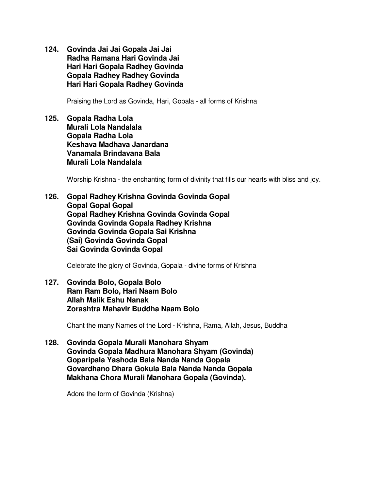**124. Govinda Jai Jai Gopala Jai Jai Radha Ramana Hari Govinda Jai Hari Hari Gopala Radhey Govinda Gopala Radhey Radhey Govinda Hari Hari Gopala Radhey Govinda** 

Praising the Lord as Govinda, Hari, Gopala - all forms of Krishna

**125. Gopala Radha Lola Murali Lola Nandalala Gopala Radha Lola Keshava Madhava Janardana Vanamala Brindavana Bala Murali Lola Nandalala**

Worship Krishna - the enchanting form of divinity that fills our hearts with bliss and joy.

**126. Gopal Radhey Krishna Govinda Govinda Gopal Gopal Gopal Gopal Gopal Radhey Krishna Govinda Govinda Gopal Govinda Govinda Gopala Radhey Krishna Govinda Govinda Gopala Sai Krishna (Sai) Govinda Govinda Gopal Sai Govinda Govinda Gopal**

Celebrate the glory of Govinda, Gopala - divine forms of Krishna

**127. Govinda Bolo, Gopala Bolo Ram Ram Bolo, Hari Naam Bolo Allah Malik Eshu Nanak Zorashtra Mahavir Buddha Naam Bolo**

Chant the many Names of the Lord - Krishna, Rama, Allah, Jesus, Buddha

**128. Govinda Gopala Murali Manohara Shyam Govinda Gopala Madhura Manohara Shyam (Govinda) Goparipala Yashoda Bala Nanda Nanda Gopala Govardhano Dhara Gokula Bala Nanda Nanda Gopala Makhana Chora Murali Manohara Gopala (Govinda).** 

Adore the form of Govinda (Krishna)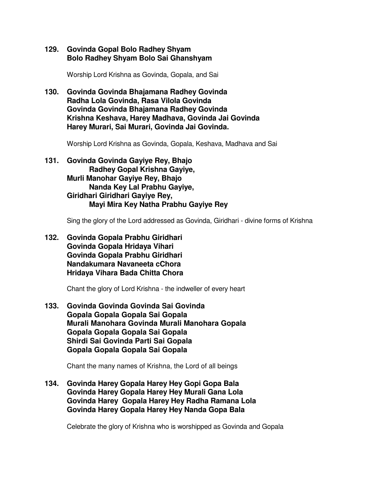## **129. Govinda Gopal Bolo Radhey Shyam Bolo Radhey Shyam Bolo Sai Ghanshyam**

Worship Lord Krishna as Govinda, Gopala, and Sai

**130. Govinda Govinda Bhajamana Radhey Govinda Radha Lola Govinda, Rasa Vilola Govinda Govinda Govinda Bhajamana Radhey Govinda Krishna Keshava, Harey Madhava, Govinda Jai Govinda Harey Murari, Sai Murari, Govinda Jai Govinda.**

Worship Lord Krishna as Govinda, Gopala, Keshava, Madhava and Sai

**131. Govinda Govinda Gayiye Rey, Bhajo Radhey Gopal Krishna Gayiye, Murli Manohar Gayiye Rey, Bhajo Nanda Key Lal Prabhu Gayiye, Giridhari Giridhari Gayiye Rey, Mayi Mira Key Natha Prabhu Gayiye Rey**

Sing the glory of the Lord addressed as Govinda, Giridhari - divine forms of Krishna

**132. Govinda Gopala Prabhu Giridhari Govinda Gopala Hridaya Vihari Govinda Gopala Prabhu Giridhari Nandakumara Navaneeta cChora Hridaya Vihara Bada Chitta Chora** 

Chant the glory of Lord Krishna - the indweller of every heart

**133. Govinda Govinda Govinda Sai Govinda Gopala Gopala Gopala Sai Gopala Murali Manohara Govinda Murali Manohara Gopala Gopala Gopala Gopala Sai Gopala Shirdi Sai Govinda Parti Sai Gopala Gopala Gopala Gopala Sai Gopala** 

Chant the many names of Krishna, the Lord of all beings

**134. Govinda Harey Gopala Harey Hey Gopi Gopa Bala Govinda Harey Gopala Harey Hey Murali Gana Lola Govinda Harey Gopala Harey Hey Radha Ramana Lola Govinda Harey Gopala Harey Hey Nanda Gopa Bala**

Celebrate the glory of Krishna who is worshipped as Govinda and Gopala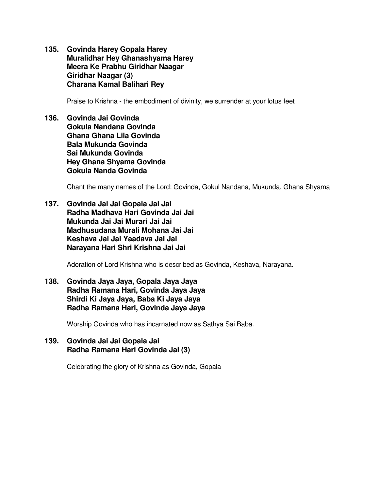**135. Govinda Harey Gopala Harey Muralidhar Hey Ghanashyama Harey Meera Ke Prabhu Giridhar Naagar Giridhar Naagar (3) Charana Kamal Balihari Rey** 

Praise to Krishna - the embodiment of divinity, we surrender at your lotus feet

**136. Govinda Jai Govinda Gokula Nandana Govinda Ghana Ghana Lila Govinda Bala Mukunda Govinda Sai Mukunda Govinda Hey Ghana Shyama Govinda Gokula Nanda Govinda**

Chant the many names of the Lord: Govinda, Gokul Nandana, Mukunda, Ghana Shyama

**137. Govinda Jai Jai Gopala Jai Jai Radha Madhava Hari Govinda Jai Jai Mukunda Jai Jai Murari Jai Jai Madhusudana Murali Mohana Jai Jai Keshava Jai Jai Yaadava Jai Jai Narayana Hari Shri Krishna Jai Jai** 

Adoration of Lord Krishna who is described as Govinda, Keshava, Narayana.

**138. Govinda Jaya Jaya, Gopala Jaya Jaya Radha Ramana Hari, Govinda Jaya Jaya Shirdi Ki Jaya Jaya, Baba Ki Jaya Jaya Radha Ramana Hari, Govinda Jaya Jaya**

Worship Govinda who has incarnated now as Sathya Sai Baba.

**139. Govinda Jai Jai Gopala Jai Radha Ramana Hari Govinda Jai (3)** 

Celebrating the glory of Krishna as Govinda, Gopala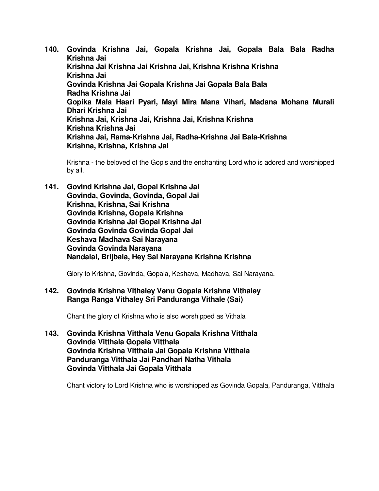**140. Govinda Krishna Jai, Gopala Krishna Jai, Gopala Bala Bala Radha Krishna Jai Krishna Jai Krishna Jai Krishna Jai, Krishna Krishna Krishna Krishna Jai Govinda Krishna Jai Gopala Krishna Jai Gopala Bala Bala Radha Krishna Jai Gopika Mala Haari Pyari, Mayi Mira Mana Vihari, Madana Mohana Murali Dhari Krishna Jai Krishna Jai, Krishna Jai, Krishna Jai, Krishna Krishna Krishna Krishna Jai Krishna Jai, Rama-Krishna Jai, Radha-Krishna Jai Bala-Krishna Krishna, Krishna, Krishna Jai**

Krishna - the beloved of the Gopis and the enchanting Lord who is adored and worshipped by all.

**141. Govind Krishna Jai, Gopal Krishna Jai Govinda, Govinda, Govinda, Gopal Jai Krishna, Krishna, Sai Krishna Govinda Krishna, Gopala Krishna Govinda Krishna Jai Gopal Krishna Jai Govinda Govinda Govinda Gopal Jai Keshava Madhava Sai Narayana Govinda Govinda Narayana Nandalal, Brijbala, Hey Sai Narayana Krishna Krishna** 

Glory to Krishna, Govinda, Gopala, Keshava, Madhava, Sai Narayana.

# **142. Govinda Krishna Vithaley Venu Gopala Krishna Vithaley Ranga Ranga Vithaley Sri Panduranga Vithale (Sai)**

Chant the glory of Krishna who is also worshipped as Vithala

**143. Govinda Krishna Vitthala Venu Gopala Krishna Vitthala Govinda Vitthala Gopala Vitthala Govinda Krishna Vitthala Jai Gopala Krishna Vitthala Panduranga Vitthala Jai Pandhari Natha Vithala Govinda Vitthala Jai Gopala Vitthala**

Chant victory to Lord Krishna who is worshipped as Govinda Gopala, Panduranga, Vitthala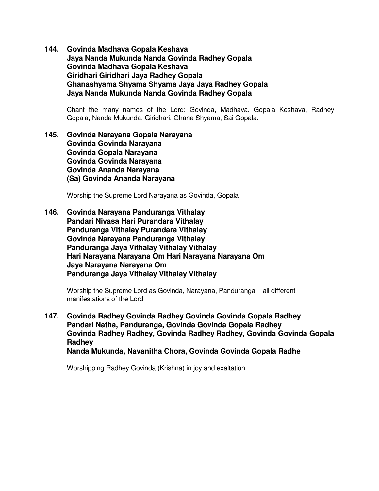**144. Govinda Madhava Gopala Keshava Jaya Nanda Mukunda Nanda Govinda Radhey Gopala Govinda Madhava Gopala Keshava Giridhari Giridhari Jaya Radhey Gopala Ghanashyama Shyama Shyama Jaya Jaya Radhey Gopala Jaya Nanda Mukunda Nanda Govinda Radhey Gopala**

Chant the many names of the Lord: Govinda, Madhava, Gopala Keshava, Radhey Gopala, Nanda Mukunda, Giridhari, Ghana Shyama, Sai Gopala.

**145. Govinda Narayana Gopala Narayana Govinda Govinda Narayana Govinda Gopala Narayana Govinda Govinda Narayana Govinda Ananda Narayana (Sa) Govinda Ananda Narayana** 

Worship the Supreme Lord Narayana as Govinda, Gopala

**146. Govinda Narayana Panduranga Vithalay Pandari Nivasa Hari Purandara Vithalay Panduranga Vithalay Purandara Vithalay Govinda Narayana Panduranga Vithalay Panduranga Jaya Vithalay Vithalay Vithalay Hari Narayana Narayana Om Hari Narayana Narayana Om Jaya Narayana Narayana Om Panduranga Jaya Vithalay Vithalay Vithalay** 

Worship the Supreme Lord as Govinda, Narayana, Panduranga – all different manifestations of the Lord

**147. Govinda Radhey Govinda Radhey Govinda Govinda Gopala Radhey Pandari Natha, Panduranga, Govinda Govinda Gopala Radhey Govinda Radhey Radhey, Govinda Radhey Radhey, Govinda Govinda Gopala Radhey Nanda Mukunda, Navanitha Chora, Govinda Govinda Gopala Radhe** 

Worshipping Radhey Govinda (Krishna) in joy and exaltation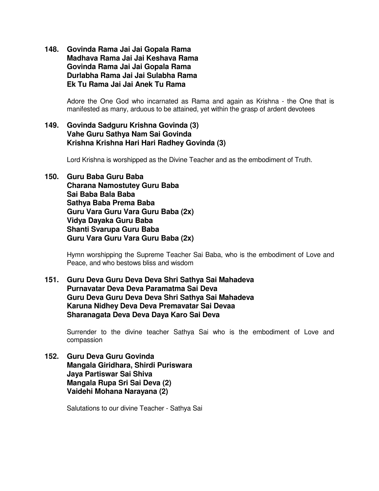**148. Govinda Rama Jai Jai Gopala Rama Madhava Rama Jai Jai Keshava Rama Govinda Rama Jai Jai Gopala Rama Durlabha Rama Jai Jai Sulabha Rama Ek Tu Rama Jai Jai Anek Tu Rama**

> Adore the One God who incarnated as Rama and again as Krishna - the One that is manifested as many, arduous to be attained, yet within the grasp of ardent devotees

**149. Govinda Sadguru Krishna Govinda (3) Vahe Guru Sathya Nam Sai Govinda Krishna Krishna Hari Hari Radhey Govinda (3)**

Lord Krishna is worshipped as the Divine Teacher and as the embodiment of Truth.

**150. Guru Baba Guru Baba Charana Namostutey Guru Baba Sai Baba Bala Baba Sathya Baba Prema Baba Guru Vara Guru Vara Guru Baba (2x) Vidya Dayaka Guru Baba Shanti Svarupa Guru Baba Guru Vara Guru Vara Guru Baba (2x)**

> Hymn worshipping the Supreme Teacher Sai Baba, who is the embodiment of Love and Peace, and who bestows bliss and wisdom

**151. Guru Deva Guru Deva Deva Shri Sathya Sai Mahadeva Purnavatar Deva Deva Paramatma Sai Deva Guru Deva Guru Deva Deva Shri Sathya Sai Mahadeva Karuna Nidhey Deva Deva Premavatar Sai Devaa Sharanagata Deva Deva Daya Karo Sai Deva** 

Surrender to the divine teacher Sathya Sai who is the embodiment of Love and compassion

**152. Guru Deva Guru Govinda Mangala Giridhara, Shirdi Puriswara Jaya Partiswar Sai Shiva Mangala Rupa Sri Sai Deva (2) Vaidehi Mohana Narayana (2)**

Salutations to our divine Teacher - Sathya Sai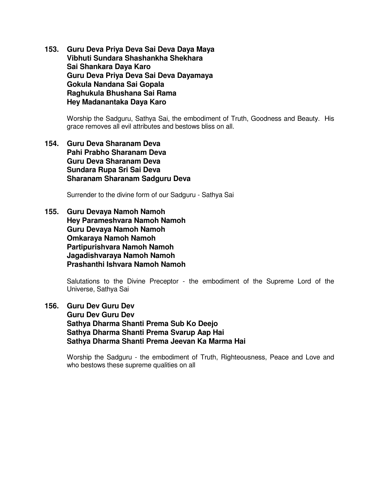**153. Guru Deva Priya Deva Sai Deva Daya Maya Vibhuti Sundara Shashankha Shekhara Sai Shankara Daya Karo Guru Deva Priya Deva Sai Deva Dayamaya Gokula Nandana Sai Gopala Raghukula Bhushana Sai Rama Hey Madanantaka Daya Karo** 

> Worship the Sadguru, Sathya Sai, the embodiment of Truth, Goodness and Beauty. His grace removes all evil attributes and bestows bliss on all.

**154. Guru Deva Sharanam Deva Pahi Prabho Sharanam Deva Guru Deva Sharanam Deva Sundara Rupa Sri Sai Deva Sharanam Sharanam Sadguru Deva**

Surrender to the divine form of our Sadguru - Sathya Sai

**155. Guru Devaya Namoh Namoh Hey Parameshvara Namoh Namoh Guru Devaya Namoh Namoh Omkaraya Namoh Namoh Partipurishvara Namoh Namoh Jagadishvaraya Namoh Namoh Prashanthi Ishvara Namoh Namoh**

> Salutations to the Divine Preceptor - the embodiment of the Supreme Lord of the Universe, Sathya Sai

**156. Guru Dev Guru Dev** 

 **Guru Dev Guru Dev Sathya Dharma Shanti Prema Sub Ko Deejo Sathya Dharma Shanti Prema Svarup Aap Hai Sathya Dharma Shanti Prema Jeevan Ka Marma Hai**

 Worship the Sadguru - the embodiment of Truth, Righteousness, Peace and Love and who bestows these supreme qualities on all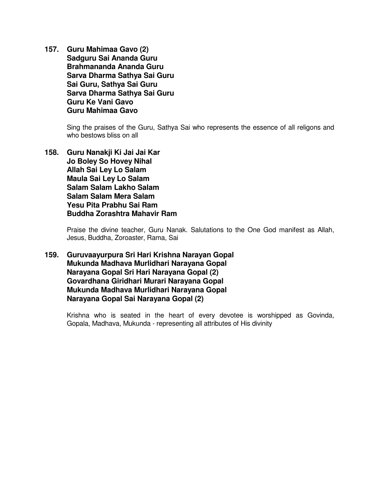**157. Guru Mahimaa Gavo (2) Sadguru Sai Ananda Guru Brahmananda Ananda Guru Sarva Dharma Sathya Sai Guru Sai Guru, Sathya Sai Guru Sarva Dharma Sathya Sai Guru Guru Ke Vani Gavo Guru Mahimaa Gavo**

> Sing the praises of the Guru, Sathya Sai who represents the essence of all religons and who bestows bliss on all

**158. Guru Nanakji Ki Jai Jai Kar Jo Boley So Hovey Nihal Allah Sai Ley Lo Salam Maula Sai Ley Lo Salam Salam Salam Lakho Salam Salam Salam Mera Salam Yesu Pita Prabhu Sai Ram Buddha Zorashtra Mahavir Ram**

> Praise the divine teacher, Guru Nanak. Salutations to the One God manifest as Allah, Jesus, Buddha, Zoroaster, Rama, Sai

**159. Guruvaayurpura Sri Hari Krishna Narayan Gopal Mukunda Madhava Murlidhari Narayana Gopal Narayana Gopal Sri Hari Narayana Gopal (2) Govardhana Giridhari Murari Narayana Gopal Mukunda Madhava Murlidhari Narayana Gopal Narayana Gopal Sai Narayana Gopal (2)** 

> Krishna who is seated in the heart of every devotee is worshipped as Govinda, Gopala, Madhava, Mukunda - representing all attributes of His divinity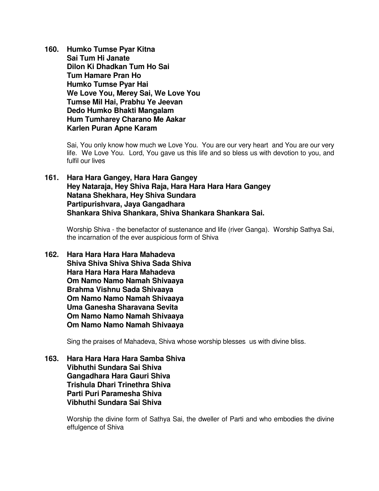**160. Humko Tumse Pyar Kitna Sai Tum Hi Janate Dilon Ki Dhadkan Tum Ho Sai Tum Hamare Pran Ho Humko Tumse Pyar Hai We Love You, Merey Sai, We Love You Tumse Mil Hai, Prabhu Ye Jeevan Dedo Humko Bhakti Mangalam Hum Tumharey Charano Me Aakar Karlen Puran Apne Karam**

> Sai, You only know how much we Love You. You are our very heart and You are our very life. We Love You. Lord, You gave us this life and so bless us with devotion to you, and fulfil our lives

**161. Hara Hara Gangey, Hara Hara Gangey Hey Nataraja, Hey Shiva Raja, Hara Hara Hara Hara Gangey Natana Shekhara, Hey Shiva Sundara Partipurishvara, Jaya Gangadhara Shankara Shiva Shankara, Shiva Shankara Shankara Sai.**

Worship Shiva - the benefactor of sustenance and life (river Ganga). Worship Sathya Sai, the incarnation of the ever auspicious form of Shiva

**162. Hara Hara Hara Hara Mahadeva Shiva Shiva Shiva Shiva Sada Shiva Hara Hara Hara Hara Mahadeva Om Namo Namo Namah Shivaaya Brahma Vishnu Sada Shivaaya Om Namo Namo Namah Shivaaya Uma Ganesha Sharavana Sevita Om Namo Namo Namah Shivaaya Om Namo Namo Namah Shivaaya** 

Sing the praises of Mahadeva, Shiva whose worship blesses us with divine bliss.

**163. Hara Hara Hara Hara Samba Shiva Vibhuthi Sundara Sai Shiva Gangadhara Hara Gauri Shiva Trishula Dhari Trinethra Shiva Parti Puri Paramesha Shiva Vibhuthi Sundara Sai Shiva**

> Worship the divine form of Sathya Sai, the dweller of Parti and who embodies the divine effulgence of Shiva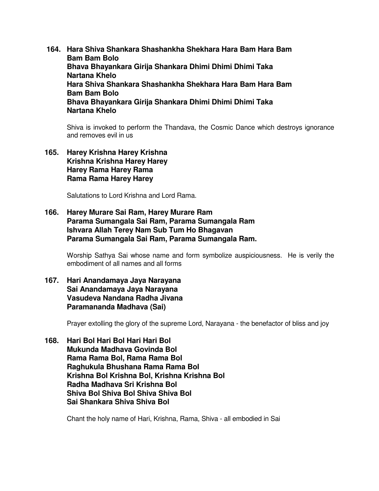**164. Hara Shiva Shankara Shashankha Shekhara Hara Bam Hara Bam Bam Bam Bolo Bhava Bhayankara Girija Shankara Dhimi Dhimi Dhimi Taka Nartana Khelo Hara Shiva Shankara Shashankha Shekhara Hara Bam Hara Bam Bam Bam Bolo Bhava Bhayankara Girija Shankara Dhimi Dhimi Dhimi Taka Nartana Khelo**

Shiva is invoked to perform the Thandava, the Cosmic Dance which destroys ignorance and removes evil in us

**165. Harey Krishna Harey Krishna Krishna Krishna Harey Harey Harey Rama Harey Rama Rama Rama Harey Harey**

Salutations to Lord Krishna and Lord Rama.

**166. Harey Murare Sai Ram, Harey Murare Ram Parama Sumangala Sai Ram, Parama Sumangala Ram Ishvara Allah Terey Nam Sub Tum Ho Bhagavan Parama Sumangala Sai Ram, Parama Sumangala Ram.**

> Worship Sathya Sai whose name and form symbolize auspiciousness. He is verily the embodiment of all names and all forms

**167. Hari Anandamaya Jaya Narayana Sai Anandamaya Jaya Narayana Vasudeva Nandana Radha Jivana Paramananda Madhava (Sai)**

Prayer extolling the glory of the supreme Lord, Narayana - the benefactor of bliss and joy

**168. Hari Bol Hari Bol Hari Hari Bol Mukunda Madhava Govinda Bol Rama Rama Bol, Rama Rama Bol Raghukula Bhushana Rama Rama Bol Krishna Bol Krishna Bol, Krishna Krishna Bol Radha Madhava Sri Krishna Bol Shiva Bol Shiva Bol Shiva Shiva Bol Sai Shankara Shiva Shiva Bol**

Chant the holy name of Hari, Krishna, Rama, Shiva - all embodied in Sai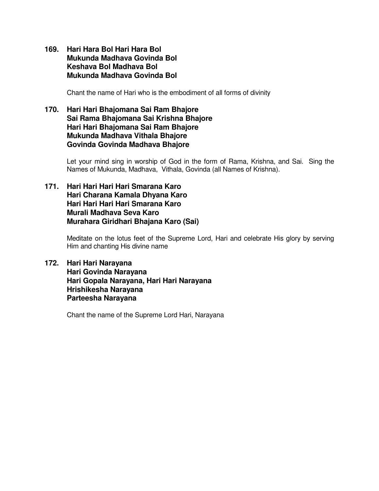**169. Hari Hara Bol Hari Hara Bol Mukunda Madhava Govinda Bol Keshava Bol Madhava Bol Mukunda Madhava Govinda Bol** 

Chant the name of Hari who is the embodiment of all forms of divinity

**170. Hari Hari Bhajomana Sai Ram Bhajore Sai Rama Bhajomana Sai Krishna Bhajore Hari Hari Bhajomana Sai Ram Bhajore Mukunda Madhava Vithala Bhajore Govinda Govinda Madhava Bhajore**

> Let your mind sing in worship of God in the form of Rama, Krishna, and Sai. Sing the Names of Mukunda, Madhava, Vithala, Govinda (all Names of Krishna).

**171. Hari Hari Hari Hari Smarana Karo Hari Charana Kamala Dhyana Karo Hari Hari Hari Hari Smarana Karo Murali Madhava Seva Karo Murahara Giridhari Bhajana Karo (Sai)**

> Meditate on the lotus feet of the Supreme Lord, Hari and celebrate His glory by serving Him and chanting His divine name

**172. Hari Hari Narayana Hari Govinda Narayana Hari Gopala Narayana, Hari Hari Narayana Hrishikesha Narayana Parteesha Narayana** 

Chant the name of the Supreme Lord Hari, Narayana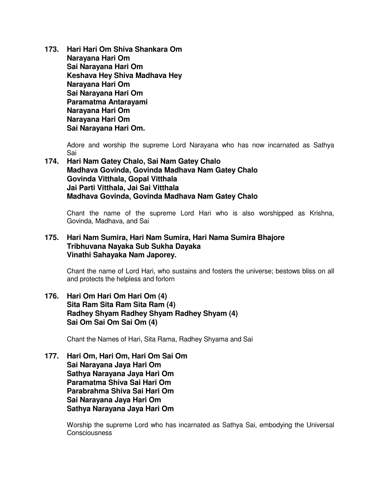**173. Hari Hari Om Shiva Shankara Om Narayana Hari Om Sai Narayana Hari Om Keshava Hey Shiva Madhava Hey Narayana Hari Om Sai Narayana Hari Om Paramatma Antarayami Narayana Hari Om Narayana Hari Om Sai Narayana Hari Om.**

> Adore and worship the supreme Lord Narayana who has now incarnated as Sathya Sai

**174. Hari Nam Gatey Chalo, Sai Nam Gatey Chalo Madhava Govinda, Govinda Madhava Nam Gatey Chalo Govinda Vitthala, Gopal Vitthala Jai Parti Vitthala, Jai Sai Vitthala Madhava Govinda, Govinda Madhava Nam Gatey Chalo**

> Chant the name of the supreme Lord Hari who is also worshipped as Krishna, Govinda, Madhava, and Sai

## **175. Hari Nam Sumira, Hari Nam Sumira, Hari Nama Sumira Bhajore Tribhuvana Nayaka Sub Sukha Dayaka Vinathi Sahayaka Nam Japorey.**

 Chant the name of Lord Hari, who sustains and fosters the universe; bestows bliss on all and protects the helpless and forlorn

**176. Hari Om Hari Om Hari Om (4) Sita Ram Sita Ram Sita Ram (4) Radhey Shyam Radhey Shyam Radhey Shyam (4) Sai Om Sai Om Sai Om (4)**

Chant the Names of Hari, Sita Rama, Radhey Shyama and Sai

**177. Hari Om, Hari Om, Hari Om Sai Om Sai Narayana Jaya Hari Om Sathya Narayana Jaya Hari Om Paramatma Shiva Sai Hari Om Parabrahma Shiva Sai Hari Om Sai Narayana Jaya Hari Om Sathya Narayana Jaya Hari Om**

> Worship the supreme Lord who has incarnated as Sathya Sai, embodying the Universal Consciousness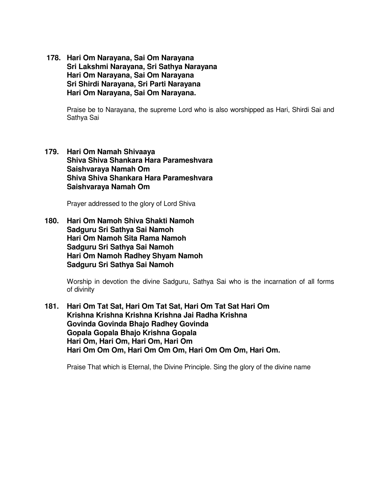**178. Hari Om Narayana, Sai Om Narayana Sri Lakshmi Narayana, Sri Sathya Narayana Hari Om Narayana, Sai Om Narayana Sri Shirdi Narayana, Sri Parti Narayana Hari Om Narayana, Sai Om Narayana.**

> Praise be to Narayana, the supreme Lord who is also worshipped as Hari, Shirdi Sai and Sathya Sai

**179. Hari Om Namah Shivaaya Shiva Shiva Shankara Hara Parameshvara Saishvaraya Namah Om Shiva Shiva Shankara Hara Parameshvara Saishvaraya Namah Om** 

Prayer addressed to the glory of Lord Shiva

**180. Hari Om Namoh Shiva Shakti Namoh Sadguru Sri Sathya Sai Namoh Hari Om Namoh Sita Rama Namoh Sadguru Sri Sathya Sai Namoh Hari Om Namoh Radhey Shyam Namoh Sadguru Sri Sathya Sai Namoh** 

> Worship in devotion the divine Sadguru, Sathya Sai who is the incarnation of all forms of divinity

**181. Hari Om Tat Sat, Hari Om Tat Sat, Hari Om Tat Sat Hari Om Krishna Krishna Krishna Krishna Jai Radha Krishna Govinda Govinda Bhajo Radhey Govinda Gopala Gopala Bhajo Krishna Gopala Hari Om, Hari Om, Hari Om, Hari Om Hari Om Om Om, Hari Om Om Om, Hari Om Om Om, Hari Om.**

Praise That which is Eternal, the Divine Principle. Sing the glory of the divine name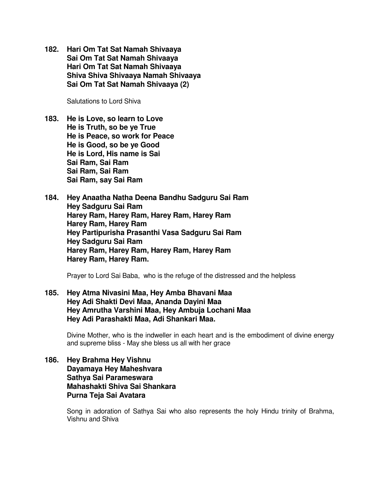**182. Hari Om Tat Sat Namah Shivaaya Sai Om Tat Sat Namah Shivaaya Hari Om Tat Sat Namah Shivaaya Shiva Shiva Shivaaya Namah Shivaaya Sai Om Tat Sat Namah Shivaaya (2)** 

Salutations to Lord Shiva

- **183. He is Love, so learn to Love He is Truth, so be ye True He is Peace, so work for Peace He is Good, so be ye Good He is Lord, His name is Sai Sai Ram, Sai Ram Sai Ram, Sai Ram Sai Ram, say Sai Ram**
- **184. Hey Anaatha Natha Deena Bandhu Sadguru Sai Ram Hey Sadguru Sai Ram Harey Ram, Harey Ram, Harey Ram, Harey Ram Harey Ram, Harey Ram Hey Partipurisha Prasanthi Vasa Sadguru Sai Ram Hey Sadguru Sai Ram Harey Ram, Harey Ram, Harey Ram, Harey Ram Harey Ram, Harey Ram.**

Prayer to Lord Sai Baba, who is the refuge of the distressed and the helpless

# **185. Hey Atma Nivasini Maa, Hey Amba Bhavani Maa Hey Adi Shakti Devi Maa, Ananda Dayini Maa Hey Amrutha Varshini Maa, Hey Ambuja Lochani Maa Hey Adi Parashakti Maa, Adi Shankari Maa.**

 Divine Mother, who is the indweller in each heart and is the embodiment of divine energy and supreme bliss - May she bless us all with her grace

**186. Hey Brahma Hey Vishnu Dayamaya Hey Maheshvara Sathya Sai Parameswara Mahashakti Shiva Sai Shankara Purna Teja Sai Avatara**

> Song in adoration of Sathya Sai who also represents the holy Hindu trinity of Brahma, Vishnu and Shiva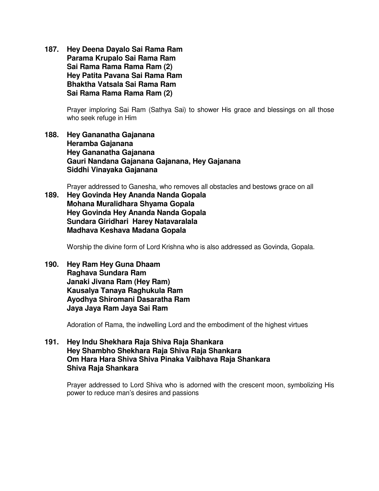**187. Hey Deena Dayalo Sai Rama Ram Parama Krupalo Sai Rama Ram Sai Rama Rama Rama Ram (2) Hey Patita Pavana Sai Rama Ram Bhaktha Vatsala Sai Rama Ram Sai Rama Rama Rama Ram (2)**

> Prayer imploring Sai Ram (Sathya Sai) to shower His grace and blessings on all those who seek refuge in Him

**188. Hey Gananatha Gajanana Heramba Gajanana Hey Gananatha Gajanana Gauri Nandana Gajanana Gajanana, Hey Gajanana Siddhi Vinayaka Gajanana**

Prayer addressed to Ganesha, who removes all obstacles and bestows grace on all

**189. Hey Govinda Hey Ananda Nanda Gopala Mohana Muralidhara Shyama Gopala Hey Govinda Hey Ananda Nanda Gopala Sundara Giridhari Harey Natavaralala Madhava Keshava Madana Gopala**

Worship the divine form of Lord Krishna who is also addressed as Govinda, Gopala.

**190. Hey Ram Hey Guna Dhaam Raghava Sundara Ram Janaki Jivana Ram (Hey Ram) Kausalya Tanaya Raghukula Ram Ayodhya Shiromani Dasaratha Ram Jaya Jaya Ram Jaya Sai Ram**

Adoration of Rama, the indwelling Lord and the embodiment of the highest virtues

**191. Hey Indu Shekhara Raja Shiva Raja Shankara Hey Shambho Shekhara Raja Shiva Raja Shankara Om Hara Hara Shiva Shiva Pinaka Vaibhava Raja Shankara Shiva Raja Shankara**

Prayer addressed to Lord Shiva who is adorned with the crescent moon, symbolizing His power to reduce man's desires and passions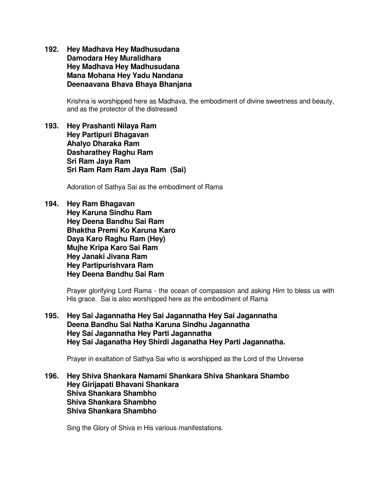**192. Hey Madhava Hey Madhusudana Damodara Hey Muralidhara Hey Madhava Hey Madhusudana Mana Mohana Hey Yadu Nandana Deenaavana Bhava Bhaya Bhanjana** 

> Krishna is worshipped here as Madhava, the embodiment of divine sweetness and beauty, and as the protector of the distressed

**193. Hey Prashanti Nilaya Ram Hey Partipuri Bhagavan Ahalyo Dharaka Ram Dasharathey Raghu Ram Sri Ram Jaya Ram Sri Ram Ram Ram Jaya Ram (Sai)** 

Adoration of Sathya Sai as the embodiment of Rama

#### **194. Hey Ram Bhagavan**

 **Hey Karuna Sindhu Ram Hey Deena Bandhu Sai Ram Bhaktha Premi Ko Karuna Karo Daya Karo Raghu Ram (Hey) Mujhe Kripa Karo Sai Ram Hey Janaki Jivana Ram Hey Partipurishvara Ram Hey Deena Bandhu Sai Ram**

 Prayer glorifying Lord Rama - the ocean of compassion and asking Him to bless us with His grace. Sai is also worshipped here as the embodiment of Rama

**195. Hey Sai Jagannatha Hey Sai Jagannatha Hey Sai Jagannatha Deena Bandhu Sai Natha Karuna Sindhu Jagannatha Hey Sai Jagannatha Hey Parti Jagannatha Hey Sai Jaganatha Hey Shirdi Jaganatha Hey Parti Jagannatha.**

Prayer in exaltation of Sathya Sai who is worshipped as the Lord of the Universe

**196. Hey Shiva Shankara Namami Shankara Shiva Shankara Shambo Hey Girijapati Bhavani Shankara Shiva Shankara Shambho Shiva Shankara Shambho Shiva Shankara Shambho**

Sing the Glory of Shiva in His various manifestations.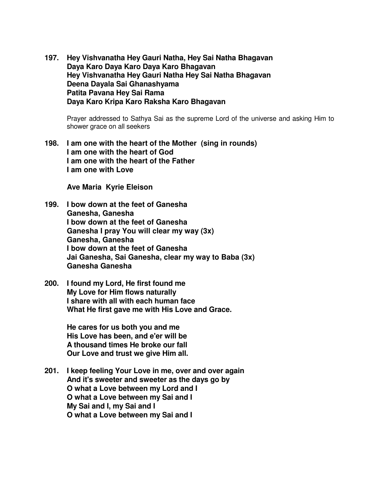**197. Hey Vishvanatha Hey Gauri Natha, Hey Sai Natha Bhagavan Daya Karo Daya Karo Daya Karo Bhagavan Hey Vishvanatha Hey Gauri Natha Hey Sai Natha Bhagavan Deena Dayala Sai Ghanashyama Patita Pavana Hey Sai Rama Daya Karo Kripa Karo Raksha Karo Bhagavan**

Prayer addressed to Sathya Sai as the supreme Lord of the universe and asking Him to shower grace on all seekers

**198. I am one with the heart of the Mother (sing in rounds) I am one with the heart of God I am one with the heart of the Father I am one with Love** 

 **Ave Maria Kyrie Eleison** 

- **199. I bow down at the feet of Ganesha Ganesha, Ganesha I bow down at the feet of Ganesha Ganesha I pray You will clear my way (3x) Ganesha, Ganesha I bow down at the feet of Ganesha Jai Ganesha, Sai Ganesha, clear my way to Baba (3x) Ganesha Ganesha**
- **200. I found my Lord, He first found me My Love for Him flows naturally I share with all with each human face What He first gave me with His Love and Grace.**

 **He cares for us both you and me His Love has been, and e'er will be A thousand times He broke our fall Our Love and trust we give Him all.**

**201. I keep feeling Your Love in me, over and over again And it's sweeter and sweeter as the days go by O what a Love between my Lord and I O what a Love between my Sai and I My Sai and I, my Sai and I O what a Love between my Sai and I**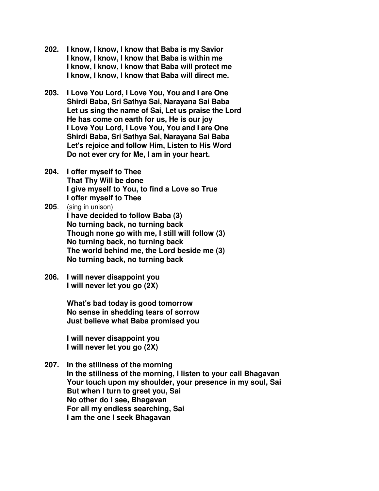- **202. I know, I know, I know that Baba is my Savior I know, I know, I know that Baba is within me I know, I know, I know that Baba will protect me I know, I know, I know that Baba will direct me.**
- **203. I Love You Lord, I Love You, You and I are One Shirdi Baba, Sri Sathya Sai, Narayana Sai Baba Let us sing the name of Sai, Let us praise the Lord He has come on earth for us, He is our joy I Love You Lord, I Love You, You and I are One Shirdi Baba, Sri Sathya Sai, Narayana Sai Baba Let's rejoice and follow Him, Listen to His Word Do not ever cry for Me, I am in your heart.**
- **204. I offer myself to Thee That Thy Will be done I give myself to You, to find a Love so True I offer myself to Thee**

**205**. (sing in unison)  **I have decided to follow Baba (3) No turning back, no turning back Though none go with me, I still will follow (3) No turning back, no turning back The world behind me, the Lord beside me (3) No turning back, no turning back** 

**206. I will never disappoint you I will never let you go (2X)** 

> **What's bad today is good tomorrow No sense in shedding tears of sorrow Just believe what Baba promised you**

 **I will never disappoint you I will never let you go (2X)** 

**207. In the stillness of the morning In the stillness of the morning, I listen to your call Bhagavan Your touch upon my shoulder, your presence in my soul, Sai But when I turn to greet you, Sai No other do I see, Bhagavan For all my endless searching, Sai I am the one I seek Bhagavan**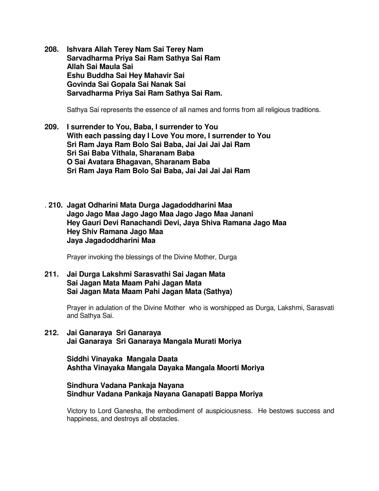**208. Ishvara Allah Terey Nam Sai Terey Nam Sarvadharma Priya Sai Ram Sathya Sai Ram Allah Sai Maula Sai Eshu Buddha Sai Hey Mahavir Sai Govinda Sai Gopala Sai Nanak Sai Sarvadharma Priya Sai Ram Sathya Sai Ram.**

Sathya Sai represents the essence of all names and forms from all religious traditions.

- **209. I surrender to You, Baba, I surrender to You With each passing day I Love You more, I surrender to You Sri Ram Jaya Ram Bolo Sai Baba, Jai Jai Jai Jai Ram Sri Sai Baba Vithala, Sharanam Baba O Sai Avatara Bhagavan, Sharanam Baba Sri Ram Jaya Ram Bolo Sai Baba, Jai Jai Jai Jai Ram**
- . **210. Jagat Odharini Mata Durga Jagadoddharini Maa Jago Jago Maa Jago Jago Maa Jago Jago Maa Janani Hey Gauri Devi Ranachandi Devi, Jaya Shiva Ramana Jago Maa Hey Shiv Ramana Jago Maa Jaya Jagadoddharini Maa**

Prayer invoking the blessings of the Divine Mother, Durga

**211. Jai Durga Lakshmi Sarasvathi Sai Jagan Mata Sai Jagan Mata Maam Pahi Jagan Mata Sai Jagan Mata Maam Pahi Jagan Mata (Sathya)**

> Prayer in adulation of the Divine Mother who is worshipped as Durga, Lakshmi, Sarasvati and Sathya Sai.

**212. Jai Ganaraya Sri Ganaraya Jai Ganaraya Sri Ganaraya Mangala Murati Moriya** 

> **Siddhi Vinayaka Mangala Daata Ashtha Vinayaka Mangala Dayaka Mangala Moorti Moriya**

### **Sindhura Vadana Pankaja Nayana Sindhur Vadana Pankaja Nayana Ganapati Bappa Moriya**

Victory to Lord Ganesha, the embodiment of auspiciousness. He bestows success and happiness, and destroys all obstacles.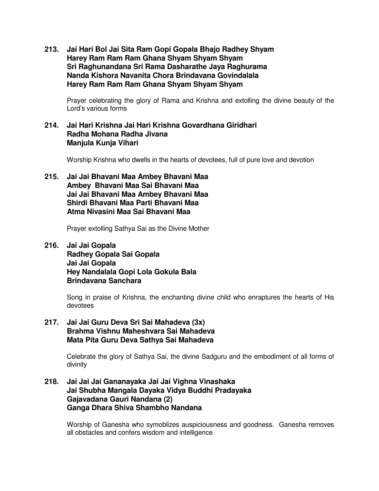**213. Jai Hari Bol Jai Sita Ram Gopi Gopala Bhajo Radhey Shyam Harey Ram Ram Ram Ghana Shyam Shyam Shyam Sri Raghunandana Sri Rama Dasharathe Jaya Raghurama Nanda Kishora Navanita Chora Brindavana Govindalala Harey Ram Ram Ram Ghana Shyam Shyam Shyam**

 Prayer celebrating the glory of Rama and Krishna and extolling the divine beauty of the Lord's various forms

### **214. Jai Hari Krishna Jai Hari Krishna Govardhana Giridhari Radha Mohana Radha Jivana Manjula Kunja Vihari**

Worship Krishna who dwells in the hearts of devotees, full of pure love and devotion

**215. Jai Jai Bhavani Maa Ambey Bhavani Maa Ambey Bhavani Maa Sai Bhavani Maa Jai Jai Bhavani Maa Ambey Bhavani Maa Shirdi Bhavani Maa Parti Bhavani Maa Atma Nivasini Maa Sai Bhavani Maa**

Prayer extolling Sathya Sai as the Divine Mother

**216. Jai Jai Gopala Radhey Gopala Sai Gopala Jai Jai Gopala Hey Nandalala Gopi Lola Gokula Bala Brindavana Sanchara**

> Song in praise of Krishna, the enchanting divine child who enraptures the hearts of His devotees

### **217. Jai Jai Guru Deva Sri Sai Mahadeva (3x) Brahma Vishnu Maheshvara Sai Mahadeva Mata Pita Guru Deva Sathya Sai Mahadeva**

Celebrate the glory of Sathya Sai, the divine Sadguru and the embodiment of all forms of divinity

### **218. Jai Jai Jai Gananayaka Jai Jai Vighna Vinashaka Jai Shubha Mangala Dayaka Vidya Buddhi Pradayaka Gajavadana Gauri Nandana (2) Ganga Dhara Shiva Shambho Nandana**

Worship of Ganesha who symoblizes auspiciousness and goodness. Ganesha removes all obstacles and confers wisdom and intelligence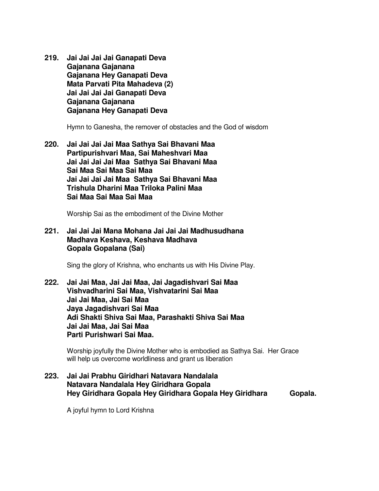**219. Jai Jai Jai Jai Ganapati Deva Gajanana Gajanana Gajanana Hey Ganapati Deva Mata Parvati Pita Mahadeva (2) Jai Jai Jai Jai Ganapati Deva Gajanana Gajanana Gajanana Hey Ganapati Deva**

Hymn to Ganesha, the remover of obstacles and the God of wisdom

**220. Jai Jai Jai Jai Maa Sathya Sai Bhavani Maa Partipurishvari Maa, Sai Maheshvari Maa Jai Jai Jai Jai Maa Sathya Sai Bhavani Maa Sai Maa Sai Maa Sai Maa Jai Jai Jai Jai Maa Sathya Sai Bhavani Maa Trishula Dharini Maa Triloka Palini Maa Sai Maa Sai Maa Sai Maa** 

Worship Sai as the embodiment of the Divine Mother

## **221. Jai Jai Jai Mana Mohana Jai Jai Jai Madhusudhana Madhava Keshava, Keshava Madhava Gopala Gopalana (Sai)**

Sing the glory of Krishna, who enchants us with His Divine Play.

**222. Jai Jai Maa, Jai Jai Maa, Jai Jagadishvari Sai Maa Vishvadharini Sai Maa, Vishvatarini Sai Maa Jai Jai Maa, Jai Sai Maa Jaya Jagadishvari Sai Maa Adi Shakti Shiva Sai Maa, Parashakti Shiva Sai Maa Jai Jai Maa, Jai Sai Maa Parti Purishwari Sai Maa.**

> Worship joyfully the Divine Mother who is embodied as Sathya Sai. Her Grace will help us overcome worldliness and grant us liberation

**223. Jai Jai Prabhu Giridhari Natavara Nandalala Natavara Nandalala Hey Giridhara Gopala Hey Giridhara Gopala Hey Giridhara Gopala Hey Giridhara Gopala.**

A joyful hymn to Lord Krishna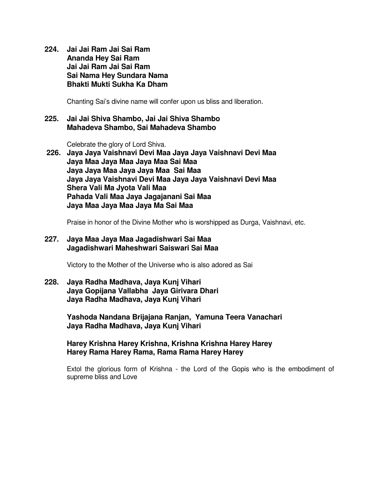**224. Jai Jai Ram Jai Sai Ram Ananda Hey Sai Ram Jai Jai Ram Jai Sai Ram Sai Nama Hey Sundara Nama Bhakti Mukti Sukha Ka Dham**

Chanting Sai's divine name will confer upon us bliss and liberation.

#### **225. Jai Jai Shiva Shambo, Jai Jai Shiva Shambo Mahadeva Shambo, Sai Mahadeva Shambo**

Celebrate the glory of Lord Shiva.

**226. Jaya Jaya Vaishnavi Devi Maa Jaya Jaya Vaishnavi Devi Maa Jaya Maa Jaya Maa Jaya Maa Sai Maa Jaya Jaya Maa Jaya Jaya Maa Sai Maa Jaya Jaya Vaishnavi Devi Maa Jaya Jaya Vaishnavi Devi Maa Shera Vali Ma Jyota Vali Maa Pahada Vali Maa Jaya Jagajanani Sai Maa Jaya Maa Jaya Maa Jaya Ma Sai Maa**

Praise in honor of the Divine Mother who is worshipped as Durga, Vaishnavi, etc.

### **227. Jaya Maa Jaya Maa Jagadishwari Sai Maa Jagadishwari Maheshwari Saiswari Sai Maa**

Victory to the Mother of the Universe who is also adored as Sai

### **228. Jaya Radha Madhava, Jaya Kunj Vihari Jaya Gopijana Vallabha Jaya Girivara Dhari Jaya Radha Madhava, Jaya Kunj Vihari**

 **Yashoda Nandana Brijajana Ranjan, Yamuna Teera Vanachari Jaya Radha Madhava, Jaya Kunj Vihari** 

### **Harey Krishna Harey Krishna, Krishna Krishna Harey Harey Harey Rama Harey Rama, Rama Rama Harey Harey**

Extol the glorious form of Krishna - the Lord of the Gopis who is the embodiment of supreme bliss and Love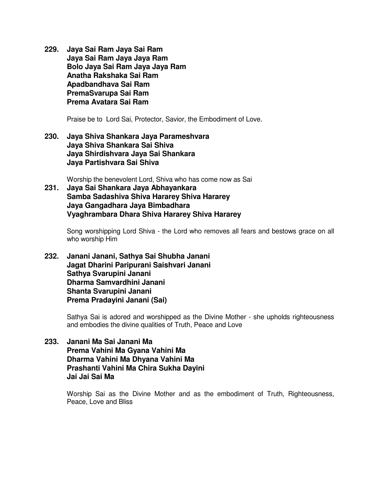**229. Jaya Sai Ram Jaya Sai Ram Jaya Sai Ram Jaya Jaya Ram Bolo Jaya Sai Ram Jaya Jaya Ram Anatha Rakshaka Sai Ram Apadbandhava Sai Ram PremaSvarupa Sai Ram Prema Avatara Sai Ram**

Praise be to Lord Sai, Protector, Savior, the Embodiment of Love.

**230. Jaya Shiva Shankara Jaya Parameshvara Jaya Shiva Shankara Sai Shiva Jaya Shirdishvara Jaya Sai Shankara Jaya Partishvara Sai Shiva**

Worship the benevolent Lord, Shiva who has come now as Sai

**231. Jaya Sai Shankara Jaya Abhayankara Samba Sadashiva Shiva Hararey Shiva Hararey Jaya Gangadhara Jaya Bimbadhara Vyaghrambara Dhara Shiva Hararey Shiva Hararey** 

> Song worshipping Lord Shiva - the Lord who removes all fears and bestows grace on all who worship Him

**232. Janani Janani, Sathya Sai Shubha Janani Jagat Dharini Paripurani Saishvari Janani Sathya Svarupini Janani Dharma Samvardhini Janani Shanta Svarupini Janani Prema Pradayini Janani (Sai)**

> Sathya Sai is adored and worshipped as the Divine Mother - she upholds righteousness and embodies the divine qualities of Truth, Peace and Love

**233. Janani Ma Sai Janani Ma Prema Vahini Ma Gyana Vahini Ma Dharma Vahini Ma Dhyana Vahini Ma Prashanti Vahini Ma Chira Sukha Dayini Jai Jai Sai Ma** 

> Worship Sai as the Divine Mother and as the embodiment of Truth, Righteousness, Peace, Love and Bliss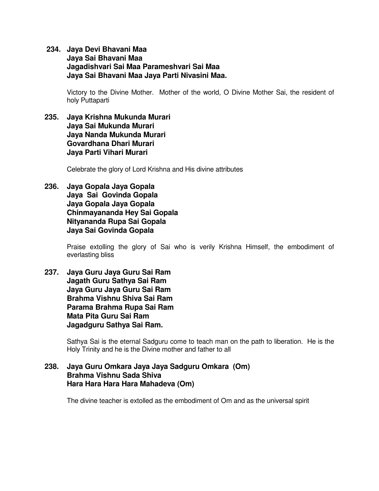## **234. Jaya Devi Bhavani Maa Jaya Sai Bhavani Maa Jagadishvari Sai Maa Parameshvari Sai Maa Jaya Sai Bhavani Maa Jaya Parti Nivasini Maa.**

Victory to the Divine Mother. Mother of the world, O Divine Mother Sai, the resident of holy Puttaparti

**235. Jaya Krishna Mukunda Murari Jaya Sai Mukunda Murari Jaya Nanda Mukunda Murari Govardhana Dhari Murari Jaya Parti Vihari Murari** 

Celebrate the glory of Lord Krishna and His divine attributes

**236. Jaya Gopala Jaya Gopala Jaya Sai Govinda Gopala Jaya Gopala Jaya Gopala Chinmayananda Hey Sai Gopala Nityananda Rupa Sai Gopala Jaya Sai Govinda Gopala**

> Praise extolling the glory of Sai who is verily Krishna Himself, the embodiment of everlasting bliss

**237. Jaya Guru Jaya Guru Sai Ram Jagath Guru Sathya Sai Ram Jaya Guru Jaya Guru Sai Ram Brahma Vishnu Shiva Sai Ram Parama Brahma Rupa Sai Ram Mata Pita Guru Sai Ram Jagadguru Sathya Sai Ram.**

> Sathya Sai is the eternal Sadguru come to teach man on the path to liberation. He is the Holy Trinity and he is the Divine mother and father to all

### **238. Jaya Guru Omkara Jaya Jaya Sadguru Omkara (Om) Brahma Vishnu Sada Shiva Hara Hara Hara Hara Mahadeva (Om)**

The divine teacher is extolled as the embodiment of Om and as the universal spirit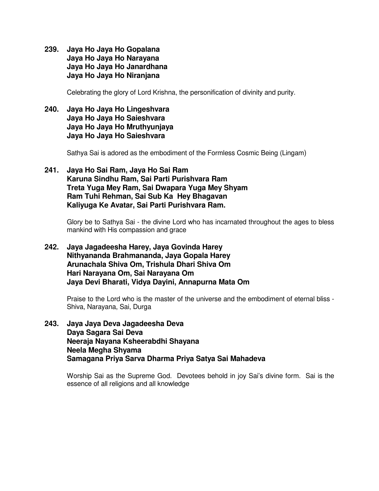**239. Jaya Ho Jaya Ho Gopalana Jaya Ho Jaya Ho Narayana Jaya Ho Jaya Ho Janardhana Jaya Ho Jaya Ho Niranjana**

Celebrating the glory of Lord Krishna, the personification of divinity and purity.

**240. Jaya Ho Jaya Ho Lingeshvara Jaya Ho Jaya Ho Saieshvara Jaya Ho Jaya Ho Mruthyunjaya Jaya Ho Jaya Ho Saieshvara**

Sathya Sai is adored as the embodiment of the Formless Cosmic Being (Lingam)

**241. Jaya Ho Sai Ram, Jaya Ho Sai Ram Karuna Sindhu Ram, Sai Parti Purishvara Ram Treta Yuga Mey Ram, Sai Dwapara Yuga Mey Shyam Ram Tuhi Rehman, Sai Sub Ka Hey Bhagavan Kaliyuga Ke Avatar, Sai Parti Purishvara Ram.**

> Glory be to Sathya Sai - the divine Lord who has incarnated throughout the ages to bless mankind with His compassion and grace

**242. Jaya Jagadeesha Harey, Jaya Govinda Harey Nithyananda Brahmananda, Jaya Gopala Harey Arunachala Shiva Om, Trishula Dhari Shiva Om Hari Narayana Om, Sai Narayana Om Jaya Devi Bharati, Vidya Dayini, Annapurna Mata Om**

> Praise to the Lord who is the master of the universe and the embodiment of eternal bliss - Shiva, Narayana, Sai, Durga

**243. Jaya Jaya Deva Jagadeesha Deva Daya Sagara Sai Deva Neeraja Nayana Ksheerabdhi Shayana Neela Megha Shyama Samagana Priya Sarva Dharma Priya Satya Sai Mahadeva** 

Worship Sai as the Supreme God. Devotees behold in joy Sai's divine form. Sai is the essence of all religions and all knowledge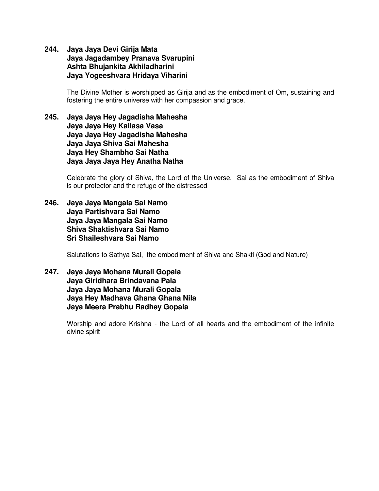### **244. Jaya Jaya Devi Girija Mata Jaya Jagadambey Pranava Svarupini Ashta Bhujankita Akhiladharini Jaya Yogeeshvara Hridaya Viharini**

The Divine Mother is worshipped as Girija and as the embodiment of Om, sustaining and fostering the entire universe with her compassion and grace.

## **245. Jaya Jaya Hey Jagadisha Mahesha Jaya Jaya Hey Kailasa Vasa Jaya Jaya Hey Jagadisha Mahesha Jaya Jaya Shiva Sai Mahesha Jaya Hey Shambho Sai Natha Jaya Jaya Jaya Hey Anatha Natha**

Celebrate the glory of Shiva, the Lord of the Universe. Sai as the embodiment of Shiva is our protector and the refuge of the distressed

## **246. Jaya Jaya Mangala Sai Namo Jaya Partishvara Sai Namo Jaya Jaya Mangala Sai Namo Shiva Shaktishvara Sai Namo Sri Shaileshvara Sai Namo**

Salutations to Sathya Sai, the embodiment of Shiva and Shakti (God and Nature)

# **247. Jaya Jaya Mohana Murali Gopala Jaya Giridhara Brindavana Pala Jaya Jaya Mohana Murali Gopala Jaya Hey Madhava Ghana Ghana Nila Jaya Meera Prabhu Radhey Gopala**

Worship and adore Krishna - the Lord of all hearts and the embodiment of the infinite divine spirit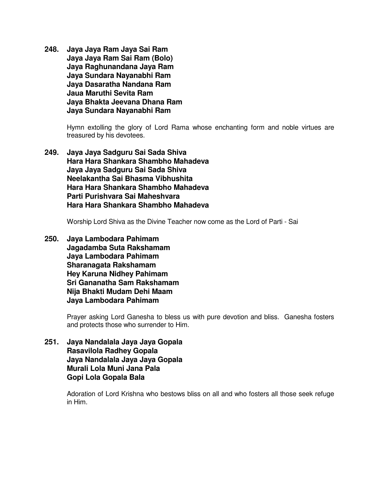**248. Jaya Jaya Ram Jaya Sai Ram Jaya Jaya Ram Sai Ram (Bolo) Jaya Raghunandana Jaya Ram Jaya Sundara Nayanabhi Ram Jaya Dasaratha Nandana Ram Jaua Maruthi Sevita Ram Jaya Bhakta Jeevana Dhana Ram Jaya Sundara Nayanabhi Ram**

> Hymn extolling the glory of Lord Rama whose enchanting form and noble virtues are treasured by his devotees.

**249. Jaya Jaya Sadguru Sai Sada Shiva Hara Hara Shankara Shambho Mahadeva Jaya Jaya Sadguru Sai Sada Shiva Neelakantha Sai Bhasma Vibhushita Hara Hara Shankara Shambho Mahadeva Parti Purishvara Sai Maheshvara Hara Hara Shankara Shambho Mahadeva** 

Worship Lord Shiva as the Divine Teacher now come as the Lord of Parti - Sai

**250. Jaya Lambodara Pahimam Jagadamba Suta Rakshamam Jaya Lambodara Pahimam Sharanagata Rakshamam Hey Karuna Nidhey Pahimam Sri Gananatha Sam Rakshamam Nija Bhakti Mudam Dehi Maam Jaya Lambodara Pahimam**

> Prayer asking Lord Ganesha to bless us with pure devotion and bliss. Ganesha fosters and protects those who surrender to Him.

**251. Jaya Nandalala Jaya Jaya Gopala Rasavilola Radhey Gopala Jaya Nandalala Jaya Jaya Gopala Murali Lola Muni Jana Pala Gopi Lola Gopala Bala**

> Adoration of Lord Krishna who bestows bliss on all and who fosters all those seek refuge in Him.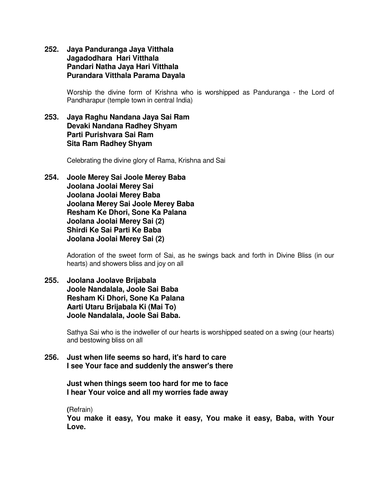**252. Jaya Panduranga Jaya Vitthala Jagadodhara Hari Vitthala Pandari Natha Jaya Hari Vitthala Purandara Vitthala Parama Dayala** 

> Worship the divine form of Krishna who is worshipped as Panduranga - the Lord of Pandharapur (temple town in central India)

**253. Jaya Raghu Nandana Jaya Sai Ram Devaki Nandana Radhey Shyam Parti Purishvara Sai Ram Sita Ram Radhey Shyam**

Celebrating the divine glory of Rama, Krishna and Sai

**254. Joole Merey Sai Joole Merey Baba Joolana Joolai Merey Sai Joolana Joolai Merey Baba Joolana Merey Sai Joole Merey Baba Resham Ke Dhori, Sone Ka Palana Joolana Joolai Merey Sai (2) Shirdi Ke Sai Parti Ke Baba Joolana Joolai Merey Sai (2)** 

> Adoration of the sweet form of Sai, as he swings back and forth in Divine Bliss (in our hearts) and showers bliss and joy on all

**255. Joolana Joolave Brijabala Joole Nandalala, Joole Sai Baba Resham Ki Dhori, Sone Ka Palana Aarti Utaru Brijabala Ki (Mai To) Joole Nandalala, Joole Sai Baba.** 

> Sathya Sai who is the indweller of our hearts is worshipped seated on a swing (our hearts) and bestowing bliss on all

**256. Just when life seems so hard, it's hard to care I see Your face and suddenly the answer's there** 

> **Just when things seem too hard for me to face I hear Your voice and all my worries fade away**

 **(**Refrain)

 **You make it easy, You make it easy, You make it easy, Baba, with Your Love.**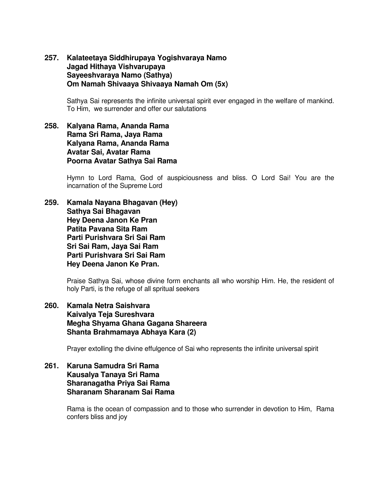## **257. Kalateetaya Siddhirupaya Yogishvaraya Namo Jagad Hithaya Vishvarupaya Sayeeshvaraya Namo (Sathya) Om Namah Shivaaya Shivaaya Namah Om (5x)**

Sathya Sai represents the infinite universal spirit ever engaged in the welfare of mankind. To Him, we surrender and offer our salutations

**258. Kalyana Rama, Ananda Rama Rama Sri Rama, Jaya Rama Kalyana Rama, Ananda Rama Avatar Sai, Avatar Rama Poorna Avatar Sathya Sai Rama**

> Hymn to Lord Rama, God of auspiciousness and bliss. O Lord Sai! You are the incarnation of the Supreme Lord

**259. Kamala Nayana Bhagavan (Hey) Sathya Sai Bhagavan Hey Deena Janon Ke Pran Patita Pavana Sita Ram Parti Purishvara Sri Sai Ram Sri Sai Ram, Jaya Sai Ram Parti Purishvara Sri Sai Ram Hey Deena Janon Ke Pran.**

> Praise Sathya Sai, whose divine form enchants all who worship Him. He, the resident of holy Parti, is the refuge of all spritual seekers

## **260. Kamala Netra Saishvara Kaivalya Teja Sureshvara Megha Shyama Ghana Gagana Shareera Shanta Brahmamaya Abhaya Kara (2)**

Prayer extolling the divine effulgence of Sai who represents the infinite universal spirit

**261. Karuna Samudra Sri Rama Kausalya Tanaya Sri Rama Sharanagatha Priya Sai Rama Sharanam Sharanam Sai Rama**

> Rama is the ocean of compassion and to those who surrender in devotion to Him, Rama confers bliss and joy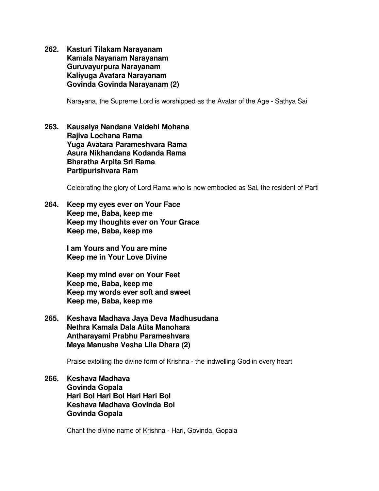**262. Kasturi Tilakam Narayanam Kamala Nayanam Narayanam Guruvayurpura Narayanam Kaliyuga Avatara Narayanam Govinda Govinda Narayanam (2)** 

Narayana, the Supreme Lord is worshipped as the Avatar of the Age - Sathya Sai

**263. Kausalya Nandana Vaidehi Mohana Rajiva Lochana Rama Yuga Avatara Parameshvara Rama Asura Nikhandana Kodanda Rama Bharatha Arpita Sri Rama Partipurishvara Ram**

Celebrating the glory of Lord Rama who is now embodied as Sai, the resident of Parti

**264. Keep my eyes ever on Your Face Keep me, Baba, keep me Keep my thoughts ever on Your Grace Keep me, Baba, keep me** 

> **I am Yours and You are mine Keep me in Your Love Divine**

 **Keep my mind ever on Your Feet Keep me, Baba, keep me Keep my words ever soft and sweet Keep me, Baba, keep me**

**265. Keshava Madhava Jaya Deva Madhusudana Nethra Kamala Dala Atita Manohara Antharayami Prabhu Parameshvara Maya Manusha Vesha Lila Dhara (2)** 

Praise extolling the divine form of Krishna - the indwelling God in every heart

**266. Keshava Madhava Govinda Gopala Hari Bol Hari Bol Hari Hari Bol Keshava Madhava Govinda Bol Govinda Gopala** 

Chant the divine name of Krishna - Hari, Govinda, Gopala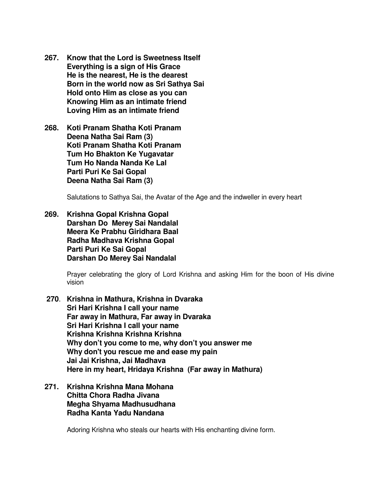- **267. Know that the Lord is Sweetness Itself Everything is a sign of His Grace He is the nearest, He is the dearest Born in the world now as Sri Sathya Sai Hold onto Him as close as you can Knowing Him as an intimate friend Loving Him as an intimate friend**
- **268. Koti Pranam Shatha Koti Pranam Deena Natha Sai Ram (3) Koti Pranam Shatha Koti Pranam Tum Ho Bhakton Ke Yugavatar Tum Ho Nanda Nanda Ke Lal Parti Puri Ke Sai Gopal Deena Natha Sai Ram (3)**

Salutations to Sathya Sai, the Avatar of the Age and the indweller in every heart

**269. Krishna Gopal Krishna Gopal Darshan Do Merey Sai Nandalal Meera Ke Prabhu Giridhara Baal Radha Madhava Krishna Gopal Parti Puri Ke Sai Gopal Darshan Do Merey Sai Nandalal** 

> Prayer celebrating the glory of Lord Krishna and asking Him for the boon of His divine vision

- **270**. **Krishna in Mathura, Krishna in Dvaraka Sri Hari Krishna I call your name Far away in Mathura, Far away in Dvaraka Sri Hari Krishna I call your name Krishna Krishna Krishna Krishna Why don't you come to me, why don't you answer me Why don't you rescue me and ease my pain Jai Jai Krishna, Jai Madhava Here in my heart, Hridaya Krishna (Far away in Mathura)**
- **271. Krishna Krishna Mana Mohana Chitta Chora Radha Jivana Megha Shyama Madhusudhana Radha Kanta Yadu Nandana**

Adoring Krishna who steals our hearts with His enchanting divine form.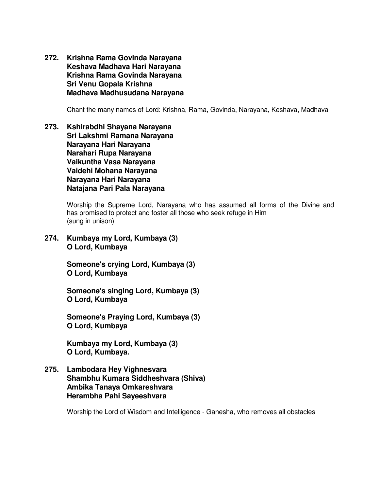**272. Krishna Rama Govinda Narayana Keshava Madhava Hari Narayana Krishna Rama Govinda Narayana Sri Venu Gopala Krishna Madhava Madhusudana Narayana** 

Chant the many names of Lord: Krishna, Rama, Govinda, Narayana, Keshava, Madhava

**273. Kshirabdhi Shayana Narayana Sri Lakshmi Ramana Narayana Narayana Hari Narayana Narahari Rupa Narayana Vaikuntha Vasa Narayana Vaidehi Mohana Narayana Narayana Hari Narayana Natajana Pari Pala Narayana**

> Worship the Supreme Lord, Narayana who has assumed all forms of the Divine and has promised to protect and foster all those who seek refuge in Him (sung in unison)

**274. Kumbaya my Lord, Kumbaya (3) O Lord, Kumbaya** 

> **Someone's crying Lord, Kumbaya (3) O Lord, Kumbaya**

 **Someone's singing Lord, Kumbaya (3) O Lord, Kumbaya** 

 **Someone's Praying Lord, Kumbaya (3) O Lord, Kumbaya** 

 **Kumbaya my Lord, Kumbaya (3) O Lord, Kumbaya.**

**275. Lambodara Hey Vighnesvara Shambhu Kumara Siddheshvara (Shiva) Ambika Tanaya Omkareshvara Herambha Pahi Sayeeshvara**

Worship the Lord of Wisdom and Intelligence - Ganesha, who removes all obstacles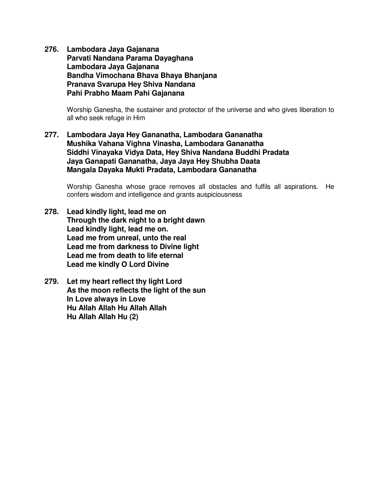**276. Lambodara Jaya Gajanana Parvati Nandana Parama Dayaghana Lambodara Jaya Gajanana Bandha Vimochana Bhava Bhaya Bhanjana Pranava Svarupa Hey Shiva Nandana Pahi Prabho Maam Pahi Gajanana**

> Worship Ganesha, the sustainer and protector of the universe and who gives liberation to all who seek refuge in Him

**277. Lambodara Jaya Hey Gananatha, Lambodara Gananatha Mushika Vahana Vighna Vinasha, Lambodara Gananatha Siddhi Vinayaka Vidya Data, Hey Shiva Nandana Buddhi Pradata Jaya Ganapati Gananatha, Jaya Jaya Hey Shubha Daata Mangala Dayaka Mukti Pradata, Lambodara Gananatha** 

Worship Ganesha whose grace removes all obstacles and fulfils all aspirations. He confers wisdom and intelligence and grants auspiciousness

- **278. Lead kindly light, lead me on Through the dark night to a bright dawn Lead kindly light, lead me on. Lead me from unreal, unto the real Lead me from darkness to Divine light Lead me from death to life eternal Lead me kindly O Lord Divine**
- **279. Let my heart reflect thy light Lord As the moon reflects the light of the sun In Love always in Love Hu Allah Allah Hu Allah Allah Hu Allah Allah Hu (2)**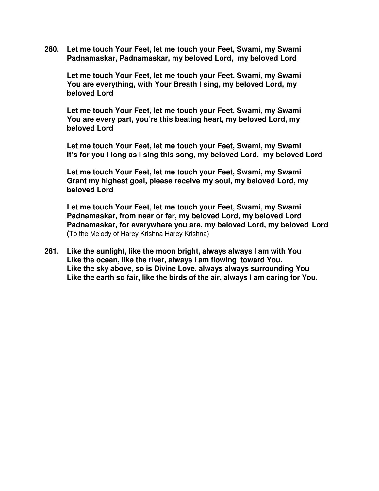**280. Let me touch Your Feet, let me touch your Feet, Swami, my Swami Padnamaskar, Padnamaskar, my beloved Lord, my beloved Lord** 

 **Let me touch Your Feet, let me touch your Feet, Swami, my Swami You are everything, with Your Breath I sing, my beloved Lord, my beloved Lord** 

 **Let me touch Your Feet, let me touch your Feet, Swami, my Swami You are every part, you're this beating heart, my beloved Lord, my beloved Lord** 

 **Let me touch Your Feet, let me touch your Feet, Swami, my Swami It's for you I long as I sing this song, my beloved Lord, my beloved Lord** 

 **Let me touch Your Feet, let me touch your Feet, Swami, my Swami Grant my highest goal, please receive my soul, my beloved Lord, my beloved Lord** 

 **Let me touch Your Feet, let me touch your Feet, Swami, my Swami Padnamaskar, from near or far, my beloved Lord, my beloved Lord Padnamaskar, for everywhere you are, my beloved Lord, my beloved Lord (**To the Melody of Harey Krishna Harey Krishna)

**281. Like the sunlight, like the moon bright, always always I am with You Like the ocean, like the river, always I am flowing toward You. Like the sky above, so is Divine Love, always always surrounding You Like the earth so fair, like the birds of the air, always I am caring for You.**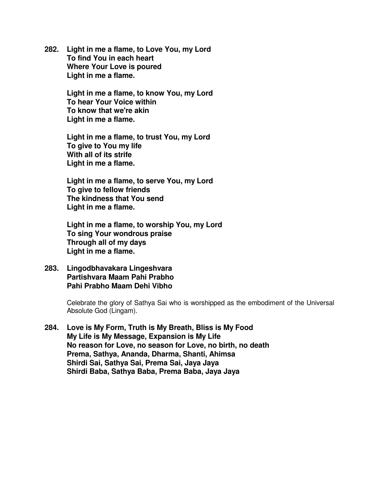**282. Light in me a flame, to Love You, my Lord To find You in each heart Where Your Love is poured Light in me a flame.** 

> **Light in me a flame, to know You, my Lord To hear Your Voice within To know that we're akin Light in me a flame.**

 **Light in me a flame, to trust You, my Lord To give to You my life With all of its strife Light in me a flame.** 

 **Light in me a flame, to serve You, my Lord To give to fellow friends The kindness that You send Light in me a flame.** 

 **Light in me a flame, to worship You, my Lord To sing Your wondrous praise Through all of my days Light in me a flame.** 

**283. Lingodbhavakara Lingeshvara Partishvara Maam Pahi Prabho Pahi Prabho Maam Dehi Vibho**

> Celebrate the glory of Sathya Sai who is worshipped as the embodiment of the Universal Absolute God (Lingam).

**284. Love is My Form, Truth is My Breath, Bliss is My Food My Life is My Message, Expansion is My Life No reason for Love, no season for Love, no birth, no death Prema, Sathya, Ananda, Dharma, Shanti, Ahimsa Shirdi Sai, Sathya Sai, Prema Sai, Jaya Jaya Shirdi Baba, Sathya Baba, Prema Baba, Jaya Jaya**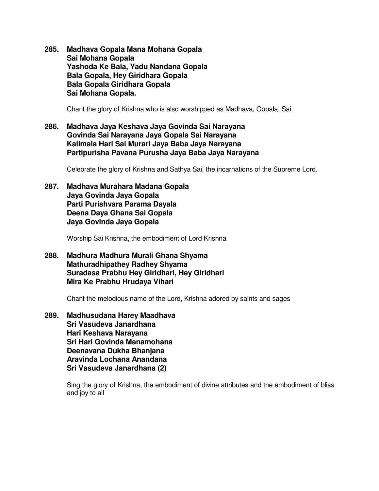**285. Madhava Gopala Mana Mohana Gopala Sai Mohana Gopala Yashoda Ke Bala, Yadu Nandana Gopala Bala Gopala, Hey Giridhara Gopala Bala Gopala Giridhara Gopala Sai Mohana Gopala.**

Chant the glory of Krishna who is also worshipped as Madhava, Gopala, Sai.

**286. Madhava Jaya Keshava Jaya Govinda Sai Narayana Govinda Sai Narayana Jaya Gopala Sai Narayana Kalimala Hari Sai Murari Jaya Baba Jaya Narayana Partipurisha Pavana Purusha Jaya Baba Jaya Narayana**

Celebrate the glory of Krishna and Sathya Sai, the incarnations of the Supreme Lord.

**287. Madhava Murahara Madana Gopala Jaya Govinda Jaya Gopala Parti Purishvara Parama Dayala Deena Daya Ghana Sai Gopala Jaya Govinda Jaya Gopala**

Worship Sai Krishna, the embodiment of Lord Krishna

**288. Madhura Madhura Murali Ghana Shyama Mathuradhipathey Radhey Shyama Suradasa Prabhu Hey Giridhari, Hey Giridhari Mira Ke Prabhu Hrudaya Vihari**

Chant the melodious name of the Lord, Krishna adored by saints and sages

**289. Madhusudana Harey Maadhava Sri Vasudeva Janardhana Hari Keshava Narayana Sri Hari Govinda Manamohana Deenavana Dukha Bhanjana Aravinda Lochana Anandana Sri Vasudeva Janardhana (2)**

> Sing the glory of Krishna, the embodiment of divine attributes and the embodiment of bliss and joy to all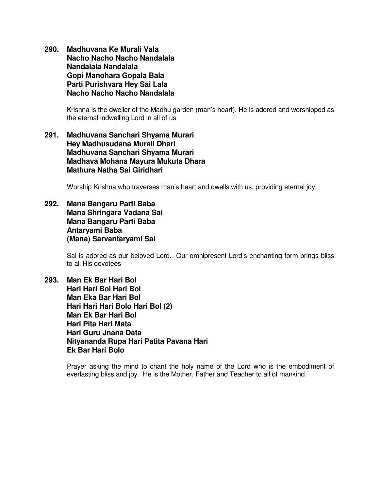**290. Madhuvana Ke Murali Vala Nacho Nacho Nacho Nandalala Nandalala Nandalala Gopi Manohara Gopala Bala Parti Purishvara Hey Sai Lala Nacho Nacho Nacho Nandalala**

> Krishna is the dweller of the Madhu garden (man's heart). He is adored and worshipped as the eternal indwelling Lord in all of us

**291. Madhuvana Sanchari Shyama Murari Hey Madhusudana Murali Dhari Madhuvana Sanchari Shyama Murari Madhava Mohana Mayura Mukuta Dhara Mathura Natha Sai Giridhari**

Worship Krishna who traverses man's heart and dwells with us, providing eternal joy

**292. Mana Bangaru Parti Baba Mana Shringara Vadana Sai Mana Bangaru Parti Baba Antaryami Baba (Mana) Sarvantaryami Sai** 

> Sai is adored as our beloved Lord. Our omnipresent Lord's enchanting form brings bliss to all His devotees

**293. Man Ek Bar Hari Bol Hari Hari Bol Hari Bol Man Eka Bar Hari Bol Hari Hari Hari Bolo Hari Bol (2) Man Ek Bar Hari Bol Hari Pita Hari Mata Hari Guru Jnana Data Nityananda Rupa Hari Patita Pavana Hari Ek Bar Hari Bolo**

> Prayer asking the mind to chant the holy name of the Lord who is the embodiment of everlasting bliss and joy. He is the Mother, Father and Teacher to all of mankind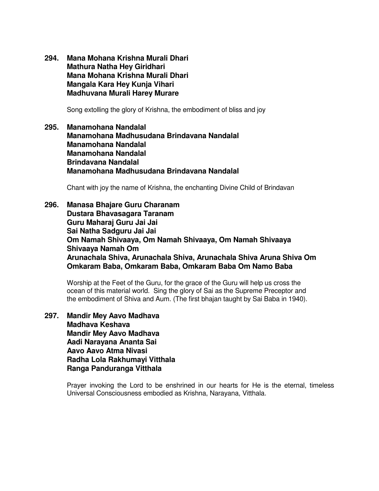**294. Mana Mohana Krishna Murali Dhari Mathura Natha Hey Giridhari Mana Mohana Krishna Murali Dhari Mangala Kara Hey Kunja Vihari Madhuvana Murali Harey Murare** 

Song extolling the glory of Krishna, the embodiment of bliss and joy

## **295. Manamohana Nandalal Manamohana Madhusudana Brindavana Nandalal Manamohana Nandalal Manamohana Nandalal Brindavana Nandalal Manamohana Madhusudana Brindavana Nandalal**

Chant with joy the name of Krishna, the enchanting Divine Child of Brindavan

**296. Manasa Bhajare Guru Charanam Dustara Bhavasagara Taranam Guru Maharaj Guru Jai Jai Sai Natha Sadguru Jai Jai Om Namah Shivaaya, Om Namah Shivaaya, Om Namah Shivaaya Shivaaya Namah Om Arunachala Shiva, Arunachala Shiva, Arunachala Shiva Aruna Shiva Om Omkaram Baba, Omkaram Baba, Omkaram Baba Om Namo Baba**

Worship at the Feet of the Guru, for the grace of the Guru will help us cross the ocean of this material world. Sing the glory of Sai as the Supreme Preceptor and the embodiment of Shiva and Aum. (The first bhajan taught by Sai Baba in 1940).

**297. Mandir Mey Aavo Madhava Madhava Keshava Mandir Mey Aavo Madhava Aadi Narayana Ananta Sai Aavo Aavo Atma Nivasi Radha Lola Rakhumayi Vitthala Ranga Panduranga Vitthala**

> Prayer invoking the Lord to be enshrined in our hearts for He is the eternal, timeless Universal Consciousness embodied as Krishna, Narayana, Vitthala.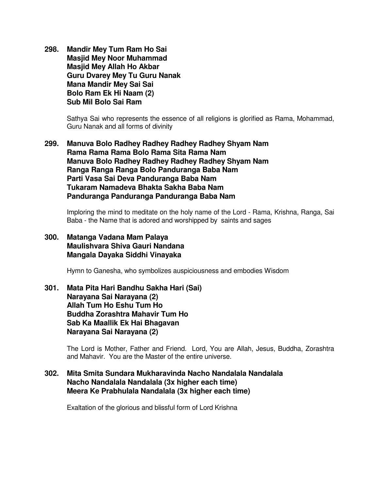**298. Mandir Mey Tum Ram Ho Sai Masjid Mey Noor Muhammad Masjid Mey Allah Ho Akbar Guru Dvarey Mey Tu Guru Nanak Mana Mandir Mey Sai Sai Bolo Ram Ek Hi Naam (2) Sub Mil Bolo Sai Ram**

> Sathya Sai who represents the essence of all religions is glorified as Rama, Mohammad, Guru Nanak and all forms of divinity

**299. Manuva Bolo Radhey Radhey Radhey Radhey Shyam Nam Rama Rama Rama Bolo Rama Sita Rama Nam Manuva Bolo Radhey Radhey Radhey Radhey Shyam Nam Ranga Ranga Ranga Bolo Panduranga Baba Nam Parti Vasa Sai Deva Panduranga Baba Nam Tukaram Namadeva Bhakta Sakha Baba Nam Panduranga Panduranga Panduranga Baba Nam**

 Imploring the mind to meditate on the holy name of the Lord - Rama, Krishna, Ranga, Sai Baba - the Name that is adored and worshipped by saints and sages

**300. Matanga Vadana Mam Palaya Maulishvara Shiva Gauri Nandana Mangala Dayaka Siddhi Vinayaka**

Hymn to Ganesha, who symbolizes auspiciousness and embodies Wisdom

**301. Mata Pita Hari Bandhu Sakha Hari (Sai) Narayana Sai Narayana (2) Allah Tum Ho Eshu Tum Ho Buddha Zorashtra Mahavir Tum Ho Sab Ka Maallik Ek Hai Bhagavan Narayana Sai Narayana (2)**

> The Lord is Mother, Father and Friend. Lord, You are Allah, Jesus, Buddha, Zorashtra and Mahavir. You are the Master of the entire universe.

### **302. Mita Smita Sundara Mukharavinda Nacho Nandalala Nandalala Nacho Nandalala Nandalala (3x higher each time) Meera Ke Prabhulala Nandalala (3x higher each time)**

Exaltation of the glorious and blissful form of Lord Krishna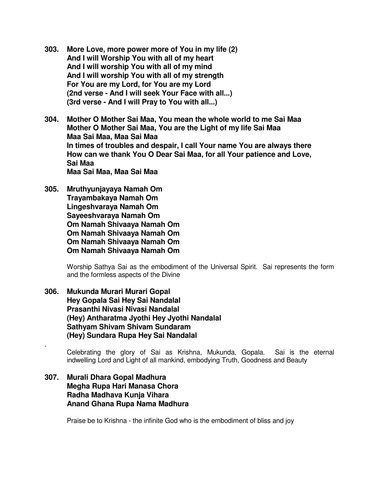- **303. More Love, more power more of You in my life (2) And I will Worship You with all of my heart And I will worship You with all of my mind And I will worship You with all of my strength For You are my Lord, for You are my Lord (2nd verse - And I will seek Your Face with all...) (3rd verse - And I will Pray to You with all...)**
- **304. Mother O Mother Sai Maa, You mean the whole world to me Sai Maa Mother O Mother Sai Maa, You are the Light of my life Sai Maa Maa Sai Maa, Maa Sai Maa In times of troubles and despair, I call Your name You are always there How can we thank You O Dear Sai Maa, for all Your patience and Love, Sai Maa Maa Sai Maa, Maa Sai Maa**
- **305. Mruthyunjayaya Namah Om Trayambakaya Namah Om Lingeshvaraya Namah Om Sayeeshvaraya Namah Om Om Namah Shivaaya Namah Om Om Namah Shivaaya Namah Om Om Namah Shivaaya Namah Om Om Namah Shivaaya Namah Om**

 Worship Sathya Sai as the embodiment of the Universal Spirit. Sai represents the form and the formless aspects of the Divine

**306. Mukunda Murari Murari Gopal Hey Gopala Sai Hey Sai Nandalal Prasanthi Nivasi Nivasi Nandalal (Hey) Antharatma Jyothi Hey Jyothi Nandalal Sathyam Shivam Shivam Sundaram (Hey) Sundara Rupa Hey Sai Nandalal**

> Celebrating the glory of Sai as Krishna, Mukunda, Gopala. Sai is the eternal indwelling Lord and Light of all mankind, embodying Truth, Goodness and Beauty

**307. Murali Dhara Gopal Madhura Megha Rupa Hari Manasa Chora Radha Madhava Kunja Vihara Anand Ghana Rupa Nama Madhura**

.

Praise be to Krishna - the infinite God who is the embodiment of bliss and joy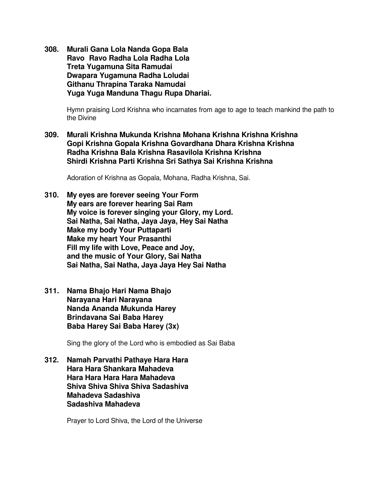**308. Murali Gana Lola Nanda Gopa Bala Ravo Ravo Radha Lola Radha Lola Treta Yugamuna Sita Ramudai Dwapara Yugamuna Radha Loludai Githanu Thrapina Taraka Namudai Yuga Yuga Manduna Thagu Rupa Dhariai.**

> Hymn praising Lord Krishna who incarnates from age to age to teach mankind the path to the Divine

**309. Murali Krishna Mukunda Krishna Mohana Krishna Krishna Krishna Gopi Krishna Gopala Krishna Govardhana Dhara Krishna Krishna Radha Krishna Bala Krishna Rasavilola Krishna Krishna Shirdi Krishna Parti Krishna Sri Sathya Sai Krishna Krishna**

Adoration of Krishna as Gopala, Mohana, Radha Krishna, Sai.

- **310. My eyes are forever seeing Your Form My ears are forever hearing Sai Ram My voice is forever singing your Glory, my Lord. Sai Natha, Sai Natha, Jaya Jaya, Hey Sai Natha Make my body Your Puttaparti Make my heart Your Prasanthi Fill my life with Love, Peace and Joy, and the music of Your Glory, Sai Natha Sai Natha, Sai Natha, Jaya Jaya Hey Sai Natha**
- **311. Nama Bhajo Hari Nama Bhajo Narayana Hari Narayana Nanda Ananda Mukunda Harey Brindavana Sai Baba Harey Baba Harey Sai Baba Harey (3x)**

Sing the glory of the Lord who is embodied as Sai Baba

**312. Namah Parvathi Pathaye Hara Hara Hara Hara Shankara Mahadeva Hara Hara Hara Hara Mahadeva Shiva Shiva Shiva Shiva Sadashiva Mahadeva Sadashiva Sadashiva Mahadeva**

Prayer to Lord Shiva, the Lord of the Universe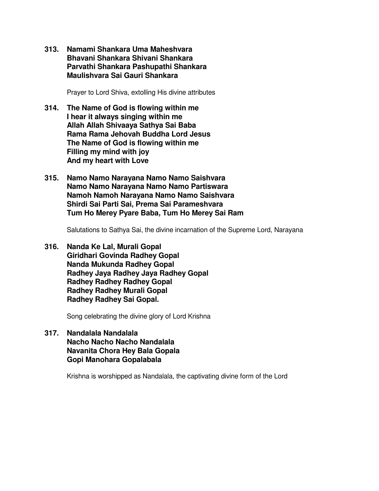**313. Namami Shankara Uma Maheshvara Bhavani Shankara Shivani Shankara Parvathi Shankara Pashupathi Shankara Maulishvara Sai Gauri Shankara**

Prayer to Lord Shiva, extolling His divine attributes

- **314. The Name of God is flowing within me I hear it always singing within me Allah Allah Shivaaya Sathya Sai Baba Rama Rama Jehovah Buddha Lord Jesus The Name of God is flowing within me Filling my mind with joy And my heart with Love**
- **315. Namo Namo Narayana Namo Namo Saishvara Namo Namo Narayana Namo Namo Partiswara Namoh Namoh Narayana Namo Namo Saishvara Shirdi Sai Parti Sai, Prema Sai Parameshvara Tum Ho Merey Pyare Baba, Tum Ho Merey Sai Ram**

Salutations to Sathya Sai, the divine incarnation of the Supreme Lord, Narayana

**316. Nanda Ke Lal, Murali Gopal Giridhari Govinda Radhey Gopal Nanda Mukunda Radhey Gopal Radhey Jaya Radhey Jaya Radhey Gopal Radhey Radhey Radhey Gopal Radhey Radhey Murali Gopal Radhey Radhey Sai Gopal.** 

Song celebrating the divine glory of Lord Krishna

**317. Nandalala Nandalala Nacho Nacho Nacho Nandalala Navanita Chora Hey Bala Gopala Gopi Manohara Gopalabala**

Krishna is worshipped as Nandalala, the captivating divine form of the Lord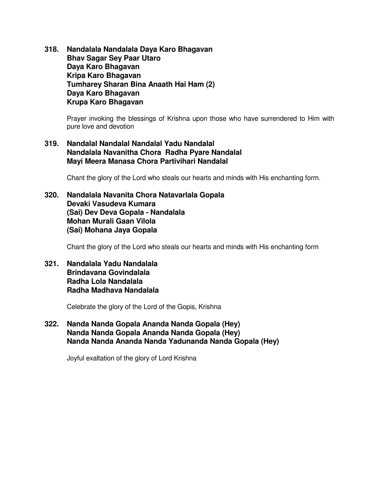**318. Nandalala Nandalala Daya Karo Bhagavan Bhav Sagar Sey Paar Utaro Daya Karo Bhagavan Kripa Karo Bhagavan Tumharey Sharan Bina Anaath Hai Ham (2) Daya Karo Bhagavan Krupa Karo Bhagavan**

> Prayer invoking the blessings of Krishna upon those who have surrendered to Him with pure love and devotion

## **319. Nandalal Nandalal Nandalal Yadu Nandalal Nandalala Navanitha Chora Radha Pyare Nandalal Mayi Meera Manasa Chora Partivihari Nandalal**

Chant the glory of the Lord who steals our hearts and minds with His enchanting form.

**320. Nandalala Navanita Chora Natavarlala Gopala Devaki Vasudeva Kumara (Sai) Dev Deva Gopala - Nandalala Mohan Murali Gaan Vilola (Sai) Mohana Jaya Gopala** 

Chant the glory of the Lord who steals our hearts and minds with His enchanting form

**321. Nandalala Yadu Nandalala Brindavana Govindalala Radha Lola Nandalala Radha Madhava Nandalala**

Celebrate the glory of the Lord of the Gopis, Krishna

**322. Nanda Nanda Gopala Ananda Nanda Gopala (Hey) Nanda Nanda Gopala Ananda Nanda Gopala (Hey) Nanda Nanda Ananda Nanda Yadunanda Nanda Gopala (Hey)**

Joyful exaltation of the glory of Lord Krishna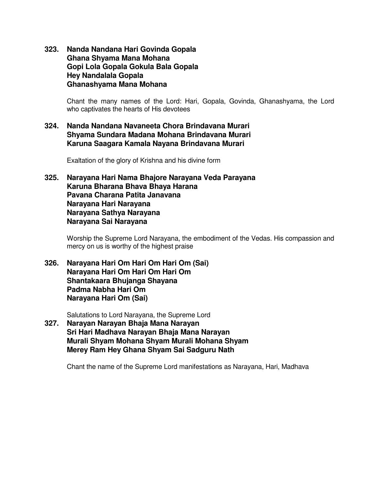#### **323. Nanda Nandana Hari Govinda Gopala Ghana Shyama Mana Mohana Gopi Lola Gopala Gokula Bala Gopala Hey Nandalala Gopala Ghanashyama Mana Mohana**

Chant the many names of the Lord: Hari, Gopala, Govinda, Ghanashyama, the Lord who captivates the hearts of His devotees

#### **324. Nanda Nandana Navaneeta Chora Brindavana Murari Shyama Sundara Madana Mohana Brindavana Murari Karuna Saagara Kamala Nayana Brindavana Murari**

Exaltation of the glory of Krishna and his divine form

**325. Narayana Hari Nama Bhajore Narayana Veda Parayana Karuna Bharana Bhava Bhaya Harana Pavana Charana Patita Janavana Narayana Hari Narayana Narayana Sathya Narayana Narayana Sai Narayana**

> Worship the Supreme Lord Narayana, the embodiment of the Vedas. His compassion and mercy on us is worthy of the highest praise

**326. Narayana Hari Om Hari Om Hari Om (Sai) Narayana Hari Om Hari Om Hari Om Shantakaara Bhujanga Shayana Padma Nabha Hari Om Narayana Hari Om (Sai)**

Salutations to Lord Narayana, the Supreme Lord

**327. Narayan Narayan Bhaja Mana Narayan Sri Hari Madhava Narayan Bhaja Mana Narayan Murali Shyam Mohana Shyam Murali Mohana Shyam Merey Ram Hey Ghana Shyam Sai Sadguru Nath**

Chant the name of the Supreme Lord manifestations as Narayana, Hari, Madhava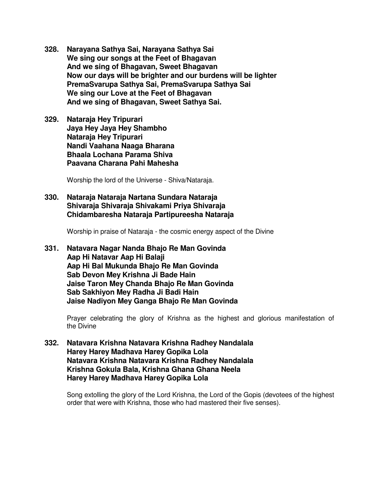- **328. Narayana Sathya Sai, Narayana Sathya Sai We sing our songs at the Feet of Bhagavan And we sing of Bhagavan, Sweet Bhagavan Now our days will be brighter and our burdens will be lighter PremaSvarupa Sathya Sai, PremaSvarupa Sathya Sai We sing our Love at the Feet of Bhagavan And we sing of Bhagavan, Sweet Sathya Sai.**
- **329. Nataraja Hey Tripurari Jaya Hey Jaya Hey Shambho Nataraja Hey Tripurari Nandi Vaahana Naaga Bharana Bhaala Lochana Parama Shiva Paavana Charana Pahi Mahesha**

Worship the lord of the Universe - Shiva/Nataraja.

**330. Nataraja Nataraja Nartana Sundara Nataraja Shivaraja Shivaraja Shivakami Priya Shivaraja Chidambaresha Nataraja Partipureesha Nataraja** 

Worship in praise of Nataraja - the cosmic energy aspect of the Divine

**331. Natavara Nagar Nanda Bhajo Re Man Govinda Aap Hi Natavar Aap Hi Balaji Aap Hi Bal Mukunda Bhajo Re Man Govinda Sab Devon Mey Krishna Ji Bade Hain Jaise Taron Mey Chanda Bhajo Re Man Govinda Sab Sakhiyon Mey Radha Ji Badi Hain Jaise Nadiyon Mey Ganga Bhajo Re Man Govinda** 

> Prayer celebrating the glory of Krishna as the highest and glorious manifestation of the Divine

**332. Natavara Krishna Natavara Krishna Radhey Nandalala Harey Harey Madhava Harey Gopika Lola Natavara Krishna Natavara Krishna Radhey Nandalala Krishna Gokula Bala, Krishna Ghana Ghana Neela Harey Harey Madhava Harey Gopika Lola**

> Song extolling the glory of the Lord Krishna, the Lord of the Gopis (devotees of the highest order that were with Krishna, those who had mastered their five senses).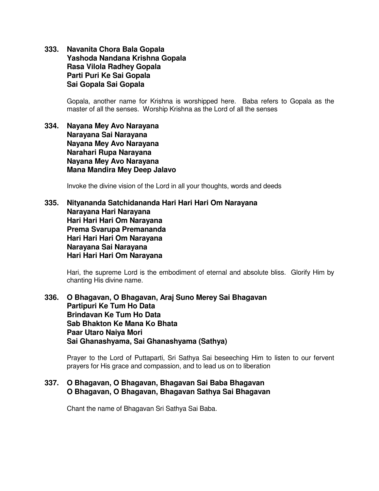## **333. Navanita Chora Bala Gopala Yashoda Nandana Krishna Gopala Rasa Vilola Radhey Gopala Parti Puri Ke Sai Gopala Sai Gopala Sai Gopala**

Gopala, another name for Krishna is worshipped here. Baba refers to Gopala as the master of all the senses. Worship Krishna as the Lord of all the senses

**334. Nayana Mey Avo Narayana Narayana Sai Narayana Nayana Mey Avo Narayana Narahari Rupa Narayana Nayana Mey Avo Narayana Mana Mandira Mey Deep Jalavo**

Invoke the divine vision of the Lord in all your thoughts, words and deeds

**335. Nityananda Satchidananda Hari Hari Hari Om Narayana Narayana Hari Narayana Hari Hari Hari Om Narayana Prema Svarupa Premananda Hari Hari Hari Om Narayana Narayana Sai Narayana Hari Hari Hari Om Narayana**

> Hari, the supreme Lord is the embodiment of eternal and absolute bliss. Glorify Him by chanting His divine name.

**336. O Bhagavan, O Bhagavan, Araj Suno Merey Sai Bhagavan Partipuri Ke Tum Ho Data Brindavan Ke Tum Ho Data Sab Bhakton Ke Mana Ko Bhata Paar Utaro Naiya Mori Sai Ghanashyama, Sai Ghanashyama (Sathya)**

Prayer to the Lord of Puttaparti, Sri Sathya Sai beseeching Him to listen to our fervent prayers for His grace and compassion, and to lead us on to liberation

### **337. O Bhagavan, O Bhagavan, Bhagavan Sai Baba Bhagavan O Bhagavan, O Bhagavan, Bhagavan Sathya Sai Bhagavan**

Chant the name of Bhagavan Sri Sathya Sai Baba.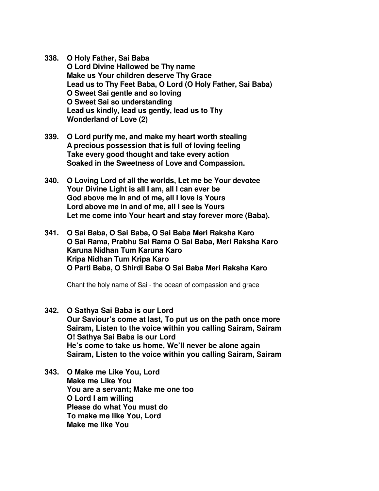**338. O Holy Father, Sai Baba O Lord Divine Hallowed be Thy name Make us Your children deserve Thy Grace Lead us to Thy Feet Baba, O Lord (O Holy Father, Sai Baba) O Sweet Sai gentle and so loving O Sweet Sai so understanding Lead us kindly, lead us gently, lead us to Thy Wonderland of Love (2)**

- **339. O Lord purify me, and make my heart worth stealing A precious possession that is full of loving feeling Take every good thought and take every action Soaked in the Sweetness of Love and Compassion.**
- **340. O Loving Lord of all the worlds, Let me be Your devotee Your Divine Light is all I am, all I can ever be God above me in and of me, all I love is Yours Lord above me in and of me, all I see is Yours Let me come into Your heart and stay forever more (Baba).**
- **341. O Sai Baba, O Sai Baba, O Sai Baba Meri Raksha Karo O Sai Rama, Prabhu Sai Rama O Sai Baba, Meri Raksha Karo Karuna Nidhan Tum Karuna Karo Kripa Nidhan Tum Kripa Karo O Parti Baba, O Shirdi Baba O Sai Baba Meri Raksha Karo**

Chant the holy name of Sai - the ocean of compassion and grace

- **342. O Sathya Sai Baba is our Lord Our Saviour's come at last, To put us on the path once more Sairam, Listen to the voice within you calling Sairam, Sairam O! Sathya Sai Baba is our Lord He's come to take us home, We'll never be alone again Sairam, Listen to the voice within you calling Sairam, Sairam**
- **343. O Make me Like You, Lord Make me Like You You are a servant; Make me one too O Lord I am willing Please do what You must do To make me like You, Lord Make me like You**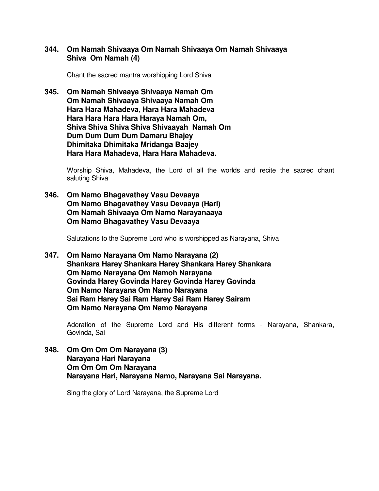## **344. Om Namah Shivaaya Om Namah Shivaaya Om Namah Shivaaya Shiva Om Namah (4)**

Chant the sacred mantra worshipping Lord Shiva

**345. Om Namah Shivaaya Shivaaya Namah Om Om Namah Shivaaya Shivaaya Namah Om Hara Hara Mahadeva, Hara Hara Mahadeva Hara Hara Hara Hara Haraya Namah Om, Shiva Shiva Shiva Shiva Shivaayah Namah Om Dum Dum Dum Dum Damaru Bhajey Dhimitaka Dhimitaka Mridanga Baajey Hara Hara Mahadeva, Hara Hara Mahadeva.**

> Worship Shiva, Mahadeva, the Lord of all the worlds and recite the sacred chant saluting Shiva

**346. Om Namo Bhagavathey Vasu Devaaya Om Namo Bhagavathey Vasu Devaaya (Hari) Om Namah Shivaaya Om Namo Narayanaaya Om Namo Bhagavathey Vasu Devaaya** 

Salutations to the Supreme Lord who is worshipped as Narayana, Shiva

**347. Om Namo Narayana Om Namo Narayana (2) Shankara Harey Shankara Harey Shankara Harey Shankara Om Namo Narayana Om Namoh Narayana Govinda Harey Govinda Harey Govinda Harey Govinda Om Namo Narayana Om Namo Narayana Sai Ram Harey Sai Ram Harey Sai Ram Harey Sairam Om Namo Narayana Om Namo Narayana** 

Adoration of the Supreme Lord and His different forms - Narayana, Shankara, Govinda, Sai

**348. Om Om Om Om Narayana (3) Narayana Hari Narayana Om Om Om Om Narayana Narayana Hari, Narayana Namo, Narayana Sai Narayana.**

Sing the glory of Lord Narayana, the Supreme Lord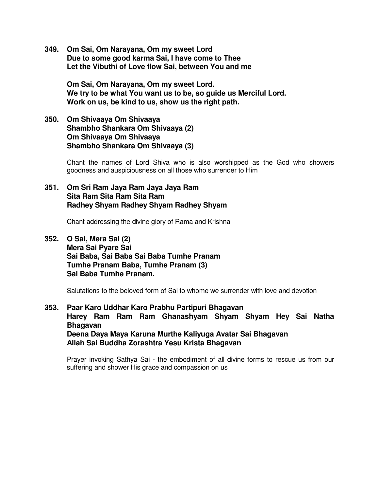**349. Om Sai, Om Narayana, Om my sweet Lord Due to some good karma Sai, I have come to Thee Let the Vibuthi of Love flow Sai, between You and me** 

> **Om Sai, Om Narayana, Om my sweet Lord. We try to be what You want us to be, so guide us Merciful Lord. Work on us, be kind to us, show us the right path.**

**350. Om Shivaaya Om Shivaaya Shambho Shankara Om Shivaaya (2) Om Shivaaya Om Shivaaya Shambho Shankara Om Shivaaya (3)** 

> Chant the names of Lord Shiva who is also worshipped as the God who showers goodness and auspiciousness on all those who surrender to Him

## **351. Om Sri Ram Jaya Ram Jaya Jaya Ram Sita Ram Sita Ram Sita Ram Radhey Shyam Radhey Shyam Radhey Shyam**

Chant addressing the divine glory of Rama and Krishna

**352. O Sai, Mera Sai (2) Mera Sai Pyare Sai Sai Baba, Sai Baba Sai Baba Tumhe Pranam Tumhe Pranam Baba, Tumhe Pranam (3) Sai Baba Tumhe Pranam.**

Salutations to the beloved form of Sai to whome we surrender with love and devotion

## **353. Paar Karo Uddhar Karo Prabhu Partipuri Bhagavan Harey Ram Ram Ram Ghanashyam Shyam Shyam Hey Sai Natha Bhagavan Deena Daya Maya Karuna Murthe Kaliyuga Avatar Sai Bhagavan Allah Sai Buddha Zorashtra Yesu Krista Bhagavan**

Prayer invoking Sathya Sai - the embodiment of all divine forms to rescue us from our suffering and shower His grace and compassion on us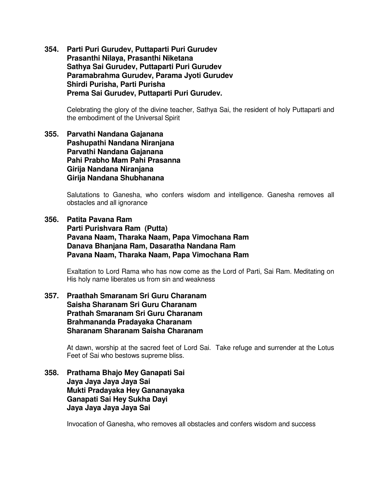**354. Parti Puri Gurudev, Puttaparti Puri Gurudev Prasanthi Nilaya, Prasanthi Niketana Sathya Sai Gurudev, Puttaparti Puri Gurudev Paramabrahma Gurudev, Parama Jyoti Gurudev Shirdi Purisha, Parti Purisha Prema Sai Gurudev, Puttaparti Puri Gurudev.**

> Celebrating the glory of the divine teacher, Sathya Sai, the resident of holy Puttaparti and the embodiment of the Universal Spirit

**355. Parvathi Nandana Gajanana Pashupathi Nandana Niranjana Parvathi Nandana Gajanana Pahi Prabho Mam Pahi Prasanna Girija Nandana Niranjana Girija Nandana Shubhanana**

> Salutations to Ganesha, who confers wisdom and intelligence. Ganesha removes all obstacles and all ignorance

#### **356. Patita Pavana Ram**

 **Parti Purishvara Ram (Putta) Pavana Naam, Tharaka Naam, Papa Vimochana Ram Danava Bhanjana Ram, Dasaratha Nandana Ram Pavana Naam, Tharaka Naam, Papa Vimochana Ram**

Exaltation to Lord Rama who has now come as the Lord of Parti, Sai Ram. Meditating on His holy name liberates us from sin and weakness

#### **357. Praathah Smaranam Sri Guru Charanam Saisha Sharanam Sri Guru Charanam Prathah Smaranam Sri Guru Charanam Brahmananda Pradayaka Charanam Sharanam Sharanam Saisha Charanam**

At dawn, worship at the sacred feet of Lord Sai. Take refuge and surrender at the Lotus Feet of Sai who bestows supreme bliss.

### **358. Prathama Bhajo Mey Ganapati Sai Jaya Jaya Jaya Jaya Sai Mukti Pradayaka Hey Gananayaka Ganapati Sai Hey Sukha Dayi Jaya Jaya Jaya Jaya Sai**

Invocation of Ganesha, who removes all obstacles and confers wisdom and success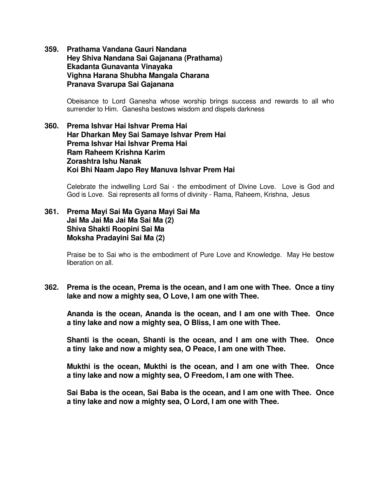## **359. Prathama Vandana Gauri Nandana Hey Shiva Nandana Sai Gajanana (Prathama) Ekadanta Gunavanta Vinayaka Vighna Harana Shubha Mangala Charana Pranava Svarupa Sai Gajanana**

Obeisance to Lord Ganesha whose worship brings success and rewards to all who surrender to Him. Ganesha bestows wisdom and dispels darkness

## **360. Prema Ishvar Hai Ishvar Prema Hai Har Dharkan Mey Sai Samaye Ishvar Prem Hai Prema Ishvar Hai Ishvar Prema Hai Ram Raheem Krishna Karim Zorashtra Ishu Nanak Koi Bhi Naam Japo Rey Manuva Ishvar Prem Hai**

Celebrate the indwelling Lord Sai - the embodiment of Divine Love. Love is God and God is Love. Sai represents all forms of divinity - Rama, Raheem, Krishna, Jesus

#### **361. Prema Mayi Sai Ma Gyana Mayi Sai Ma Jai Ma Jai Ma Jai Ma Sai Ma (2) Shiva Shakti Roopini Sai Ma Moksha Pradayini Sai Ma (2)**

Praise be to Sai who is the embodiment of Pure Love and Knowledge. May He bestow liberation on all.

**362. Prema is the ocean, Prema is the ocean, and I am one with Thee. Once a tiny lake and now a mighty sea, O Love, I am one with Thee.** 

 **Ananda is the ocean, Ananda is the ocean, and I am one with Thee. Once a tiny lake and now a mighty sea, O Bliss, I am one with Thee.** 

 **Shanti is the ocean, Shanti is the ocean, and I am one with Thee. Once a tiny lake and now a mighty sea, O Peace, I am one with Thee.** 

 **Mukthi is the ocean, Mukthi is the ocean, and I am one with Thee. Once a tiny lake and now a mighty sea, O Freedom, I am one with Thee.** 

 **Sai Baba is the ocean, Sai Baba is the ocean, and I am one with Thee. Once a tiny lake and now a mighty sea, O Lord, I am one with Thee.**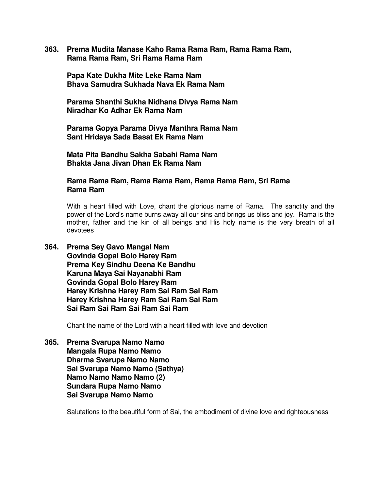**363. Prema Mudita Manase Kaho Rama Rama Ram, Rama Rama Ram, Rama Rama Ram, Sri Rama Rama Ram** 

 **Papa Kate Dukha Mite Leke Rama Nam Bhava Samudra Sukhada Nava Ek Rama Nam** 

 **Parama Shanthi Sukha Nidhana Divya Rama Nam Niradhar Ko Adhar Ek Rama Nam** 

 **Parama Gopya Parama Divya Manthra Rama Nam Sant Hridaya Sada Basat Ek Rama Nam** 

 **Mata Pita Bandhu Sakha Sabahi Rama Nam Bhakta Jana Jivan Dhan Ek Rama Nam** 

#### **Rama Rama Ram, Rama Rama Ram, Rama Rama Ram, Sri Rama Rama Ram**

With a heart filled with Love, chant the glorious name of Rama. The sanctity and the power of the Lord's name burns away all our sins and brings us bliss and joy. Rama is the mother, father and the kin of all beings and His holy name is the very breath of all devotees

**364. Prema Sey Gavo Mangal Nam Govinda Gopal Bolo Harey Ram Prema Key Sindhu Deena Ke Bandhu Karuna Maya Sai Nayanabhi Ram Govinda Gopal Bolo Harey Ram Harey Krishna Harey Ram Sai Ram Sai Ram Harey Krishna Harey Ram Sai Ram Sai Ram Sai Ram Sai Ram Sai Ram Sai Ram**

Chant the name of the Lord with a heart filled with love and devotion

**365. Prema Svarupa Namo Namo Mangala Rupa Namo Namo Dharma Svarupa Namo Namo Sai Svarupa Namo Namo (Sathya) Namo Namo Namo (2) Sundara Rupa Namo Namo Sai Svarupa Namo Namo**

Salutations to the beautiful form of Sai, the embodiment of divine love and righteousness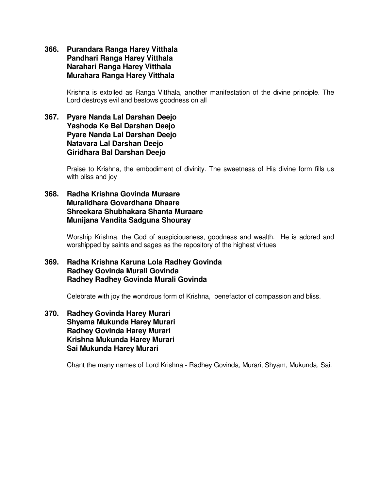**366. Purandara Ranga Harey Vitthala Pandhari Ranga Harey Vitthala Narahari Ranga Harey Vitthala Murahara Ranga Harey Vitthala**

> Krishna is extolled as Ranga Vitthala, another manifestation of the divine principle. The Lord destroys evil and bestows goodness on all

**367. Pyare Nanda Lal Darshan Deejo Yashoda Ke Bal Darshan Deejo Pyare Nanda Lal Darshan Deejo Natavara Lal Darshan Deejo Giridhara Bal Darshan Deejo**

> Praise to Krishna, the embodiment of divinity. The sweetness of His divine form fills us with bliss and joy

**368. Radha Krishna Govinda Muraare Muralidhara Govardhana Dhaare Shreekara Shubhakara Shanta Muraare Munijana Vandita Sadguna Shouray** 

> Worship Krishna, the God of auspiciousness, goodness and wealth. He is adored and worshipped by saints and sages as the repository of the highest virtues

#### **369. Radha Krishna Karuna Lola Radhey Govinda Radhey Govinda Murali Govinda Radhey Radhey Govinda Murali Govinda**

Celebrate with joy the wondrous form of Krishna, benefactor of compassion and bliss.

**370. Radhey Govinda Harey Murari Shyama Mukunda Harey Murari Radhey Govinda Harey Murari Krishna Mukunda Harey Murari Sai Mukunda Harey Murari**

Chant the many names of Lord Krishna - Radhey Govinda, Murari, Shyam, Mukunda, Sai.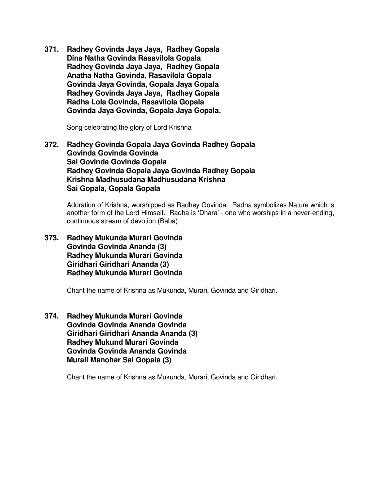**371. Radhey Govinda Jaya Jaya, Radhey Gopala Dina Natha Govinda Rasavilola Gopala Radhey Govinda Jaya Jaya, Radhey Gopala Anatha Natha Govinda, Rasavilola Gopala Govinda Jaya Govinda, Gopala Jaya Gopala Radhey Govinda Jaya Jaya, Radhey Gopala Radha Lola Govinda, Rasavilola Gopala Govinda Jaya Govinda, Gopala Jaya Gopala.** 

Song celebrating the glory of Lord Krishna

**372. Radhey Govinda Gopala Jaya Govinda Radhey Gopala Govinda Govinda Govinda Sai Govinda Govinda Gopala Radhey Govinda Gopala Jaya Govinda Radhey Gopala Krishna Madhusudana Madhusudana Krishna Sai Gopala, Gopala Gopala**

> Adoration of Krishna, worshipped as Radhey Govinda. Radha symbolizes Nature which is another form of the Lord Himself. Radha is 'Dhara' - one who worships in a never-ending, continuous stream of devotion (Baba)

**373. Radhey Mukunda Murari Govinda Govinda Govinda Ananda (3) Radhey Mukunda Murari Govinda Giridhari Giridhari Ananda (3) Radhey Mukunda Murari Govinda**

Chant the name of Krishna as Mukunda, Murari, Govinda and Giridhari.

**374. Radhey Mukunda Murari Govinda Govinda Govinda Ananda Govinda Giridhari Giridhari Ananda Ananda (3) Radhey Mukund Murari Govinda Govinda Govinda Ananda Govinda Murali Manohar Sai Gopala (3)** 

Chant the name of Krishna as Mukunda, Murari, Govinda and Giridhari.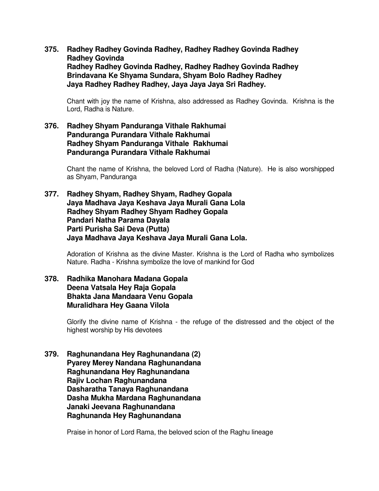## **375. Radhey Radhey Govinda Radhey, Radhey Radhey Govinda Radhey Radhey Govinda Radhey Radhey Govinda Radhey, Radhey Radhey Govinda Radhey Brindavana Ke Shyama Sundara, Shyam Bolo Radhey Radhey Jaya Radhey Radhey Radhey, Jaya Jaya Jaya Sri Radhey.**

Chant with joy the name of Krishna, also addressed as Radhey Govinda. Krishna is the Lord, Radha is Nature.

**376. Radhey Shyam Panduranga Vithale Rakhumai Panduranga Purandara Vithale Rakhumai Radhey Shyam Panduranga Vithale Rakhumai Panduranga Purandara Vithale Rakhumai**

> Chant the name of Krishna, the beloved Lord of Radha (Nature). He is also worshipped as Shyam, Panduranga

**377. Radhey Shyam, Radhey Shyam, Radhey Gopala Jaya Madhava Jaya Keshava Jaya Murali Gana Lola Radhey Shyam Radhey Shyam Radhey Gopala Pandari Natha Parama Dayala Parti Purisha Sai Deva (Putta) Jaya Madhava Jaya Keshava Jaya Murali Gana Lola.** 

> Adoration of Krishna as the divine Master. Krishna is the Lord of Radha who symbolizes Nature. Radha - Krishna symbolize the love of mankind for God

**378. Radhika Manohara Madana Gopala Deena Vatsala Hey Raja Gopala Bhakta Jana Mandaara Venu Gopala Muralidhara Hey Gaana Vilola** 

> Glorify the divine name of Krishna - the refuge of the distressed and the object of the highest worship by His devotees

**379. Raghunandana Hey Raghunandana (2) Pyarey Merey Nandana Raghunandana Raghunandana Hey Raghunandana Rajiv Lochan Raghunandana Dasharatha Tanaya Raghunandana Dasha Mukha Mardana Raghunandana Janaki Jeevana Raghunandana Raghunanda Hey Raghunandana**

Praise in honor of Lord Rama, the beloved scion of the Raghu lineage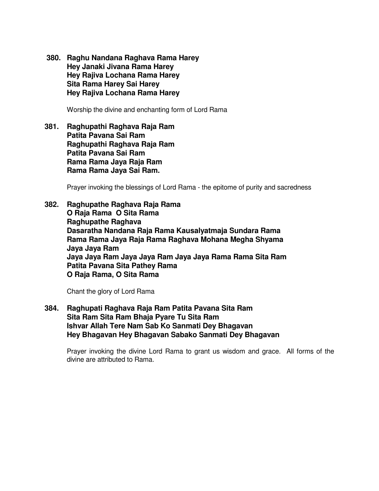**380. Raghu Nandana Raghava Rama Harey Hey Janaki Jivana Rama Harey Hey Rajiva Lochana Rama Harey Sita Rama Harey Sai Harey Hey Rajiva Lochana Rama Harey**

Worship the divine and enchanting form of Lord Rama

**381. Raghupathi Raghava Raja Ram Patita Pavana Sai Ram Raghupathi Raghava Raja Ram Patita Pavana Sai Ram Rama Rama Jaya Raja Ram Rama Rama Jaya Sai Ram.** 

Prayer invoking the blessings of Lord Rama - the epitome of purity and sacredness

### **382. Raghupathe Raghava Raja Rama O Raja Rama O Sita Rama Raghupathe Raghava Dasaratha Nandana Raja Rama Kausalyatmaja Sundara Rama Rama Rama Jaya Raja Rama Raghava Mohana Megha Shyama Jaya Jaya Ram Jaya Jaya Ram Jaya Jaya Ram Jaya Jaya Rama Rama Sita Ram Patita Pavana Sita Pathey Rama O Raja Rama, O Sita Rama**

Chant the glory of Lord Rama

**384. Raghupati Raghava Raja Ram Patita Pavana Sita Ram Sita Ram Sita Ram Bhaja Pyare Tu Sita Ram Ishvar Allah Tere Nam Sab Ko Sanmati Dey Bhagavan Hey Bhagavan Hey Bhagavan Sabako Sanmati Dey Bhagavan**

Prayer invoking the divine Lord Rama to grant us wisdom and grace. All forms of the divine are attributed to Rama.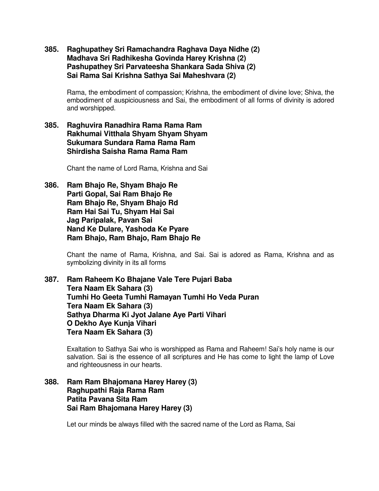**385. Raghupathey Sri Ramachandra Raghava Daya Nidhe (2) Madhava Sri Radhikesha Govinda Harey Krishna (2) Pashupathey Sri Parvateesha Shankara Sada Shiva (2) Sai Rama Sai Krishna Sathya Sai Maheshvara (2)**

> Rama, the embodiment of compassion; Krishna, the embodiment of divine love; Shiva, the embodiment of auspiciousness and Sai, the embodiment of all forms of divinity is adored and worshipped.

**385. Raghuvira Ranadhira Rama Rama Ram Rakhumai Vitthala Shyam Shyam Shyam Sukumara Sundara Rama Rama Ram Shirdisha Saisha Rama Rama Ram** 

Chant the name of Lord Rama, Krishna and Sai

**386. Ram Bhajo Re, Shyam Bhajo Re Parti Gopal, Sai Ram Bhajo Re Ram Bhajo Re, Shyam Bhajo Rd Ram Hai Sai Tu, Shyam Hai Sai Jag Paripalak, Pavan Sai Nand Ke Dulare, Yashoda Ke Pyare Ram Bhajo, Ram Bhajo, Ram Bhajo Re**

> Chant the name of Rama, Krishna, and Sai. Sai is adored as Rama, Krishna and as symbolizing divinity in its all forms

**387. Ram Raheem Ko Bhajane Vale Tere Pujari Baba Tera Naam Ek Sahara (3) Tumhi Ho Geeta Tumhi Ramayan Tumhi Ho Veda Puran Tera Naam Ek Sahara (3) Sathya Dharma Ki Jyot Jalane Aye Parti Vihari O Dekho Aye Kunja Vihari Tera Naam Ek Sahara (3)** 

> Exaltation to Sathya Sai who is worshipped as Rama and Raheem! Sai's holy name is our salvation. Sai is the essence of all scriptures and He has come to light the lamp of Love and righteousness in our hearts.

**388. Ram Ram Bhajomana Harey Harey (3) Raghupathi Raja Rama Ram Patita Pavana Sita Ram Sai Ram Bhajomana Harey Harey (3)**

Let our minds be always filled with the sacred name of the Lord as Rama, Sai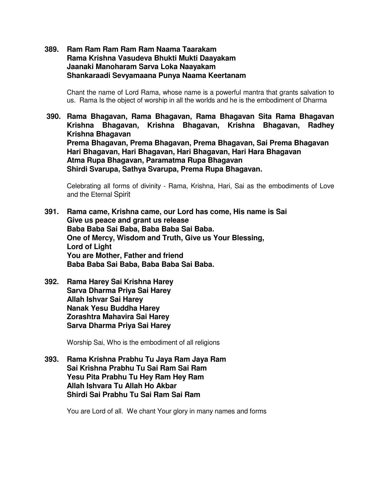#### **389. Ram Ram Ram Ram Ram Naama Taarakam Rama Krishna Vasudeva Bhukti Mukti Daayakam Jaanaki Manoharam Sarva Loka Naayakam Shankaraadi Sevyamaana Punya Naama Keertanam**

Chant the name of Lord Rama, whose name is a powerful mantra that grants salvation to us. Rama Is the object of worship in all the worlds and he is the embodiment of Dharma

**390. Rama Bhagavan, Rama Bhagavan, Rama Bhagavan Sita Rama Bhagavan Krishna Bhagavan, Krishna Bhagavan, Krishna Bhagavan, Radhey Krishna Bhagavan Prema Bhagavan, Prema Bhagavan, Prema Bhagavan, Sai Prema Bhagavan Hari Bhagavan, Hari Bhagavan, Hari Bhagavan, Hari Hara Bhagavan Atma Rupa Bhagavan, Paramatma Rupa Bhagavan Shirdi Svarupa, Sathya Svarupa, Prema Rupa Bhagavan.** 

Celebrating all forms of divinity - Rama, Krishna, Hari, Sai as the embodiments of Love and the Eternal Spirit

**391. Rama came, Krishna came, our Lord has come, His name is Sai Give us peace and grant us release Baba Baba Sai Baba, Baba Baba Sai Baba. One of Mercy, Wisdom and Truth, Give us Your Blessing, Lord of Light You are Mother, Father and friend Baba Baba Sai Baba, Baba Baba Sai Baba.** 

**392. Rama Harey Sai Krishna Harey Sarva Dharma Priya Sai Harey Allah Ishvar Sai Harey Nanak Yesu Buddha Harey Zorashtra Mahavira Sai Harey Sarva Dharma Priya Sai Harey**

Worship Sai, Who is the embodiment of all religions

**393. Rama Krishna Prabhu Tu Jaya Ram Jaya Ram Sai Krishna Prabhu Tu Sai Ram Sai Ram Yesu Pita Prabhu Tu Hey Ram Hey Ram Allah Ishvara Tu Allah Ho Akbar Shirdi Sai Prabhu Tu Sai Ram Sai Ram**

You are Lord of all. We chant Your glory in many names and forms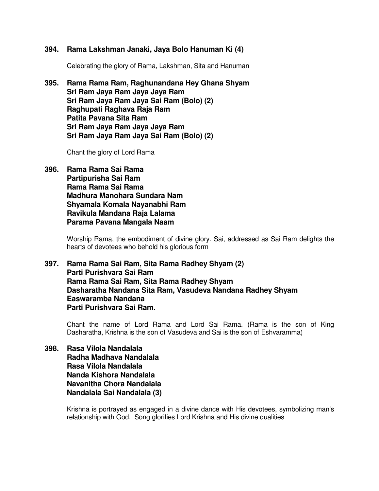#### **394. Rama Lakshman Janaki, Jaya Bolo Hanuman Ki (4)**

Celebrating the glory of Rama, Lakshman, Sita and Hanuman

**395. Rama Rama Ram, Raghunandana Hey Ghana Shyam Sri Ram Jaya Ram Jaya Jaya Ram Sri Ram Jaya Ram Jaya Sai Ram (Bolo) (2) Raghupati Raghava Raja Ram Patita Pavana Sita Ram Sri Ram Jaya Ram Jaya Jaya Ram Sri Ram Jaya Ram Jaya Sai Ram (Bolo) (2)** 

Chant the glory of Lord Rama

**396. Rama Rama Sai Rama Partipurisha Sai Ram Rama Rama Sai Rama Madhura Manohara Sundara Nam Shyamala Komala Nayanabhi Ram Ravikula Mandana Raja Lalama Parama Pavana Mangala Naam**

> Worship Rama, the embodiment of divine glory. Sai, addressed as Sai Ram delights the hearts of devotees who behold his glorious form

**397. Rama Rama Sai Ram, Sita Rama Radhey Shyam (2) Parti Purishvara Sai Ram Rama Rama Sai Ram, Sita Rama Radhey Shyam Dasharatha Nandana Sita Ram, Vasudeva Nandana Radhey Shyam Easwaramba Nandana Parti Purishvara Sai Ram.** 

Chant the name of Lord Rama and Lord Sai Rama. (Rama is the son of King Dasharatha, Krishna is the son of Vasudeva and Sai is the son of Eshvaramma)

**398. Rasa Vilola Nandalala Radha Madhava Nandalala Rasa Vilola Nandalala Nanda Kishora Nandalala Navanitha Chora Nandalala Nandalala Sai Nandalala (3)**

> Krishna is portrayed as engaged in a divine dance with His devotees, symbolizing man's relationship with God. Song glorifies Lord Krishna and His divine qualities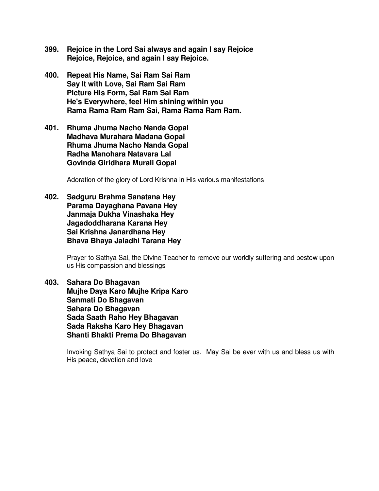- **399. Rejoice in the Lord Sai always and again I say Rejoice Rejoice, Rejoice, and again I say Rejoice.**
- **400. Repeat His Name, Sai Ram Sai Ram Say It with Love, Sai Ram Sai Ram Picture His Form, Sai Ram Sai Ram He's Everywhere, feel Him shining within you Rama Rama Ram Ram Sai, Rama Rama Ram Ram.**
- **401. Rhuma Jhuma Nacho Nanda Gopal Madhava Murahara Madana Gopal Rhuma Jhuma Nacho Nanda Gopal Radha Manohara Natavara Lal Govinda Giridhara Murali Gopal**

Adoration of the glory of Lord Krishna in His various manifestations

**402. Sadguru Brahma Sanatana Hey Parama Dayaghana Pavana Hey Janmaja Dukha Vinashaka Hey Jagadoddharana Karana Hey Sai Krishna Janardhana Hey Bhava Bhaya Jaladhi Tarana Hey**

> Prayer to Sathya Sai, the Divine Teacher to remove our worldly suffering and bestow upon us His compassion and blessings

**403. Sahara Do Bhagavan Mujhe Daya Karo Mujhe Kripa Karo Sanmati Do Bhagavan Sahara Do Bhagavan Sada Saath Raho Hey Bhagavan Sada Raksha Karo Hey Bhagavan Shanti Bhakti Prema Do Bhagavan**

> Invoking Sathya Sai to protect and foster us. May Sai be ever with us and bless us with His peace, devotion and love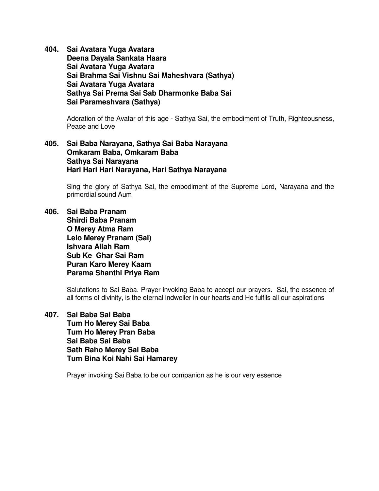**404. Sai Avatara Yuga Avatara Deena Dayala Sankata Haara Sai Avatara Yuga Avatara Sai Brahma Sai Vishnu Sai Maheshvara (Sathya) Sai Avatara Yuga Avatara Sathya Sai Prema Sai Sab Dharmonke Baba Sai Sai Parameshvara (Sathya)**

> Adoration of the Avatar of this age - Sathya Sai, the embodiment of Truth, Righteousness, Peace and Love

**405. Sai Baba Narayana, Sathya Sai Baba Narayana Omkaram Baba, Omkaram Baba Sathya Sai Narayana Hari Hari Hari Narayana, Hari Sathya Narayana**

> Sing the glory of Sathya Sai, the embodiment of the Supreme Lord, Narayana and the primordial sound Aum

**406. Sai Baba Pranam Shirdi Baba Pranam O Merey Atma Ram Lelo Merey Pranam (Sai) Ishvara Allah Ram Sub Ke Ghar Sai Ram Puran Karo Merey Kaam Parama Shanthi Priya Ram**

> Salutations to Sai Baba. Prayer invoking Baba to accept our prayers. Sai, the essence of all forms of divinity, is the eternal indweller in our hearts and He fulfils all our aspirations

**407. Sai Baba Sai Baba Tum Ho Merey Sai Baba Tum Ho Merey Pran Baba Sai Baba Sai Baba Sath Raho Merey Sai Baba Tum Bina Koi Nahi Sai Hamarey**

Prayer invoking Sai Baba to be our companion as he is our very essence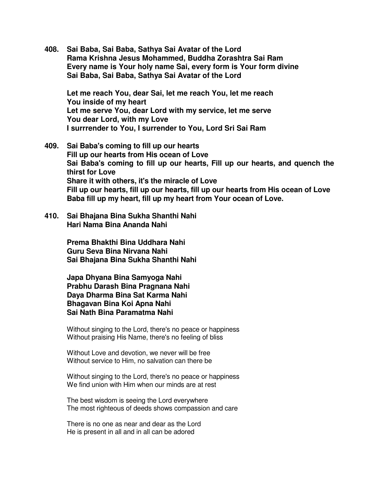**408. Sai Baba, Sai Baba, Sathya Sai Avatar of the Lord Rama Krishna Jesus Mohammed, Buddha Zorashtra Sai Ram Every name is Your holy name Sai, every form is Your form divine Sai Baba, Sai Baba, Sathya Sai Avatar of the Lord** 

 **Let me reach You, dear Sai, let me reach You, let me reach You inside of my heart Let me serve You, dear Lord with my service, let me serve You dear Lord, with my Love I surrrender to You, I surrender to You, Lord Sri Sai Ram** 

- **409. Sai Baba's coming to fill up our hearts Fill up our hearts from His ocean of Love Sai Baba's coming to fill up our hearts, Fill up our hearts, and quench the thirst for Love Share it with others, it's the miracle of Love Fill up our hearts, fill up our hearts, fill up our hearts from His ocean of Love Baba fill up my heart, fill up my heart from Your ocean of Love.**
- **410. Sai Bhajana Bina Sukha Shanthi Nahi Hari Nama Bina Ananda Nahi**

 **Prema Bhakthi Bina Uddhara Nahi Guru Seva Bina Nirvana Nahi Sai Bhajana Bina Sukha Shanthi Nahi** 

 **Japa Dhyana Bina Samyoga Nahi Prabhu Darash Bina Pragnana Nahi Daya Dharma Bina Sat Karma Nahi Bhagavan Bina Koi Apna Nahi Sai Nath Bina Paramatma Nahi**

Without singing to the Lord, there's no peace or happiness Without praising His Name, there's no feeling of bliss

 Without Love and devotion, we never will be free Without service to Him, no salvation can there be

 Without singing to the Lord, there's no peace or happiness We find union with Him when our minds are at rest

 The best wisdom is seeing the Lord everywhere The most righteous of deeds shows compassion and care

 There is no one as near and dear as the Lord He is present in all and in all can be adored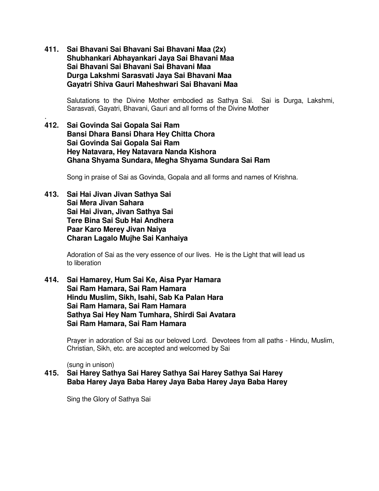**411. Sai Bhavani Sai Bhavani Sai Bhavani Maa (2x) Shubhankari Abhayankari Jaya Sai Bhavani Maa Sai Bhavani Sai Bhavani Sai Bhavani Maa Durga Lakshmi Sarasvati Jaya Sai Bhavani Maa Gayatri Shiva Gauri Maheshwari Sai Bhavani Maa**

> Salutations to the Divine Mother embodied as Sathya Sai. Sai is Durga, Lakshmi, Sarasvati, Gayatri, Bhavani, Gauri and all forms of the Divine Mother

**412. Sai Govinda Sai Gopala Sai Ram Bansi Dhara Bansi Dhara Hey Chitta Chora Sai Govinda Sai Gopala Sai Ram Hey Natavara, Hey Natavara Nanda Kishora Ghana Shyama Sundara, Megha Shyama Sundara Sai Ram**

Song in praise of Sai as Govinda, Gopala and all forms and names of Krishna.

**413. Sai Hai Jivan Jivan Sathya Sai Sai Mera Jivan Sahara Sai Hai Jivan, Jivan Sathya Sai Tere Bina Sai Sub Hai Andhera Paar Karo Merey Jivan Naiya Charan Lagalo Mujhe Sai Kanhaiya**

.

Adoration of Sai as the very essence of our lives. He is the Light that will lead us to liberation

**414. Sai Hamarey, Hum Sai Ke, Aisa Pyar Hamara Sai Ram Hamara, Sai Ram Hamara Hindu Muslim, Sikh, Isahi, Sab Ka Palan Hara Sai Ram Hamara, Sai Ram Hamara Sathya Sai Hey Nam Tumhara, Shirdi Sai Avatara Sai Ram Hamara, Sai Ram Hamara**

> Prayer in adoration of Sai as our beloved Lord. Devotees from all paths - Hindu, Muslim, Christian, Sikh, etc. are accepted and welcomed by Sai

(sung in unison)

#### **415. Sai Harey Sathya Sai Harey Sathya Sai Harey Sathya Sai Harey Baba Harey Jaya Baba Harey Jaya Baba Harey Jaya Baba Harey**

Sing the Glory of Sathya Sai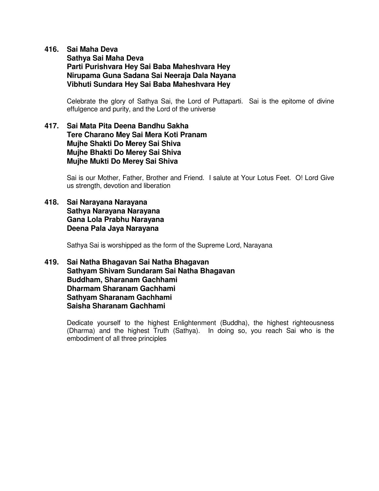#### **416. Sai Maha Deva**

# **Sathya Sai Maha Deva Parti Purishvara Hey Sai Baba Maheshvara Hey Nirupama Guna Sadana Sai Neeraja Dala Nayana Vibhuti Sundara Hey Sai Baba Maheshvara Hey**

Celebrate the glory of Sathya Sai, the Lord of Puttaparti. Sai is the epitome of divine effulgence and purity, and the Lord of the universe

### **417. Sai Mata Pita Deena Bandhu Sakha Tere Charano Mey Sai Mera Koti Pranam Mujhe Shakti Do Merey Sai Shiva Mujhe Bhakti Do Merey Sai Shiva Mujhe Mukti Do Merey Sai Shiva**

Sai is our Mother, Father, Brother and Friend. I salute at Your Lotus Feet. O! Lord Give us strength, devotion and liberation

## **418. Sai Narayana Narayana Sathya Narayana Narayana Gana Lola Prabhu Narayana Deena Pala Jaya Narayana**

Sathya Sai is worshipped as the form of the Supreme Lord, Narayana

**419. Sai Natha Bhagavan Sai Natha Bhagavan Sathyam Shivam Sundaram Sai Natha Bhagavan Buddham, Sharanam Gachhami Dharmam Sharanam Gachhami Sathyam Sharanam Gachhami Saisha Sharanam Gachhami**

> Dedicate yourself to the highest Enlightenment (Buddha), the highest righteousness (Dharma) and the highest Truth (Sathya). In doing so, you reach Sai who is the embodiment of all three principles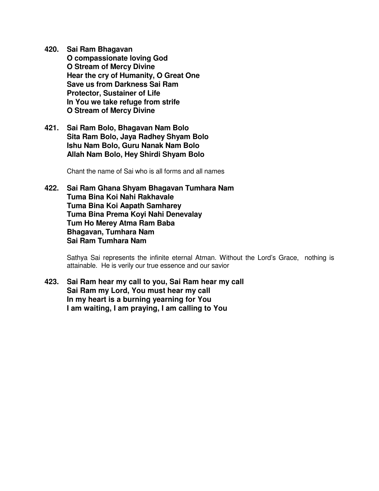- **420. Sai Ram Bhagavan O compassionate loving God O Stream of Mercy Divine Hear the cry of Humanity, O Great One Save us from Darkness Sai Ram Protector, Sustainer of Life In You we take refuge from strife O Stream of Mercy Divine**
- **421. Sai Ram Bolo, Bhagavan Nam Bolo Sita Ram Bolo, Jaya Radhey Shyam Bolo Ishu Nam Bolo, Guru Nanak Nam Bolo Allah Nam Bolo, Hey Shirdi Shyam Bolo**

Chant the name of Sai who is all forms and all names

**422. Sai Ram Ghana Shyam Bhagavan Tumhara Nam Tuma Bina Koi Nahi Rakhavale Tuma Bina Koi Aapath Samharey Tuma Bina Prema Koyi Nahi Denevalay Tum Ho Merey Atma Ram Baba Bhagavan, Tumhara Nam Sai Ram Tumhara Nam**

> Sathya Sai represents the infinite eternal Atman. Without the Lord's Grace, nothing is attainable. He is verily our true essence and our savior

**423. Sai Ram hear my call to you, Sai Ram hear my call Sai Ram my Lord, You must hear my call In my heart is a burning yearning for You I am waiting, I am praying, I am calling to You**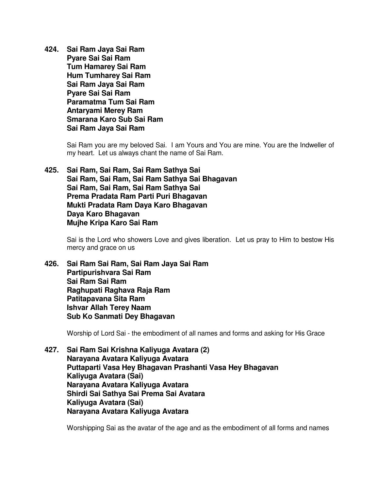**424. Sai Ram Jaya Sai Ram Pyare Sai Sai Ram Tum Hamarey Sai Ram Hum Tumharey Sai Ram Sai Ram Jaya Sai Ram Pyare Sai Sai Ram Paramatma Tum Sai Ram Antaryami Merey Ram Smarana Karo Sub Sai Ram Sai Ram Jaya Sai Ram**

> Sai Ram you are my beloved Sai. I am Yours and You are mine. You are the Indweller of my heart. Let us always chant the name of Sai Ram.

**425. Sai Ram, Sai Ram, Sai Ram Sathya Sai Sai Ram, Sai Ram, Sai Ram Sathya Sai Bhagavan Sai Ram, Sai Ram, Sai Ram Sathya Sai Prema Pradata Ram Parti Puri Bhagavan Mukti Pradata Ram Daya Karo Bhagavan Daya Karo Bhagavan Mujhe Kripa Karo Sai Ram**

> Sai is the Lord who showers Love and gives liberation. Let us pray to Him to bestow His mercy and grace on us

**426. Sai Ram Sai Ram, Sai Ram Jaya Sai Ram Partipurishvara Sai Ram Sai Ram Sai Ram Raghupati Raghava Raja Ram Patitapavana Sita Ram Ishvar Allah Terey Naam Sub Ko Sanmati Dey Bhagavan** 

Worship of Lord Sai - the embodiment of all names and forms and asking for His Grace

**427. Sai Ram Sai Krishna Kaliyuga Avatara (2) Narayana Avatara Kaliyuga Avatara Puttaparti Vasa Hey Bhagavan Prashanti Vasa Hey Bhagavan Kaliyuga Avatara (Sai) Narayana Avatara Kaliyuga Avatara Shirdi Sai Sathya Sai Prema Sai Avatara Kaliyuga Avatara (Sai) Narayana Avatara Kaliyuga Avatara**

Worshipping Sai as the avatar of the age and as the embodiment of all forms and names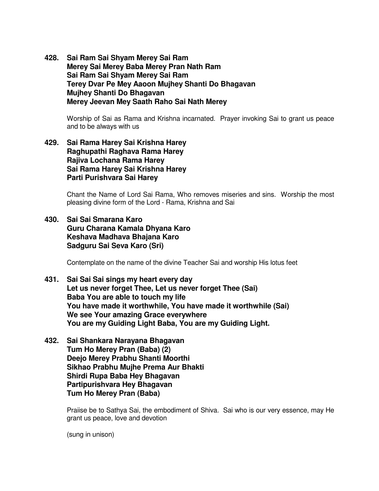**428. Sai Ram Sai Shyam Merey Sai Ram Merey Sai Merey Baba Merey Pran Nath Ram Sai Ram Sai Shyam Merey Sai Ram Terey Dvar Pe Mey Aaoon Mujhey Shanti Do Bhagavan Mujhey Shanti Do Bhagavan Merey Jeevan Mey Saath Raho Sai Nath Merey**

> Worship of Sai as Rama and Krishna incarnated. Prayer invoking Sai to grant us peace and to be always with us

**429. Sai Rama Harey Sai Krishna Harey Raghupathi Raghava Rama Harey Rajiva Lochana Rama Harey Sai Rama Harey Sai Krishna Harey Parti Purishvara Sai Harey**

> Chant the Name of Lord Sai Rama, Who removes miseries and sins. Worship the most pleasing divine form of the Lord - Rama, Krishna and Sai

**430. Sai Sai Smarana Karo Guru Charana Kamala Dhyana Karo Keshava Madhava Bhajana Karo Sadguru Sai Seva Karo (Sri)** 

Contemplate on the name of the divine Teacher Sai and worship His lotus feet

- **431. Sai Sai Sai sings my heart every day Let us never forget Thee, Let us never forget Thee (Sai) Baba You are able to touch my life You have made it worthwhile, You have made it worthwhile (Sai) We see Your amazing Grace everywhere You are my Guiding Light Baba, You are my Guiding Light.**
- **432. Sai Shankara Narayana Bhagavan Tum Ho Merey Pran (Baba) (2) Deejo Merey Prabhu Shanti Moorthi Sikhao Prabhu Mujhe Prema Aur Bhakti Shirdi Rupa Baba Hey Bhagavan Partipurishvara Hey Bhagavan Tum Ho Merey Pran (Baba)**

Praiise be to Sathya Sai, the embodiment of Shiva. Sai who is our very essence, may He grant us peace, love and devotion

(sung in unison)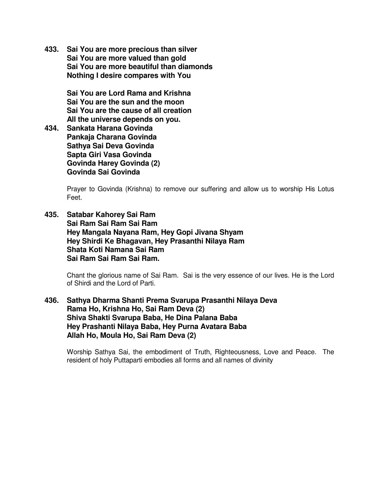**433. Sai You are more precious than silver Sai You are more valued than gold Sai You are more beautiful than diamonds Nothing I desire compares with You** 

> **Sai You are Lord Rama and Krishna Sai You are the sun and the moon Sai You are the cause of all creation All the universe depends on you.**

**434. Sankata Harana Govinda Pankaja Charana Govinda Sathya Sai Deva Govinda Sapta Giri Vasa Govinda Govinda Harey Govinda (2) Govinda Sai Govinda**

> Prayer to Govinda (Krishna) to remove our suffering and allow us to worship His Lotus Feet.

**435. Satabar Kahorey Sai Ram Sai Ram Sai Ram Sai Ram Hey Mangala Nayana Ram, Hey Gopi Jivana Shyam Hey Shirdi Ke Bhagavan, Hey Prasanthi Nilaya Ram Shata Koti Namana Sai Ram Sai Ram Sai Ram Sai Ram.**

> Chant the glorious name of Sai Ram. Sai is the very essence of our lives. He is the Lord of Shirdi and the Lord of Parti.

**436. Sathya Dharma Shanti Prema Svarupa Prasanthi Nilaya Deva Rama Ho, Krishna Ho, Sai Ram Deva (2) Shiva Shakti Svarupa Baba, He Dina Palana Baba Hey Prashanti Nilaya Baba, Hey Purna Avatara Baba Allah Ho, Moula Ho, Sai Ram Deva (2)**

Worship Sathya Sai, the embodiment of Truth, Righteousness, Love and Peace. The resident of holy Puttaparti embodies all forms and all names of divinity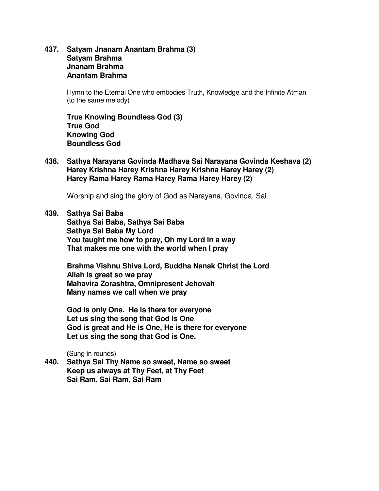### **437. Satyam Jnanam Anantam Brahma (3) Satyam Brahma Jnanam Brahma Anantam Brahma**

Hymn to the Eternal One who embodies Truth, Knowledge and the Infinite Atman (to the same melody)

**True Knowing Boundless God (3) True God Knowing God Boundless God** 

**438. Sathya Narayana Govinda Madhava Sai Narayana Govinda Keshava (2) Harey Krishna Harey Krishna Harey Krishna Harey Harey (2) Harey Rama Harey Rama Harey Rama Harey Harey (2)** 

Worship and sing the glory of God as Narayana, Govinda, Sai

**439. Sathya Sai Baba** 

 **Sathya Sai Baba, Sathya Sai Baba Sathya Sai Baba My Lord You taught me how to pray, Oh my Lord in a way That makes me one with the world when I pray** 

 **Brahma Vishnu Shiva Lord, Buddha Nanak Christ the Lord Allah is great so we pray Mahavira Zorashtra, Omnipresent Jehovah Many names we call when we pray** 

 **God is only One. He is there for everyone Let us sing the song that God is One God is great and He is One, He is there for everyone Let us sing the song that God is One.** 

**(**Sung in rounds)

**440. Sathya Sai Thy Name so sweet, Name so sweet Keep us always at Thy Feet, at Thy Feet Sai Ram, Sai Ram, Sai Ram**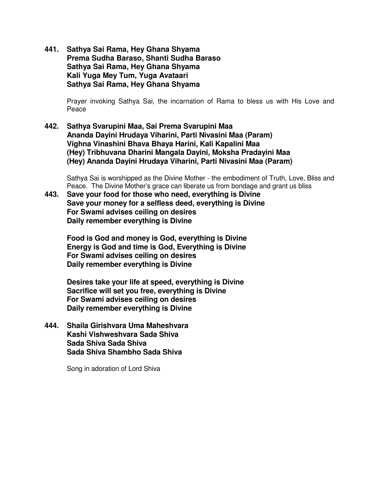**441. Sathya Sai Rama, Hey Ghana Shyama Prema Sudha Baraso, Shanti Sudha Baraso Sathya Sai Rama, Hey Ghana Shyama Kali Yuga Mey Tum, Yuga Avataari Sathya Sai Rama, Hey Ghana Shyama** 

> Prayer invoking Sathya Sai, the incarnation of Rama to bless us with His Love and Peace

**442. Sathya Svarupini Maa, Sai Prema Svarupini Maa Ananda Dayini Hrudaya Viharini, Parti Nivasini Maa (Param) Vighna Vinashini Bhava Bhaya Harini, Kali Kapalini Maa (Hey) Tribhuvana Dharini Mangala Dayini, Moksha Pradayini Maa (Hey) Ananda Dayini Hrudaya Viharini, Parti Nivasini Maa (Param)**

Sathya Sai is worshipped as the Divine Mother - the embodiment of Truth, Love, Bliss and Peace. The Divine Mother's grace can liberate us from bondage and grant us bliss

**443. Save your food for those who need, everything is Divine Save your money for a selfless deed, everything is Divine For Swami advises ceiling on desires Daily remember everything is Divine** 

> **Food is God and money is God, everything is Divine Energy is God and time is God, Everything is Divine For Swami advises ceiling on desires Daily remember everything is Divine**

 **Desires take your life at speed, everything is Divine Sacrifice will set you free, everything is Divine For Swami advises ceiling on desires Daily remember everything is Divine**

**444. Shaila Girishvara Uma Maheshvara Kashi Vishweshvara Sada Shiva Sada Shiva Sada Shiva Sada Shiva Shambho Sada Shiva**

Song in adoration of Lord Shiva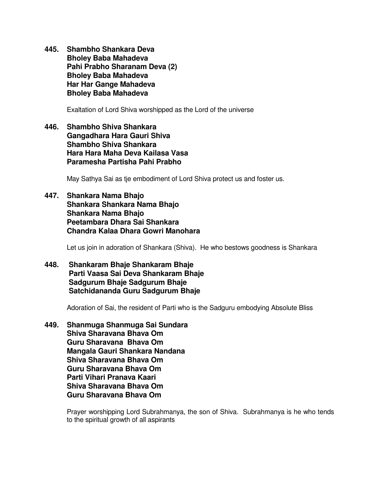**445. Shambho Shankara Deva Bholey Baba Mahadeva Pahi Prabho Sharanam Deva (2) Bholey Baba Mahadeva Har Har Gange Mahadeva Bholey Baba Mahadeva**

Exaltation of Lord Shiva worshipped as the Lord of the universe

**446. Shambho Shiva Shankara Gangadhara Hara Gauri Shiva Shambho Shiva Shankara Hara Hara Maha Deva Kailasa Vasa Paramesha Partisha Pahi Prabho**

May Sathya Sai as tje embodiment of Lord Shiva protect us and foster us.

**447. Shankara Nama Bhajo Shankara Shankara Nama Bhajo Shankara Nama Bhajo Peetambara Dhara Sai Shankara Chandra Kalaa Dhara Gowri Manohara** 

Let us join in adoration of Shankara (Shiva). He who bestows goodness is Shankara

**448. Shankaram Bhaje Shankaram Bhaje Parti Vaasa Sai Deva Shankaram Bhaje Sadgurum Bhaje Sadgurum Bhaje Satchidananda Guru Sadgurum Bhaje** 

Adoration of Sai, the resident of Parti who is the Sadguru embodying Absolute Bliss

**449. Shanmuga Shanmuga Sai Sundara Shiva Sharavana Bhava Om Guru Sharavana Bhava Om Mangala Gauri Shankara Nandana Shiva Sharavana Bhava Om Guru Sharavana Bhava Om Parti Vihari Pranava Kaari Shiva Sharavana Bhava Om Guru Sharavana Bhava Om**

> Prayer worshipping Lord Subrahmanya, the son of Shiva. Subrahmanya is he who tends to the spiritual growth of all aspirants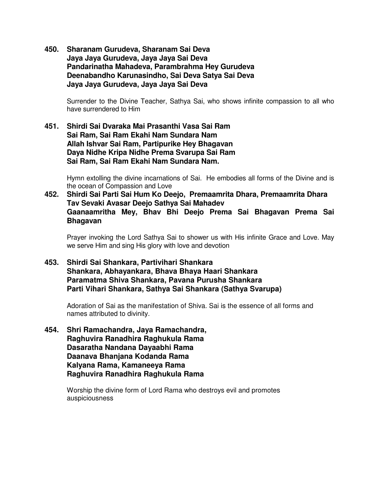**450. Sharanam Gurudeva, Sharanam Sai Deva Jaya Jaya Gurudeva, Jaya Jaya Sai Deva Pandarinatha Mahadeva, Parambrahma Hey Gurudeva Deenabandho Karunasindho, Sai Deva Satya Sai Deva Jaya Jaya Gurudeva, Jaya Jaya Sai Deva**

> Surrender to the Divine Teacher, Sathya Sai, who shows infinite compassion to all who have surrendered to Him

**451. Shirdi Sai Dvaraka Mai Prasanthi Vasa Sai Ram Sai Ram, Sai Ram Ekahi Nam Sundara Nam Allah Ishvar Sai Ram, Partipurike Hey Bhagavan Daya Nidhe Kripa Nidhe Prema Svarupa Sai Ram Sai Ram, Sai Ram Ekahi Nam Sundara Nam.**

> Hymn extolling the divine incarnations of Sai. He embodies all forms of the Divine and is the ocean of Compassion and Love

**452. Shirdi Sai Parti Sai Hum Ko Deejo, Premaamrita Dhara, Premaamrita Dhara Tav Sevaki Avasar Deejo Sathya Sai Mahadev Gaanaamritha Mey, Bhav Bhi Deejo Prema Sai Bhagavan Prema Sai Bhagavan**

Prayer invoking the Lord Sathya Sai to shower us with His infinite Grace and Love. May we serve Him and sing His glory with love and devotion

**453. Shirdi Sai Shankara, Partivihari Shankara Shankara, Abhayankara, Bhava Bhaya Haari Shankara Paramatma Shiva Shankara, Pavana Purusha Shankara Parti Vihari Shankara, Sathya Sai Shankara (Sathya Svarupa)** 

Adoration of Sai as the manifestation of Shiva. Sai is the essence of all forms and names attributed to divinity.

**454. Shri Ramachandra, Jaya Ramachandra, Raghuvira Ranadhira Raghukula Rama Dasaratha Nandana Dayaabhi Rama Daanava Bhanjana Kodanda Rama Kalyana Rama, Kamaneeya Rama Raghuvira Ranadhira Raghukula Rama** 

> Worship the divine form of Lord Rama who destroys evil and promotes auspiciousness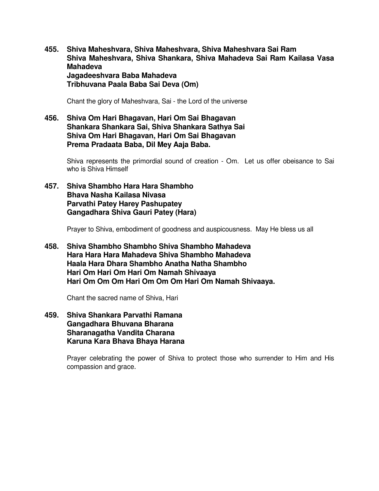**455. Shiva Maheshvara, Shiva Maheshvara, Shiva Maheshvara Sai Ram Shiva Maheshvara, Shiva Shankara, Shiva Mahadeva Sai Ram Kailasa Vasa Mahadeva Jagadeeshvara Baba Mahadeva Tribhuvana Paala Baba Sai Deva (Om)**

Chant the glory of Maheshvara, Sai - the Lord of the universe

**456. Shiva Om Hari Bhagavan, Hari Om Sai Bhagavan Shankara Shankara Sai, Shiva Shankara Sathya Sai Shiva Om Hari Bhagavan, Hari Om Sai Bhagavan Prema Pradaata Baba, Dil Mey Aaja Baba.**

> Shiva represents the primordial sound of creation - Om. Let us offer obeisance to Sai who is Shiva Himself

**457. Shiva Shambho Hara Hara Shambho Bhava Nasha Kailasa Nivasa Parvathi Patey Harey Pashupatey Gangadhara Shiva Gauri Patey (Hara)**

Prayer to Shiva, embodiment of goodness and auspicousness. May He bless us all

**458. Shiva Shambho Shambho Shiva Shambho Mahadeva Hara Hara Hara Mahadeva Shiva Shambho Mahadeva Haala Hara Dhara Shambho Anatha Natha Shambho Hari Om Hari Om Hari Om Namah Shivaaya Hari Om Om Om Hari Om Om Om Hari Om Namah Shivaaya.**

Chant the sacred name of Shiva, Hari

**459. Shiva Shankara Parvathi Ramana Gangadhara Bhuvana Bharana Sharanagatha Vandita Charana Karuna Kara Bhava Bhaya Harana**

> Prayer celebrating the power of Shiva to protect those who surrender to Him and His compassion and grace.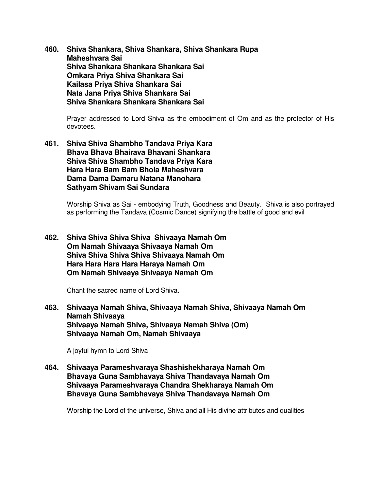**460. Shiva Shankara, Shiva Shankara, Shiva Shankara Rupa Maheshvara Sai Shiva Shankara Shankara Shankara Sai Omkara Priya Shiva Shankara Sai Kailasa Priya Shiva Shankara Sai Nata Jana Priya Shiva Shankara Sai Shiva Shankara Shankara Shankara Sai**

> Prayer addressed to Lord Shiva as the embodiment of Om and as the protector of His devotees.

**461. Shiva Shiva Shambho Tandava Priya Kara Bhava Bhava Bhairava Bhavani Shankara Shiva Shiva Shambho Tandava Priya Kara Hara Hara Bam Bam Bhola Maheshvara Dama Dama Damaru Natana Manohara Sathyam Shivam Sai Sundara**

> Worship Shiva as Sai - embodying Truth, Goodness and Beauty. Shiva is also portrayed as performing the Tandava (Cosmic Dance) signifying the battle of good and evil

**462. Shiva Shiva Shiva Shiva Shivaaya Namah Om Om Namah Shivaaya Shivaaya Namah Om Shiva Shiva Shiva Shiva Shivaaya Namah Om Hara Hara Hara Hara Haraya Namah Om Om Namah Shivaaya Shivaaya Namah Om** 

Chant the sacred name of Lord Shiva.

**463. Shivaaya Namah Shiva, Shivaaya Namah Shiva, Shivaaya Namah Om Namah Shivaaya Shivaaya Namah Shiva, Shivaaya Namah Shiva (Om) Shivaaya Namah Om, Namah Shivaaya** 

A joyful hymn to Lord Shiva

**464. Shivaaya Parameshvaraya Shashishekharaya Namah Om Bhavaya Guna Sambhavaya Shiva Thandavaya Namah Om Shivaaya Parameshvaraya Chandra Shekharaya Namah Om Bhavaya Guna Sambhavaya Shiva Thandavaya Namah Om**

Worship the Lord of the universe, Shiva and all His divine attributes and qualities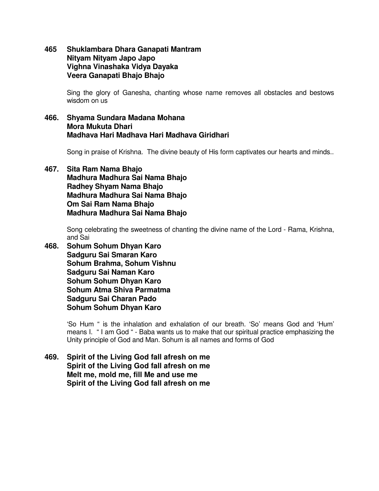## **465 Shuklambara Dhara Ganapati Mantram Nityam Nityam Japo Japo Vighna Vinashaka Vidya Dayaka Veera Ganapati Bhajo Bhajo**

Sing the glory of Ganesha, chanting whose name removes all obstacles and bestows wisdom on us

**466. Shyama Sundara Madana Mohana Mora Mukuta Dhari Madhava Hari Madhava Hari Madhava Giridhari**

Song in praise of Krishna. The divine beauty of His form captivates our hearts and minds..

**467. Sita Ram Nama Bhajo Madhura Madhura Sai Nama Bhajo Radhey Shyam Nama Bhajo Madhura Madhura Sai Nama Bhajo Om Sai Ram Nama Bhajo Madhura Madhura Sai Nama Bhajo**

> Song celebrating the sweetness of chanting the divine name of the Lord - Rama, Krishna, and Sai

**468. Sohum Sohum Dhyan Karo Sadguru Sai Smaran Karo Sohum Brahma, Sohum Vishnu Sadguru Sai Naman Karo Sohum Sohum Dhyan Karo Sohum Atma Shiva Parmatma Sadguru Sai Charan Pado Sohum Sohum Dhyan Karo**

> 'So Hum " is the inhalation and exhalation of our breath. 'So' means God and 'Hum' means I. " I am God " - Baba wants us to make that our spiritual practice emphasizing the Unity principle of God and Man. Sohum is all names and forms of God

**469. Spirit of the Living God fall afresh on me Spirit of the Living God fall afresh on me Melt me, mold me, fill Me and use me Spirit of the Living God fall afresh on me**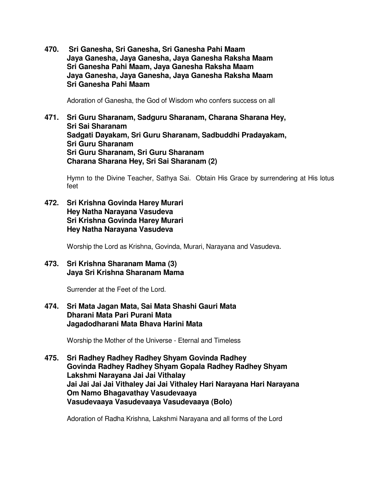**470. Sri Ganesha, Sri Ganesha, Sri Ganesha Pahi Maam Jaya Ganesha, Jaya Ganesha, Jaya Ganesha Raksha Maam Sri Ganesha Pahi Maam, Jaya Ganesha Raksha Maam Jaya Ganesha, Jaya Ganesha, Jaya Ganesha Raksha Maam Sri Ganesha Pahi Maam**

Adoration of Ganesha, the God of Wisdom who confers success on all

**471. Sri Guru Sharanam, Sadguru Sharanam, Charana Sharana Hey, Sri Sai Sharanam Sadgati Dayakam, Sri Guru Sharanam, Sadbuddhi Pradayakam, Sri Guru Sharanam Sri Guru Sharanam, Sri Guru Sharanam Charana Sharana Hey, Sri Sai Sharanam (2)**

Hymn to the Divine Teacher, Sathya Sai. Obtain His Grace by surrendering at His lotus feet

**472. Sri Krishna Govinda Harey Murari Hey Natha Narayana Vasudeva Sri Krishna Govinda Harey Murari Hey Natha Narayana Vasudeva**

Worship the Lord as Krishna, Govinda, Murari, Narayana and Vasudeva.

**473. Sri Krishna Sharanam Mama (3) Jaya Sri Krishna Sharanam Mama**

Surrender at the Feet of the Lord.

**474. Sri Mata Jagan Mata, Sai Mata Shashi Gauri Mata Dharani Mata Pari Purani Mata Jagadodharani Mata Bhava Harini Mata**

Worship the Mother of the Universe - Eternal and Timeless

**475. Sri Radhey Radhey Radhey Shyam Govinda Radhey Govinda Radhey Radhey Shyam Gopala Radhey Radhey Shyam Lakshmi Narayana Jai Jai Vithalay Jai Jai Jai Jai Vithaley Jai Jai Vithaley Hari Narayana Hari Narayana Om Namo Bhagavathay Vasudevaaya Vasudevaaya Vasudevaaya Vasudevaaya (Bolo)** 

Adoration of Radha Krishna, Lakshmi Narayana and all forms of the Lord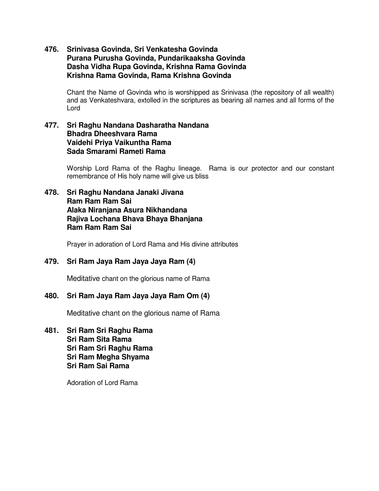**476. Srinivasa Govinda, Sri Venkatesha Govinda Purana Purusha Govinda, Pundarikaaksha Govinda Dasha Vidha Rupa Govinda, Krishna Rama Govinda Krishna Rama Govinda, Rama Krishna Govinda**

> Chant the Name of Govinda who is worshipped as Srinivasa (the repository of all wealth) and as Venkateshvara, extolled in the scriptures as bearing all names and all forms of the Lord

## **477. Sri Raghu Nandana Dasharatha Nandana Bhadra Dheeshvara Rama Vaidehi Priya Vaikuntha Rama Sada Smarami Rameti Rama**

Worship Lord Rama of the Raghu lineage. Rama is our protector and our constant remembrance of His holy name will give us bliss

**478. Sri Raghu Nandana Janaki Jivana Ram Ram Ram Sai Alaka Niranjana Asura Nikhandana Rajiva Lochana Bhava Bhaya Bhanjana Ram Ram Ram Sai**

Prayer in adoration of Lord Rama and His divine attributes

### **479. Sri Ram Jaya Ram Jaya Jaya Ram (4)**

Meditative chant on the glorious name of Rama

### **480. Sri Ram Jaya Ram Jaya Jaya Ram Om (4)**

Meditative chant on the glorious name of Rama

**481. Sri Ram Sri Raghu Rama Sri Ram Sita Rama Sri Ram Sri Raghu Rama Sri Ram Megha Shyama Sri Ram Sai Rama** 

Adoration of Lord Rama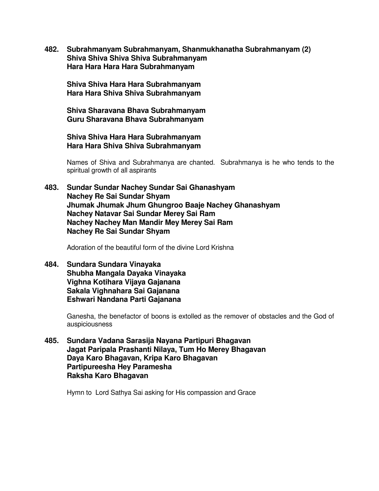**482. Subrahmanyam Subrahmanyam, Shanmukhanatha Subrahmanyam (2) Shiva Shiva Shiva Shiva Subrahmanyam Hara Hara Hara Hara Subrahmanyam** 

 **Shiva Shiva Hara Hara Subrahmanyam Hara Hara Shiva Shiva Subrahmanyam** 

 **Shiva Sharavana Bhava Subrahmanyam Guru Sharavana Bhava Subrahmanyam** 

 **Shiva Shiva Hara Hara Subrahmanyam Hara Hara Shiva Shiva Subrahmanyam**

Names of Shiva and Subrahmanya are chanted. Subrahmanya is he who tends to the spiritual growth of all aspirants

**483. Sundar Sundar Nachey Sundar Sai Ghanashyam Nachey Re Sai Sundar Shyam Jhumak Jhumak Jhum Ghungroo Baaje Nachey Ghanashyam Nachey Natavar Sai Sundar Merey Sai Ram Nachey Nachey Man Mandir Mey Merey Sai Ram Nachey Re Sai Sundar Shyam** 

Adoration of the beautiful form of the divine Lord Krishna

**484. Sundara Sundara Vinayaka Shubha Mangala Dayaka Vinayaka Vighna Kotihara Vijaya Gajanana Sakala Vighnahara Sai Gajanana Eshwari Nandana Parti Gajanana**

> Ganesha, the benefactor of boons is extolled as the remover of obstacles and the God of auspiciousness

**485. Sundara Vadana Sarasija Nayana Partipuri Bhagavan Jagat Paripala Prashanti Nilaya, Tum Ho Merey Bhagavan Daya Karo Bhagavan, Kripa Karo Bhagavan Partipureesha Hey Paramesha Raksha Karo Bhagavan** 

Hymn to Lord Sathya Sai asking for His compassion and Grace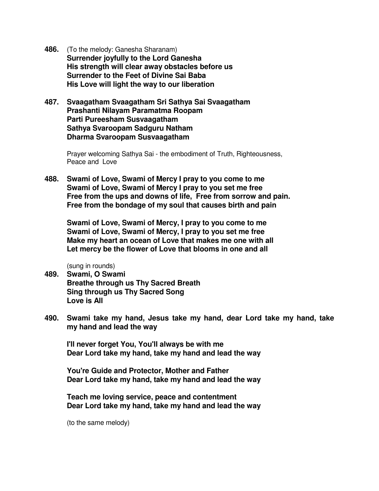- **486.** (To the melody: Ganesha Sharanam)  **Surrender joyfully to the Lord Ganesha His strength will clear away obstacles before us Surrender to the Feet of Divine Sai Baba His Love will light the way to our liberation**
- **487. Svaagatham Svaagatham Sri Sathya Sai Svaagatham Prashanti Nilayam Paramatma Roopam Parti Pureesham Susvaagatham Sathya Svaroopam Sadguru Natham Dharma Svaroopam Susvaagatham**

Prayer welcoming Sathya Sai - the embodiment of Truth, Righteousness, Peace and Love

**488. Swami of Love, Swami of Mercy I pray to you come to me Swami of Love, Swami of Mercy I pray to you set me free Free from the ups and downs of life, Free from sorrow and pain. Free from the bondage of my soul that causes birth and pain** 

 **Swami of Love, Swami of Mercy, I pray to you come to me Swami of Love, Swami of Mercy, I pray to you set me free Make my heart an ocean of Love that makes me one with all Let mercy be the flower of Love that blooms in one and all**

(sung in rounds)

- **489. Swami, O Swami Breathe through us Thy Sacred Breath Sing through us Thy Sacred Song Love is All**
- **490. Swami take my hand, Jesus take my hand, dear Lord take my hand, take my hand and lead the way**

 **I'll never forget You, You'll always be with me Dear Lord take my hand, take my hand and lead the way** 

 **You're Guide and Protector, Mother and Father Dear Lord take my hand, take my hand and lead the way** 

 **Teach me loving service, peace and contentment Dear Lord take my hand, take my hand and lead the way** 

(to the same melody)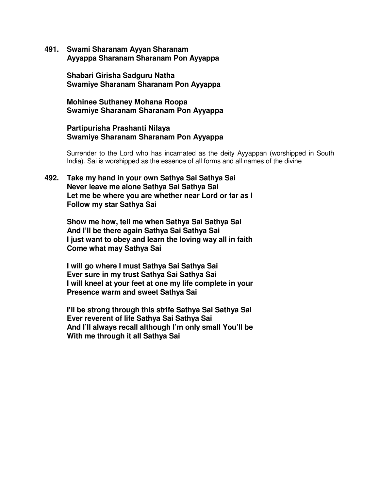**491. Swami Sharanam Ayyan Sharanam Ayyappa Sharanam Sharanam Pon Ayyappa** 

> **Shabari Girisha Sadguru Natha Swamiye Sharanam Sharanam Pon Ayyappa**

 **Mohinee Suthaney Mohana Roopa Swamiye Sharanam Sharanam Pon Ayyappa** 

 **Partipurisha Prashanti Nilaya Swamiye Sharanam Sharanam Pon Ayyappa**

Surrender to the Lord who has incarnated as the deity Ayyappan (worshipped in South India). Sai is worshipped as the essence of all forms and all names of the divine

**492. Take my hand in your own Sathya Sai Sathya Sai Never leave me alone Sathya Sai Sathya Sai Let me be where you are whether near Lord or far as I Follow my star Sathya Sai** 

> **Show me how, tell me when Sathya Sai Sathya Sai And I'll be there again Sathya Sai Sathya Sai I just want to obey and learn the loving way all in faith Come what may Sathya Sai**

> **I will go where I must Sathya Sai Sathya Sai Ever sure in my trust Sathya Sai Sathya Sai I will kneel at your feet at one my life complete in your Presence warm and sweet Sathya Sai**

> **I'll be strong through this strife Sathya Sai Sathya Sai Ever reverent of life Sathya Sai Sathya Sai And I'll always recall although I'm only small You'll be With me through it all Sathya Sai**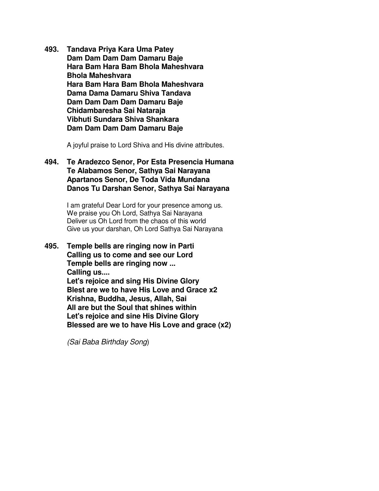**493. Tandava Priya Kara Uma Patey Dam Dam Dam Dam Damaru Baje Hara Bam Hara Bam Bhola Maheshvara Bhola Maheshvara Hara Bam Hara Bam Bhola Maheshvara Dama Dama Damaru Shiva Tandava Dam Dam Dam Dam Damaru Baje Chidambaresha Sai Nataraja Vibhuti Sundara Shiva Shankara Dam Dam Dam Dam Damaru Baje**

A joyful praise to Lord Shiva and His divine attributes.

## **494. Te Aradezco Senor, Por Esta Presencia Humana Te Alabamos Senor, Sathya Sai Narayana Apartanos Senor, De Toda Vida Mundana Danos Tu Darshan Senor, Sathya Sai Narayana**

I am grateful Dear Lord for your presence among us. We praise you Oh Lord, Sathya Sai Narayana Deliver us Oh Lord from the chaos of this world Give us your darshan, Oh Lord Sathya Sai Narayana

**495. Temple bells are ringing now in Parti Calling us to come and see our Lord Temple bells are ringing now ... Calling us.... Let's rejoice and sing His Divine Glory Blest are we to have His Love and Grace x2 Krishna, Buddha, Jesus, Allah, Sai All are but the Soul that shines within Let's rejoice and sine His Divine Glory Blessed are we to have His Love and grace (x2)**

(Sai Baba Birthday Song)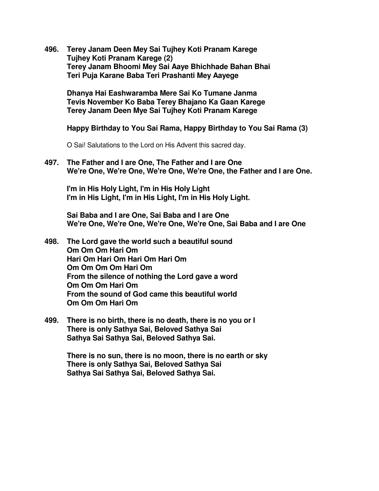**496. Terey Janam Deen Mey Sai Tujhey Koti Pranam Karege Tujhey Koti Pranam Karege (2) Terey Janam Bhoomi Mey Sai Aaye Bhichhade Bahan Bhai Teri Puja Karane Baba Teri Prashanti Mey Aayege** 

 **Dhanya Hai Eashwaramba Mere Sai Ko Tumane Janma Tevis November Ko Baba Terey Bhajano Ka Gaan Karege Terey Janam Deen Mye Sai Tujhey Koti Pranam Karege**

 **Happy Birthday to You Sai Rama, Happy Birthday to You Sai Rama (3)** 

O Sai! Salutations to the Lord on His Advent this sacred day.

**497. The Father and I are One, The Father and I are One We're One, We're One, We're One, We're One, the Father and I are One.** 

 **I'm in His Holy Light, I'm in His Holy Light I'm in His Light, I'm in His Light, I'm in His Holy Light.** 

 **Sai Baba and I are One, Sai Baba and I are One We're One, We're One, We're One, We're One, Sai Baba and I are One** 

- **498. The Lord gave the world such a beautiful sound Om Om Om Hari Om Hari Om Hari Om Hari Om Hari Om Om Om Om Om Hari Om From the silence of nothing the Lord gave a word Om Om Om Hari Om From the sound of God came this beautiful world Om Om Om Hari Om**
- **499. There is no birth, there is no death, there is no you or I There is only Sathya Sai, Beloved Sathya Sai Sathya Sai Sathya Sai, Beloved Sathya Sai.**

 **There is no sun, there is no moon, there is no earth or sky There is only Sathya Sai, Beloved Sathya Sai Sathya Sai Sathya Sai, Beloved Sathya Sai.**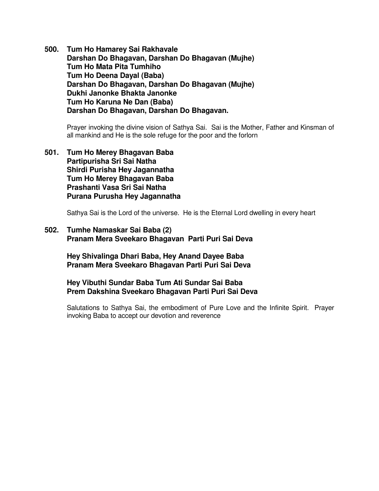**500. Tum Ho Hamarey Sai Rakhavale Darshan Do Bhagavan, Darshan Do Bhagavan (Mujhe) Tum Ho Mata Pita Tumhiho Tum Ho Deena Dayal (Baba) Darshan Do Bhagavan, Darshan Do Bhagavan (Mujhe) Dukhi Janonke Bhakta Janonke Tum Ho Karuna Ne Dan (Baba) Darshan Do Bhagavan, Darshan Do Bhagavan.** 

> Prayer invoking the divine vision of Sathya Sai. Sai is the Mother, Father and Kinsman of all mankind and He is the sole refuge for the poor and the forlorn

**501. Tum Ho Merey Bhagavan Baba Partipurisha Sri Sai Natha Shirdi Purisha Hey Jagannatha Tum Ho Merey Bhagavan Baba Prashanti Vasa Sri Sai Natha Purana Purusha Hey Jagannatha**

Sathya Sai is the Lord of the universe. He is the Eternal Lord dwelling in every heart

## **502. Tumhe Namaskar Sai Baba (2) Pranam Mera Sveekaro Bhagavan Parti Puri Sai Deva**

 **Hey Shivalinga Dhari Baba, Hey Anand Dayee Baba Pranam Mera Sveekaro Bhagavan Parti Puri Sai Deva** 

## **Hey Vibuthi Sundar Baba Tum Ati Sundar Sai Baba Prem Dakshina Sveekaro Bhagavan Parti Puri Sai Deva**

Salutations to Sathya Sai, the embodiment of Pure Love and the Infinite Spirit. Prayer invoking Baba to accept our devotion and reverence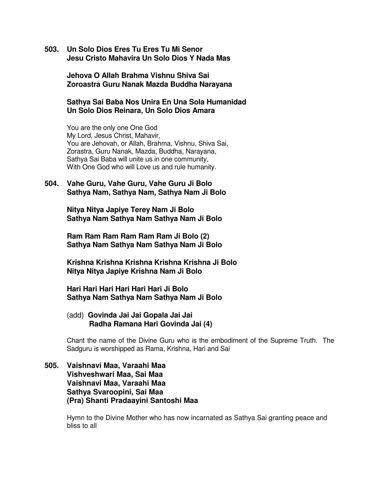**503. Un Solo Dios Eres Tu Eres Tu Mi Senor Jesu Cristo Mahavira Un Solo Dios Y Nada Mas** 

> **Jehova O Allah Brahma Vishnu Shiva Sai Zoroastra Guru Nanak Mazda Buddha Narayana**

## **Sathya Sai Baba Nos Unira En Una Sola Humanidad Un Solo Dios Reinara, Un Solo Dios Amara**

You are the only one One God My Lord, Jesus Christ, Mahavir, You are Jehovah, or Allah, Brahma, Vishnu, Shiva Sai, Zorastra, Guru Nanak, Mazda, Buddha, Narayana, Sathya Sai Baba will unite us in one community, With One God who will Love us and rule humanity.

## **504. Vahe Guru, Vahe Guru, Vahe Guru Ji Bolo Sathya Nam, Sathya Nam, Sathya Nam Ji Bolo**

 **Nitya Nitya Japiye Terey Nam Ji Bolo Sathya Nam Sathya Nam Sathya Nam Ji Bolo** 

 **Ram Ram Ram Ram Ram Ram Ji Bolo (2) Sathya Nam Sathya Nam Sathya Nam Ji Bolo** 

 **Krishna Krishna Krishna Krishna Krishna Ji Bolo Nitya Nitya Japiye Krishna Nam Ji Bolo** 

 **Hari Hari Hari Hari Hari Hari Ji Bolo Sathya Nam Sathya Nam Sathya Nam Ji Bolo** 

## (add) **Govinda Jai Jai Gopala Jai Jai Radha Ramana Hari Govinda Jai (4)**

Chant the name of the Divine Guru who is the embodiment of the Supreme Truth. The Sadguru is worshipped as Rama, Krishna, Hari and Sai

**505. Vaishnavi Maa, Varaahi Maa Vishveshwari Maa, Sai Maa Vaishnavi Maa, Varaahi Maa Sathya Svaroopini, Sai Maa (Pra) Shanti Pradaayini Santoshi Maa** 

> Hymn to the Divine Mother who has now incarnated as Sathya Sai granting peace and bliss to all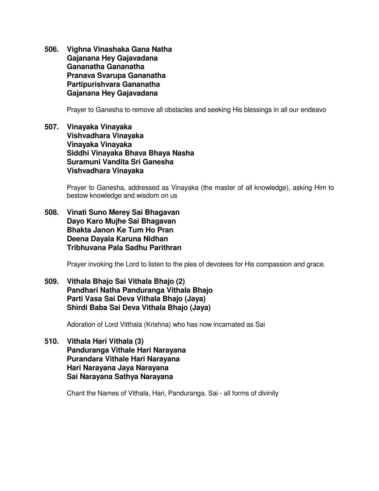**506. Vighna Vinashaka Gana Natha Gajanana Hey Gajavadana Gananatha Gananatha Pranava Svarupa Gananatha Partipurishvara Gananatha Gajanana Hey Gajavadana** 

Prayer to Ganesha to remove all obstacles and seeking His blessings in all our endeavo

**507. Vinayaka Vinayaka Vishvadhara Vinayaka Vinayaka Vinayaka Siddhi Vinayaka Bhava Bhaya Nasha Suramuni Vandita Sri Ganesha Vishvadhara Vinayaka**

> Prayer to Ganesha, addressed as Vinayaka (the master of all knowledge), asking Him to bestow knowledge and wisdom on us

**508. Vinati Suno Merey Sai Bhagavan Dayo Karo Mujhe Sai Bhagavan Bhakta Janon Ke Tum Ho Pran Deena Dayala Karuna Nidhan Tribhuvana Pala Sadhu Parithran** 

Prayer invoking the Lord to listen to the plea of devotees for His compassion and grace.

**509. Vithala Bhajo Sai Vithala Bhajo (2) Pandhari Natha Panduranga Vithala Bhajo Parti Vasa Sai Deva Vithala Bhajo (Jaya) Shirdi Baba Sai Deva Vithala Bhajo (Jaya)**

Adoration of Lord Vitthala (Krishna) who has now incarnated as Sai

**510. Vithala Hari Vithala (3) Panduranga Vithale Hari Narayana Purandara Vithale Hari Narayana Hari Narayana Jaya Narayana Sai Narayana Sathya Narayana**

Chant the Names of Vithala, Hari, Panduranga. Sai - all forms of divinity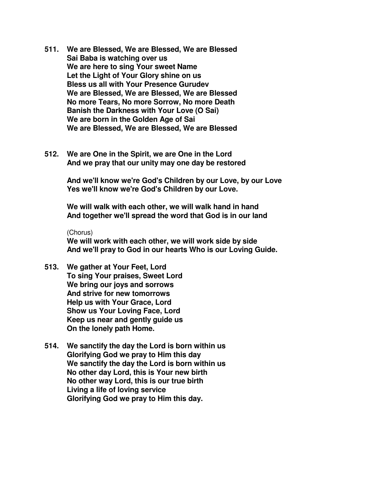- **511. We are Blessed, We are Blessed, We are Blessed Sai Baba is watching over us We are here to sing Your sweet Name Let the Light of Your Glory shine on us Bless us all with Your Presence Gurudev We are Blessed, We are Blessed, We are Blessed No more Tears, No more Sorrow, No more Death Banish the Darkness with Your Love (O Sai) We are born in the Golden Age of Sai We are Blessed, We are Blessed, We are Blessed**
- **512. We are One in the Spirit, we are One in the Lord And we pray that our unity may one day be restored**

 **And we'll know we're God's Children by our Love, by our Love Yes we'll know we're God's Children by our Love.** 

 **We will walk with each other, we will walk hand in hand And together we'll spread the word that God is in our land** 

#### (Chorus)

 **We will work with each other, we will work side by side And we'll pray to God in our hearts Who is our Loving Guide.** 

- **513. We gather at Your Feet, Lord To sing Your praises, Sweet Lord We bring our joys and sorrows And strive for new tomorrows Help us with Your Grace, Lord Show us Your Loving Face, Lord Keep us near and gently guide us On the lonely path Home.**
- **514. We sanctify the day the Lord is born within us Glorifying God we pray to Him this day We sanctify the day the Lord is born within us No other day Lord, this is Your new birth No other way Lord, this is our true birth Living a life of loving service Glorifying God we pray to Him this day.**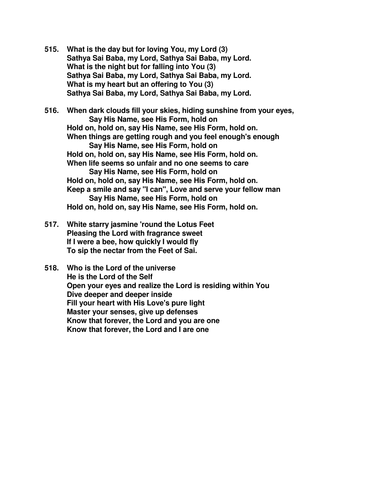- **515. What is the day but for loving You, my Lord (3) Sathya Sai Baba, my Lord, Sathya Sai Baba, my Lord. What is the night but for falling into You (3) Sathya Sai Baba, my Lord, Sathya Sai Baba, my Lord. What is my heart but an offering to You (3) Sathya Sai Baba, my Lord, Sathya Sai Baba, my Lord.**
- **516. When dark clouds fill your skies, hiding sunshine from your eyes, Say His Name, see His Form, hold on Hold on, hold on, say His Name, see His Form, hold on. When things are getting rough and you feel enough's enough Say His Name, see His Form, hold on Hold on, hold on, say His Name, see His Form, hold on. When life seems so unfair and no one seems to care Say His Name, see His Form, hold on Hold on, hold on, say His Name, see His Form, hold on. Keep a smile and say "I can", Love and serve your fellow man Say His Name, see His Form, hold on Hold on, hold on, say His Name, see His Form, hold on.**
- **517. White starry jasmine 'round the Lotus Feet Pleasing the Lord with fragrance sweet If I were a bee, how quickly I would fly To sip the nectar from the Feet of Sai.**
- **518. Who is the Lord of the universe He is the Lord of the Self Open your eyes and realize the Lord is residing within You Dive deeper and deeper inside Fill your heart with His Love's pure light Master your senses, give up defenses Know that forever, the Lord and you are one Know that forever, the Lord and I are one**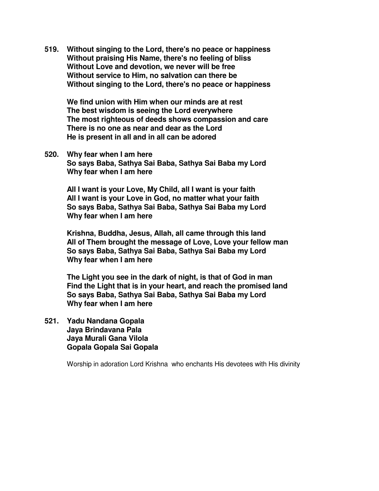**519. Without singing to the Lord, there's no peace or happiness Without praising His Name, there's no feeling of bliss Without Love and devotion, we never will be free Without service to Him, no salvation can there be Without singing to the Lord, there's no peace or happiness** 

 **We find union with Him when our minds are at rest The best wisdom is seeing the Lord everywhere The most righteous of deeds shows compassion and care There is no one as near and dear as the Lord He is present in all and in all can be adored**

**520. Why fear when I am here So says Baba, Sathya Sai Baba, Sathya Sai Baba my Lord Why fear when I am here** 

 **All I want is your Love, My Child, all I want is your faith All I want is your Love in God, no matter what your faith So says Baba, Sathya Sai Baba, Sathya Sai Baba my Lord Why fear when I am here** 

 **Krishna, Buddha, Jesus, Allah, all came through this land All of Them brought the message of Love, Love your fellow man So says Baba, Sathya Sai Baba, Sathya Sai Baba my Lord Why fear when I am here** 

 **The Light you see in the dark of night, is that of God in man Find the Light that is in your heart, and reach the promised land So says Baba, Sathya Sai Baba, Sathya Sai Baba my Lord Why fear when I am here** 

**521. Yadu Nandana Gopala Jaya Brindavana Pala Jaya Murali Gana Vilola Gopala Gopala Sai Gopala**

Worship in adoration Lord Krishna who enchants His devotees with His divinity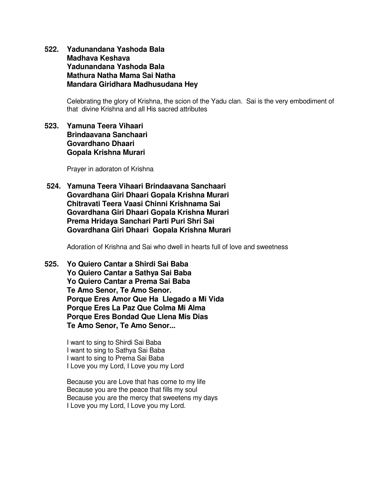**522. Yadunandana Yashoda Bala Madhava Keshava Yadunandana Yashoda Bala Mathura Natha Mama Sai Natha Mandara Giridhara Madhusudana Hey** 

> Celebrating the glory of Krishna, the scion of the Yadu clan. Sai is the very embodiment of that divine Krishna and all His sacred attributes

**523. Yamuna Teera Vihaari Brindaavana Sanchaari Govardhano Dhaari Gopala Krishna Murari** 

Prayer in adoraton of Krishna

**524. Yamuna Teera Vihaari Brindaavana Sanchaari Govardhana Giri Dhaari Gopala Krishna Murari Chitravati Teera Vaasi Chinni Krishnama Sai Govardhana Giri Dhaari Gopala Krishna Murari Prema Hridaya Sanchari Parti Puri Shri Sai Govardhana Giri Dhaari Gopala Krishna Murari** 

Adoration of Krishna and Sai who dwell in hearts full of love and sweetness

**525. Yo Quiero Cantar a Shirdi Sai Baba Yo Quiero Cantar a Sathya Sai Baba Yo Quiero Cantar a Prema Sai Baba Te Amo Senor, Te Amo Senor. Porque Eres Amor Que Ha Llegado a Mi Vida Porque Eres La Paz Que Colma Mi Alma Porque Eres Bondad Que Llena Mis Dias Te Amo Senor, Te Amo Senor...** 

> I want to sing to Shirdi Sai Baba I want to sing to Sathya Sai Baba I want to sing to Prema Sai Baba I Love you my Lord, I Love you my Lord

 Because you are Love that has come to my life Because you are the peace that fills my soul Because you are the mercy that sweetens my days I Love you my Lord, I Love you my Lord.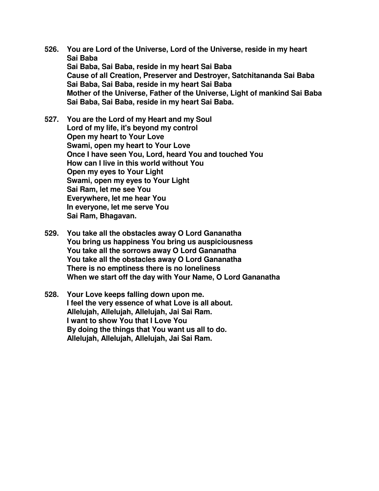- **526. You are Lord of the Universe, Lord of the Universe, reside in my heart Sai Baba Sai Baba, Sai Baba, reside in my heart Sai Baba Cause of all Creation, Preserver and Destroyer, Satchitananda Sai Baba Sai Baba, Sai Baba, reside in my heart Sai Baba Mother of the Universe, Father of the Universe, Light of mankind Sai Baba Sai Baba, Sai Baba, reside in my heart Sai Baba.**
- **527. You are the Lord of my Heart and my Soul Lord of my life, it's beyond my control Open my heart to Your Love Swami, open my heart to Your Love Once I have seen You, Lord, heard You and touched You How can I live in this world without You Open my eyes to Your Light Swami, open my eyes to Your Light Sai Ram, let me see You Everywhere, let me hear You In everyone, let me serve You Sai Ram, Bhagavan.**
- **529. You take all the obstacles away O Lord Gananatha You bring us happiness You bring us auspiciousness You take all the sorrows away O Lord Gananatha You take all the obstacles away O Lord Gananatha There is no emptiness there is no loneliness When we start off the day with Your Name, O Lord Gananatha**
- **528. Your Love keeps falling down upon me. I feel the very essence of what Love is all about. Allelujah, Allelujah, Allelujah, Jai Sai Ram. I want to show You that I Love You By doing the things that You want us all to do. Allelujah, Allelujah, Allelujah, Jai Sai Ram.**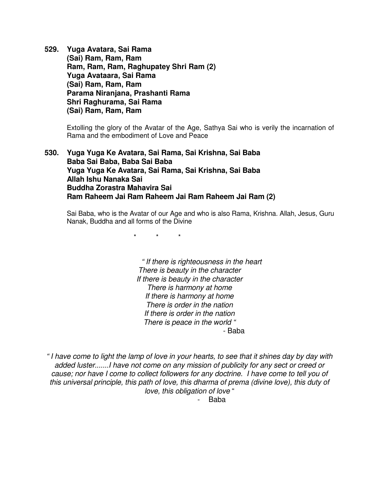**529. Yuga Avatara, Sai Rama (Sai) Ram, Ram, Ram Ram, Ram, Ram, Raghupatey Shri Ram (2) Yuga Avataara, Sai Rama (Sai) Ram, Ram, Ram Parama Niranjana, Prashanti Rama Shri Raghurama, Sai Rama (Sai) Ram, Ram, Ram** 

> Extolling the glory of the Avatar of the Age, Sathya Sai who is verily the incarnation of Rama and the embodiment of Love and Peace

**530. Yuga Yuga Ke Avatara, Sai Rama, Sai Krishna, Sai Baba Baba Sai Baba, Baba Sai Baba Yuga Yuga Ke Avatara, Sai Rama, Sai Krishna, Sai Baba Allah Ishu Nanaka Sai Buddha Zorastra Mahavira Sai Ram Raheem Jai Ram Raheem Jai Ram Raheem Jai Ram (2)**

Sai Baba, who is the Avatar of our Age and who is also Rama, Krishna. Allah, Jesus, Guru Nanak, Buddha and all forms of the Divine

\* \* \*

 " If there is righteousness in the heart There is beauty in the character If there is beauty in the character There is harmony at home If there is harmony at home There is order in the nation If there is order in the nation There is peace in the world "

- Baba

" I have come to light the lamp of love in your hearts, to see that it shines day by day with added luster.......I have not come on any mission of publicity for any sect or creed or cause; nor have I come to collect followers for any doctrine. I have come to tell you of this universal principle, this path of love, this dharma of prema (divine love), this duty of love, this obligation of love "

- Baba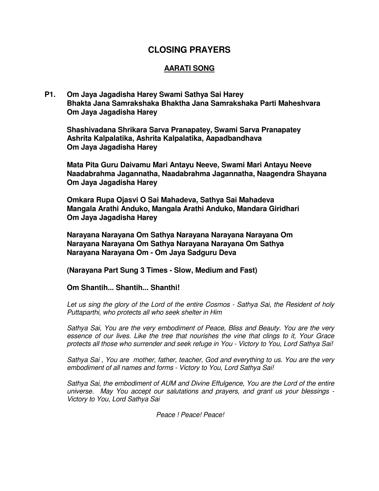# **CLOSING PRAYERS**

## **AARATI SONG**

**P1. Om Jaya Jagadisha Harey Swami Sathya Sai Harey Bhakta Jana Samrakshaka Bhaktha Jana Samrakshaka Parti Maheshvara Om Jaya Jagadisha Harey** 

 **Shashivadana Shrikara Sarva Pranapatey, Swami Sarva Pranapatey Ashrita Kalpalatika, Ashrita Kalpalatika, Aapadbandhava Om Jaya Jagadisha Harey** 

 **Mata Pita Guru Daivamu Mari Antayu Neeve, Swami Mari Antayu Neeve Naadabrahma Jagannatha, Naadabrahma Jagannatha, Naagendra Shayana Om Jaya Jagadisha Harey** 

 **Omkara Rupa Ojasvi O Sai Mahadeva, Sathya Sai Mahadeva Mangala Arathi Anduko, Mangala Arathi Anduko, Mandara Giridhari Om Jaya Jagadisha Harey** 

 **Narayana Narayana Om Sathya Narayana Narayana Narayana Om Narayana Narayana Om Sathya Narayana Narayana Om Sathya Narayana Narayana Om - Om Jaya Sadguru Deva** 

 **(Narayana Part Sung 3 Times - Slow, Medium and Fast)** 

 **Om Shantih... Shantih... Shanthi!**

Let us sing the glory of the Lord of the entire Cosmos - Sathya Sai, the Resident of holy Puttaparthi, who protects all who seek shelter in Him

 Sathya Sai, You are the very embodiment of Peace, Bliss and Beauty. You are the very essence of our lives. Like the tree that nourishes the vine that clings to it, Your Grace protects all those who surrender and seek refuge in You - Victory to You, Lord Sathya Sai!

 Sathya Sai , You are mother, father, teacher, God and everything to us. You are the very embodiment of all names and forms - Victory to You, Lord Sathya Sai!

 Sathya Sai, the embodiment of AUM and Divine Effulgence, You are the Lord of the entire universe. May You accept our salutations and prayers, and grant us your blessings - Victory to You, Lord Sathya Sai

Peace ! Peace! Peace!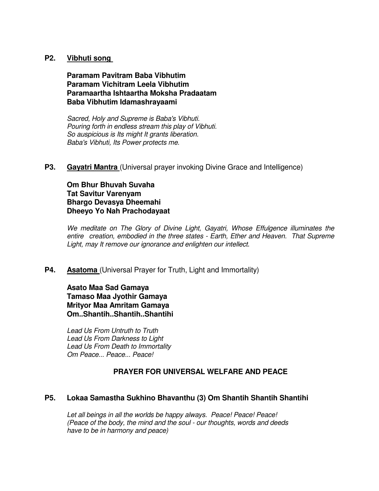## **P2. Vibhuti song**

## **Paramam Pavitram Baba Vibhutim Paramam Vichitram Leela Vibhutim Paramaartha Ishtaartha Moksha Pradaatam Baba Vibhutim Idamashrayaami**

Sacred, Holy and Supreme is Baba's Vibhuti. Pouring forth in endless stream this play of Vibhuti. So auspicious is Its might It grants liberation. Baba's Vibhuti, Its Power protects me.

**P3. Gayatri Mantra** (Universal prayer invoking Divine Grace and Intelligence)

 **Om Bhur Bhuvah Suvaha Tat Savitur Varenyam Bhargo Devasya Dheemahi Dheeyo Yo Nah Prachodayaat** 

We meditate on The Glory of Divine Light, Gayatri, Whose Effulgence illuminates the entire creation, embodied in the three states - Earth, Ether and Heaven. That Supreme Light, may It remove our ignorance and enlighten our intellect.

**P4. Asatoma** (Universal Prayer for Truth, Light and Immortality)

 **Asato Maa Sad Gamaya Tamaso Maa Jyothir Gamaya Mrityor Maa Amritam Gamaya Om..Shantih..Shantih..Shantihi**

Lead Us From Untruth to Truth Lead Us From Darkness to Light Lead Us From Death to Immortality Om Peace... Peace... Peace!

## **PRAYER FOR UNIVERSAL WELFARE AND PEACE**

### **P5. Lokaa Samastha Sukhino Bhavanthu (3) Om Shantih Shantih Shantihi**

Let all beings in all the worlds be happy always. Peace! Peace! Peace! (Peace of the body, the mind and the soul - our thoughts, words and deeds have to be in harmony and peace)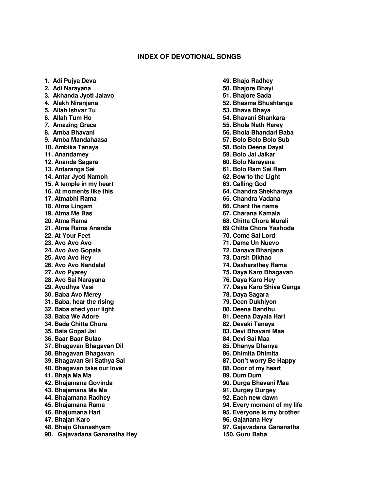#### **INDEX OF DEVOTIONAL SONGS**

**1. Adi Pujya Deva 49. Bhajo Radhey 2. Adi Narayana 50. Bhajore Bhayi 3. Akhanda Jyoti Jalavo 51. Bhajore Sada 4. Alakh Niranjana 52. Bhasma Bhushtanga 5. Allah Ishvar Tu 53. Bhava Bhaya 6. Allah Tum Ho 54. Bhavani Shankara 7. Amazing Grace 55. Bhola Nath Harey 8. Amba Bhavani 56. Bhola Bhandari Baba 9. Amba Mandahaasa 57. Bolo Bolo Bolo Sub 10. Ambika Tanaya 58. Bolo Deena Dayal 11. Anandamey 59. Bolo Jai Jaikar 12. Ananda Sagara 60. Bolo Narayana 13. Antaranga Sai 61. Bolo Ram Sai Ram 14. Antar Jyoti Namoh 62. Bow to the Light 15. A temple in my heart 63. Calling God 16. At moments like this 64. Chandra Shekharaya 17. Atmabhi Rama 65. Chandra Vadana 18. Atma Lingam 66. Chant the name 19. Atma Me Bas 67. Charana Kamala 20. Atma Rama 68. Chitta Chora Murali 21. Atma Rama Ananda 69 Chitta Chora Yashoda 22. At Your Feet 70. Come Sai Lord 23. Avo Avo Avo 71. Dame Un Nuevo 24. Avo Avo Gopala 72. Danava Bhanjana 25. Avo Avo Hey 73. Darsh Dikhao 26. Avo Avo Nandalal 74. Dasharathey Rama 27. Avo Pyarey 75. Daya Karo Bhagavan 28. Avo Sai Narayana 76. Daya Karo Hey 29. Ayodhya Vasi 77. Daya Karo Shiva Ganga 30. Baba Avo Merey 78. Daya Sagara 31. Baba, hear the rising 79. Deen Dukhiyon 32. Baba shed your light 80. Deena Bandhu 33. Baba We Adore 81. Deena Dayala Hari 34. Bada Chitta Chora 82. Devaki Tanaya 35. Bala Gopal Jai 83. Devi Bhavani Maa 36. Baar Baar Bulao 84. Devi Sai Maa 37. Bhagavan Bhagavan Dil 85. Dhanya Dhanya 38. Bhagavan Bhagavan 86. Dhimita Dhimita 39. Bhagavan Sri Sathya Sai 87. Don't worry Be Happy 40. Bhagavan take our love 88. Door of my heart 41. Bhaja Ma Ma 89. Dum Dum 42. Bhajamana Govinda 90. Durga Bhavani Maa 43. Bhajamana Ma Ma 91. Durgey Durgey 44. Bhajamana Radhey 92. Each new dawn 45. Bhajamana Rama 94. Every moment of my life 46. Bhajumana Hari 95. Everyone is my brother 47. Bhajan Karo 96. Gajanana Hey 48. Bhajo Ghanashyam 97. Gajavadana Gananatha 98. Gajavadana Gananatha Hey 150. Guru Baba**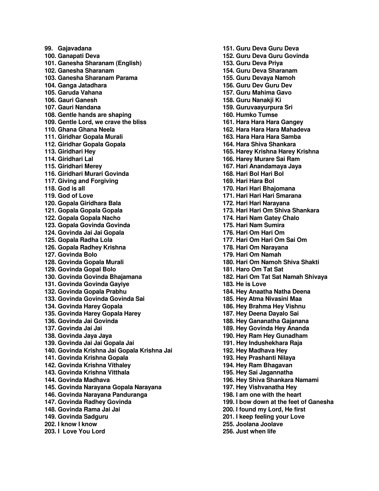**99. Gajavadana 151. Guru Deva Guru Deva 101. Ganesha Sharanam (English) 153. Guru Deva Priya 102. Ganesha Sharanam 154. Guru Deva Sharanam 103. Ganesha Sharanam Parama 155. Guru Devaya Namoh 104. Ganga Jatadhara 156. Guru Dev Guru Dev 106. Gauri Ganesh 158. Guru Nanakji Ki 108. Gentle hands are shaping 160. Humko Tumse 109. Gentle Lord, we crave the bliss 161. Hara Hara Hara Gangey 110. Ghana Ghana Neela 162. Hara Hara Hara Mahadeva 111. Giridhar Gopala Murali 112. Giridhar Gopala Gopala 164. Hara Shiva Shankara 113. Giridhari Hey 165. Harey Krishna Harey Krishna 114. Giridhari Lal 166. Harey Murare Sai Ram 115. Giridhari Merey 167. Hari Anandamaya Jaya 116. Giridhari Murari Govinda 168. Hari Bol Hari Bol 117. Giving and Forgiving 169. Hari Hara Bol 118. God is all 170. Hari Hari Bhajomana 119. God of Love 171. Hari Hari Hari Smarana 120. Gopala Giridhara Bala 172. Hari Hari Narayana 121. Gopala Gopala Gopala 173. Hari Hari Om Shiva Shankara 122. Gopala Gopala Nacho 174. Hari Nam Gatey Chalo 123. Gopala Govinda Govinda 124. Govinda Jai Jai Gopala 176. Hari Om Hari Om 125. Gopala Radha Lola 177. Hari Om Hari Om Sai Om 126. Gopala Radhey Krishna 178. Hari Om Narayana 127. Govinda Bolo 179. Hari Om Namah 128. Govinda Gopala Murali 180. Hari Om Namoh Shiva Shakti 129. Govinda Gopal Bolo 130. Govinda Govinda Bhajamana 182. Hari Om Tat Sat Namah Shivaya 131. Govinda Govinda Gayiye 183. He is Love 132. Govinda Gopala Prabhu 184. Hey Anaatha Natha Deena 133. Govinda Govinda Govinda Sai 185. Hey Atma Nivasini Maa 134. Govinda Harey Gopala 186. Hey Brahma Hey Vishnu 135. Govinda Harey Gopala Harey 136. Govinda Jai Govinda 188. Hey Gananatha Gajanana 137. Govinda Jai Jai 189. Hey Govinda Hey Ananda 138. Govinda Jaya Jaya 190. Hey Ram Hey Gunadham**  139. Govinda Jai Jai Gopala Jai **140. Govinda Krishna Jai Gopala Krishna Jai 192. Hey Madhava Hey 141. Govinda Krishna Gopala 193. Hey Prashanti Nilaya 142. Govinda Krishna Vithaley 143. Govinda Krishna Vitthala 195. Hey Sai Jagannatha 144. Govinda Madhava 196. Hey Shiva Shankara Namami 145. Govinda Narayana Gopala Narayana 146. Govinda Narayana Panduranga 198. I am one with the heart 147. Govinda Radhey Govinda 199. I bow down at the feet of Ganesha 148. Govinda Rama Jai Jai 200. I found my Lord, He first 149. Govinda Sadguru 201. I keep feeling your Love 202. I know I know 255. Joolana Joolave 203. I Love You Lord 256. Just when life** 

**100. Ganapati Deva 152. Guru Deva Guru Govinda 157. Guru Mahima Gavo 107. Gauri Nandana 159. Guruvaayurpura Sri**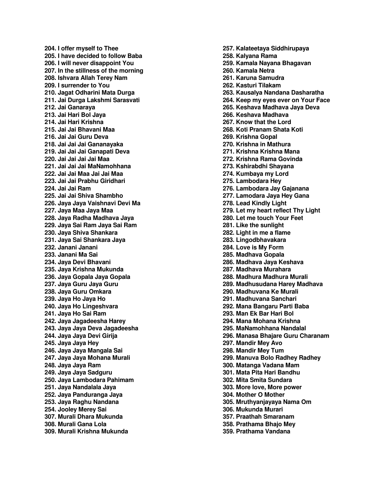**204. I offer myself to Thee 257. Kalateetaya Siddhirupaya 205. I have decided to follow Baba 258. Kalyana Rama 206. I will never disappoint You 207. In the stillness of the morning 260. Kamala Netra 208. Ishvara Allah Terey Nam 261. Karuna Samudra 209. I surrender to You 262. Kasturi Tilakam 212. Jai Ganaraya 265. Keshava Madhava Jaya Deva 213. Jai Hari Bol Jaya 266. Keshava Madhava 214. Jai Hari Krishna 267. Know that the Lord 215. Jai Jai Bhavani Maa 268. Koti Pranam Shata Koti 216. Jai Jai Guru Deva 269. Krishna Gopal 218. Jai Jai Jai Gananayaka 270. Krishna in Mathura 219. Jai Jai Jai Ganapati Deva 271. Krishna Krishna Mana 220. Jai Jai Jai Jai Maa 272. Krishna Rama Govinda 221. Jai Jai Jai MaNamohhana 273. Kshirabdhi Shayana 222. Jai Jai Maa Jai Jai Maa 274. Kumbaya my Lord 223. Jai Jai Prabhu Giridhari 275. Lambodara Hey 224. Jai Jai Ram 276. Lambodara Jay Gajanana 225. Jai Jai Shiva Shambho 277. Lamodara Jaya Hey Gana 226. Jaya Jaya Vaishnavi Devi Ma 278. Lead Kindly Light 227. Jaya Maa Jaya Maa 279. Let my heart reflect Thy Light 228. Jaya Radha Madhava Jaya 280. Let me touch Your Feet**  229. Jaya Sai Ram Jaya Sai Ram **230. Jaya Shiva Shankara 282. Light in me a flame 231. Jaya Sai Shankara Jaya 283. Lingodbhavakara 232. Janani Janani 284. Love is My Form 233. Janani Ma Sai 285. Madhava Gopala 234. Jaya Devi Bhavani 286. Madhava Jaya Keshava 235. Jaya Krishna Mukunda 236. Jaya Gopala Jaya Gopala 288. Madhura Madhura Murali 238. Jaya Guru Omkara 290. Madhuvana Ke Murali 239. Jaya Ho Jaya Ho 291. Madhuvana Sanchari 240. Jaya Ho Lingeshvara 292. Mana Bangaru Parti Baba 242. Jaya Jagadeesha Harey 294. Mana Mohana Krishna 243. Jaya Jaya Deva Jagadeesha 295. MaNamohhana Nandalal 245. Jaya Jaya Hey 297. Mandir Mey Avo 246. Jaya Jaya Mangala Sai 298. Mandir Mey Tum 248. Jaya Jaya Ram 300. Matanga Vadana Mam 249. Jaya Jaya Sadguru 301. Mata Pita Hari Bandhu 250. Jaya Lambodara Pahimam 302. Mita Smita Sundara 251. Jaya Nandalala Jaya 303. More love, More power 252. Jaya Panduranga Jaya 304. Mother O Mother 253. Jaya Raghu Nandana 305. Mruthyanjayaya Nama Om 254. Jooley Merey Sai 306. Mukunda Murari 307. Murali Dhara Mukunda 357. Praathah Smaranam 308. Murali Gana Lola 358. Prathama Bhajo Mey 309. Murali Krishna Mukunda 359. Prathama Vandana** 

**263. Kausalya Nandana Dasharatha 211. Jai Durga Lakshmi Sarasvati 264. Keep my eyes ever on Your Face 237. Jaya Guru Jaya Guru 289. Madhusudana Harey Madhava**  293. Man Ek Bar Hari Bol **244. Jaya Jaya Devi Girija 296. Manasa Bhajare Guru Charanam 299. Manuva Bolo Radhey Radhey**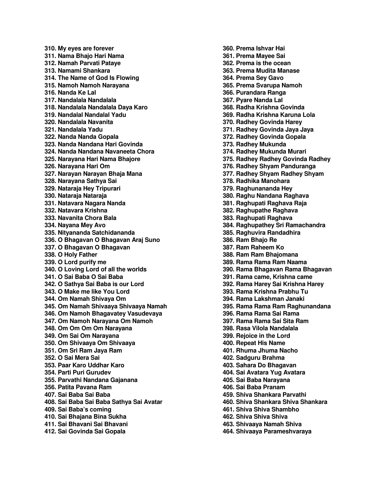**310. My eyes are forever 360. Prema Ishvar Hai 311. Nama Bhajo Hari Nama 361. Prema Mayee Sai 312. Namah Parvati Pataye 362. Prema is the ocean 313. Namami Shankara 363. Prema Mudita Manase 314. The Name of God Is Flowing 364. Prema Sey Gavo 315. Namoh Namoh Narayana 365. Prema Svarupa Namoh 316. Nanda Ke Lal 366. Purandara Ranga 317. Nandalala Nandalala 367. Pyare Nanda Lal 318. Nandalala Nandalala Daya Karo 368. Radha Krishna Govinda 319. Nandalal Nandalal Yadu 369. Radha Krishna Karuna Lola 320. Nandalala Navanita 370. Radhey Govinda Harey 321. Nandalala Yadu 371. Radhey Govinda Jaya Jaya 323. Nanda Nandana Hari Govinda 373. Radhey Mukunda 324. Nanda Nandana Navaneeta Chora 374. Radhey Mukunda Murari 325. Narayana Hari Nama Bhajore 375. Radhey Radhey Govinda Radhey 326. Narayana Hari Om 376. Radhey Shyam Panduranga 327. Narayan Narayan Bhaja Mana 377. Radhey Shyam Radhey Shyam**  328. Narayana Sathya Sai **329. Nataraja Hey Tripurari 379. Raghunananda Hey 330. Nataraja Nataraja 380. Raghu Nandana Raghava 331. Natavara Nagara Nanda 381. Raghupati Raghava Raja 332. Natavara Krishna 382. Raghupathe Raghava 333. Navanita Chora Bala 383. Raghupati Raghava 335. Nityananda Satchidananda 385. Raghuvira Randadhira 336. O Bhagavan O Bhagavan Araj Suno 386. Ram Bhajo Re 337. O Bhagavan O Bhagavan 387. Ram Raheem Ko 338. O Holy Father 388. Ram Ram Bhajomana 339. O Lord purify me 389. Rama Rama Ram Naama 341. O Sai Baba O Sai Baba 391. Rama came, Krishna came 342. O Sathya Sai Baba is our Lord 392. Rama Harey Sai Krishna Harey 343. O Make me like You Lord 393. Rama Krishna Prabhu Tu 344. Om Namah Shivaya Om 394. Rama Lakshman Janaki 345. Om Namah Shivaaya Shivaaya Namah 395. Rama Rama Ram Raghunandana 346. Om Namoh Bhagavatey Vasudevaya 347. Om Namoh Narayana Om Namoh 397. Rama Rama Sai Sita Ram 348. Om Om Om Om Narayana 398. Rasa Vilola Nandalala 349. Om Sai Om Narayana 399. Rejoice in the Lord 350. Om Shivaaya Om Shivaaya 400. Repeat His Name 351. Om Sri Ram Jaya Ram 401. Rhuma Jhuma Nacho 353. Paar Karo Uddhar Karo 403. Sahara Do Bhagavan 354. Parti Puri Gurudev 404. Sai Avatara Yug Avatara 355. Parvathi Nandana Gajanana 405. Sai Baba Narayana 356. Patita Pavana Ram 407. Sai Baba Sai Baba 459. Shiva Shankara Parvathi 408. Sai Baba Sai Baba Sathya Sai Avatar 460. Shiva Shankara Shiva Shankara 409. Sai Baba's coming 461. Shiva Shiva Shambho 410. Sai Bhajana Bina Sukha 462. Shiva Shiva Shiva 411. Sai Bhavani Sai Bhavani 463. Shivaaya Namah Shiva 412. Sai Govinda Sai Gopala 464. Shivaaya Parameshvaraya** 

**322. Nanda Nanda Gopala 372. Radhey Govinda Gopala 384. Raghupathey Sri Ramachandra 390. Rama Bhagavan Rama Bhagavan 402. Sadguru Brahma**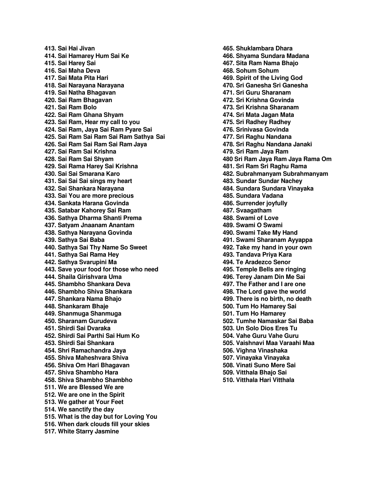**413. Sai Hai Jivan 465. Shuklambara Dhara 414. Sai Hamarey Hum Sai Ke 466. Shyama Sundara Madana 415. Sai Harey Sai 467. Sita Ram Nama Bhajo 416. Sai Maha Deva 468. Sohum Sohum 417. Sai Mata Pita Hari 469. Spirit of the Living God 418. Sai Narayana Narayana 470. Sri Ganesha Sri Ganesha 419. Sai Natha Bhagavan 471. Sri Guru Sharanam 420. Sai Ram Bhagavan 472. Sri Krishna Govinda 421. Sai Ram Bolo 473. Sri Krishna Sharanam 422. Sai Ram Ghana Shyam 474. Sri Mata Jagan Mata 423. Sai Ram, Hear my call to you 475. Sri Radhey Radhey 424. Sai Ram, Jaya Sai Ram Pyare Sai 476. Srinivasa Govinda 425. Sai Ram Sai Ram Sai Ram Sathya Sai 426. Sai Ram Sai Ram Sai Ram Jaya 478. Sri Raghu Nandana Janaki 427. Sai Ram Sai Krishna 479. Sri Ram Jaya Ram 428. Sai Ram Sai Shyam 480 Sri Ram Jaya Ram Jaya Rama Om 429. Sai Rama Harey Sai Krishna 481. Sri Ram Sri Raghu Rama 430. Sai Sai Smarana Karo 482. Subrahmanyam Subrahmanyam 431. Sai Sai Sai sings my heart 432. Sai Shankara Narayana 484. Sundara Sundara Vinayaka 433. Sai You are more precious 485. Sundara Vadana 434. Sankata Harana Govinda 486. Surrender joyfully 435. Satabar Kahorey Sai Ram 487. Svaagatham 436. Sathya Dharma Shanti Prema 488. Swami of Love 437. Satyam Jnaanam Anantam 438. Sathya Narayana Govinda 490. Swami Take My Hand 439. Sathya Sai Baba 491. Swami Sharanam Ayyappa 440. Sathya Sai Thy Name So Sweet 492. Take my hand in your own 441. Sathya Sai Rama Hey 493. Tandava Priya Kara 442. Sathya Svarupini Ma 494. Te Aradezco Senor 443. Save your food for those who need 444. Shaila Girishvara Uma 445. Shambho Shankara Deva 497. The Father and I are one 446. Shambho Shiva Shankara 498. The Lord gave the world 447. Shankara Nama Bhajo 499. There is no birth, no death 448. Shankaram Bhaje 500. Tum Ho Hamarey Sai 449. Shanmuga Shanmuga<br>450. Sharanam Gurudeva 451. Shirdi Sai Dvaraka 503. Un Solo Dios Eres Tu 452. Shirdi Sai Parthi Sai Hum Ko 504. Vahe Guru Vahe Guru 453. Shirdi Sai Shankara 505. Vaishnavi Maa Varaahi Maa 454. Shri Ramachandra Jaya 506. Vighna Vinashaka 455. Shiva Maheshvara Shiva 456. Shiva Om Hari Bhagavan 508. Vinati Suno Mere Sai 457. Shiva Shambho Hara 509. Vitthala Bhajo Sai 458. Shiva Shambho Shambho 510. Vitthala Hari Vitthala 511. We are Blessed We are 512. We are one in the Spirit 513. We gather at Your Feet 514. We sanctify the day 515. What is the day but for Loving You 516. When dark clouds fill your skies 517. White Starry Jasmine** 

**496. Terey Janam Din Me Sai 450. Sharanam Gurudeva 502. Tumhe Namaskar Sai Baba**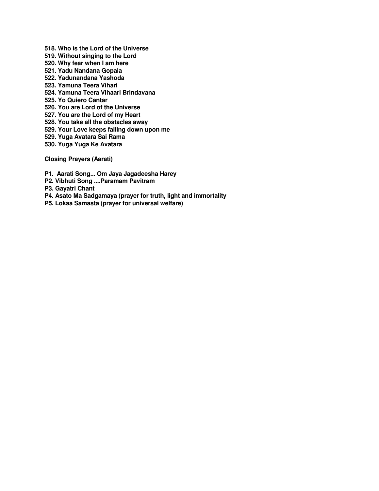- **518. Who is the Lord of the Universe**
- **519. Without singing to the Lord**
- **520. Why fear when I am here**
- **521. Yadu Nandana Gopala**
- **522. Yadunandana Yashoda**
- **523. Yamuna Teera Vihari**
- **524. Yamuna Teera Vihaari Brindavana**
- **525. Yo Quiero Cantar**
- **526. You are Lord of the Universe**
- **527. You are the Lord of my Heart**
- **528. You take all the obstacles away**
- **529. Your Love keeps falling down upon me**
- **529. Yuga Avatara Sai Rama**
- **530. Yuga Yuga Ke Avatara**

**Closing Prayers (Aarati)** 

- **P1. Aarati Song... Om Jaya Jagadeesha Harey**
- **P2. Vibhuti Song ....Paramam Pavitram**
- **P3. Gayatri Chant**
- **P4. Asato Ma Sadgamaya (prayer for truth, light and immortality**
- **P5. Lokaa Samasta (prayer for universal welfare)**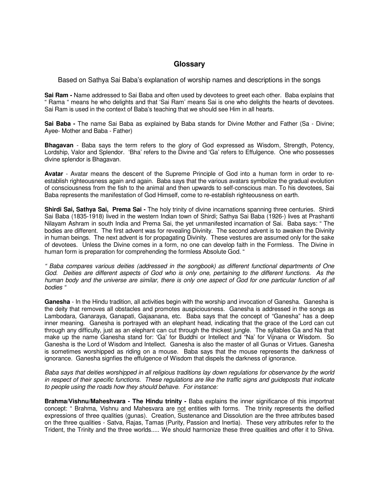### **Glossary**

Based on Sathya Sai Baba's explanation of worship names and descriptions in the songs

**Sai Ram -** Name addressed to Sai Baba and often used by devotees to greet each other. Baba explains that " Rama " means he who delights and that 'Sai Ram' means Sai is one who delights the hearts of devotees. Sai Ram is used in the context of Baba's teaching that we should see Him in all hearts.

**Sai Baba -** The name Sai Baba as explained by Baba stands for Divine Mother and Father (Sa - Divine; Ayee- Mother and Baba - Father)

**Bhagavan** - Baba says the term refers to the glory of God expressed as Wisdom, Strength, Potency, Lordship, Valor and Splendor. 'Bha' refers to the Divine and 'Ga' refers to Effulgence. One who possesses divine splendor is Bhagavan.

**Avatar** - Avatar means the descent of the Supreme Principle of God into a human form in order to reestablish righteousness again and again. Baba says that the various avatars symbolize the gradual evolution of consciousness from the fish to the animal and then upwards to self-conscious man. To his devotees, Sai Baba represents the manifestation of God Himself, come to re-establish righteousness on earth.

**Shirdi Sai, Sathya Sai, Prema Sai -** The holy trinity of divine incarnations spanning three centuries. Shirdi Sai Baba (1835-1918) lived in the western Indian town of Shirdi; Sathya Sai Baba (1926-) lives at Prashanti Nilayam Ashram in south India and Prema Sai, the yet unmanifested incarnation of Sai. Baba says: " The bodies are different. The first advent was for revealing Divinity. The second advent is to awaken the Divinity in human beings. The next advent is for propagating Divinity. These vestures are assumed only for the sake of devotees. Unless the Divine comes in a form, no one can develop faith in the Formless. The Divine in human form is preparation for comprehending the formless Absolute God. "

" Baba compares various deities (addressed in the songbook) as different functional departments of One God. Deities are different aspects of God who is only one, pertaining to the different functions. As the human body and the universe are similar, there is only one aspect of God for one particular function of all bodies "

**Ganesha** - In the Hindu tradition, all activities begin with the worship and invocation of Ganesha. Ganesha is the deity that removes all obstacles and promotes auspiciousness. Ganesha is addressed in the songs as Lambodara, Ganaraya, Ganapati, Gajaanana, etc. Baba says that the concept of "Ganesha" has a deep inner meaning. Ganesha is portrayed with an elephant head, indicating that the grace of the Lord can cut through any difficulty, just as an elephant can cut through the thickest jungle. The syllables Ga and Na that make up the name Ganesha stand for: 'Ga' for Buddhi or Intellect and "Na' for Vijnana or Wisdom. So Ganesha is the Lord of Wisdom and Intellect. Ganesha is also the master of all Gunas or Virtues. Ganesha is sometimes worshipped as riding on a mouse. Baba says that the mouse represents the darkness of ignorance. Ganesha signfies the effulgence of Wisdom that dispels the darkness of ignorance.

Baba says that deities worshipped in all religious traditions lay down regulations for observance by the world in respect of their specific functions. These regulations are like the traffic signs and guideposts that indicate to people using the roads how they should behave. For instance:

**Brahma/Vishnu/Maheshvara - The Hindu trinity -** Baba explains the inner significance of this importnat concept: " Brahma, Vishnu and Mahesvara are not entities with forms. The trinity represents the deified expressions of three qualities (gunas). Creation, Sustenance and Dissolution are the three attributes based on the three qualities - Satva, Rajas, Tamas (Purity, Passion and Inertia). These very attributes refer to the Trident, the Trinity and the three worlds..... We should harmonize these three qualities and offer it to Shiva.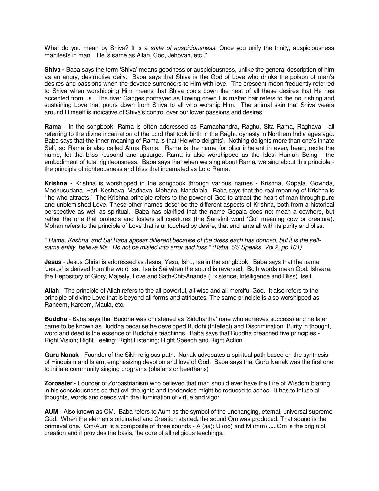What do you mean by Shiva? It is a state of auspiciousness. Once you unify the trinity, auspiciousness manifests in man. He is same as Allah, God, Jehovah, etc.."

**Shiva -** Baba says the term 'Shiva' means goodness or auspiciousness, unlike the general description of him as an angry, destructive deity. Baba says that Shiva is the God of Love who drinks the poison of man's desires and passions when the devotee surrenders to Him with love. The crescent moon frequently referred to Shiva when worshipping Him means that Shiva cools down the heat of all these desires that He has accepted from us. The river Ganges portrayed as flowing down His matter hair refers to the nourishing and sustaining Love that pours down from Shiva to all who worship Him. The animal skin that Shiva wears around Himself is indicative of Shiva's control over our lower passions and desires

**Rama** - In the songbook, Rama is often addressed as Ramachandra, Raghu, Sita Rama, Raghava - all referring to the divine incarnation of the Lord that took birth in the Raghu dynasty in Northern India ages ago. Baba says that the inner meaning of Rama is that 'He who delights'. Nothing delights more than one's innate Self, so Rama is also called Atma Rama. Rama is the name for bliss inherent in every heart; recite the name, let the bliss respond and upsurge. Rama is also worshipped as the Ideal Human Being - the embodiment of total righteousness. Baba says that when we sing about Rama, we sing about this principle the principle of righteousness and bliss that incarnated as Lord Rama.

**Krishna** - Krishna is worshipped in the songbook through various names - Krishna, Gopala, Govinda, Madhusudana, Hari, Keshava, Madhava, Mohana, Nandalala. Baba says that the real meaning of Krishna is ' he who attracts.' The Krishna principle refers to the power of God to attract the heart of man through pure and unblemished Love. These other names describe the different aspects of Krishna, both from a historical perspective as well as spiritual. Baba has clarified that the name Gopala does not mean a cowherd, but rather the one that protects and fosters all creatures (the Sanskrit word 'Go" meaning cow or creature). Mohan refers to the principle of Love that is untouched by desire, that enchants all with its purity and bliss.

" Rama, Krishna, and Sai Baba appear different because of the dress each has donned, but it is the selfsame entity, believe Me. Do not be misled into error and loss " (Baba, SS Speaks, Vol 2, pp 101)

**Jesus** - Jesus Christ is addressed as Jesus, Yesu, Ishu, Isa in the songbook. Baba says that the name 'Jesus' is derived from the word Isa. Isa is Sai when the sound is reversed. Both words mean God, Ishvara, the Repository of Glory, Majesty, Love and Sath-Chit-Ananda (Existence, Intelligence and Bliss) itself.

**Allah** - The principle of Allah refers to the all-powerful, all wise and all merciful God. It also refers to the principle of divine Love that is beyond all forms and attributes. The same principle is also worshipped as Raheem, Kareem, Maula, etc.

**Buddha** - Baba says that Buddha was christened as 'Siddhartha' (one who achieves success) and he later came to be known as Buddha because he developed Buddhi (Intellect) and Discrimination. Purity in thought, word and deed is the essence of Buddha's teachings. Baba says that Buddha preached five principles - Right Vision; Right Feeling; Right Listening; Right Speech and Right Action

**Guru Nanak** - Founder of the Sikh religious path. Nanak advocates a spiritual path based on the synthesis of Hinduism and Islam, emphasizing devotion and love of God. Baba says that Guru Nanak was the first one to initiate community singing programs (bhajans or keerthans)

**Zoroaster** - Founder of Zoroastrianism who believed that man should ever have the Fire of Wisdom blazing in his consciousness so that evil thoughts and tendencies might be reduced to ashes. It has to infuse all thoughts, words and deeds with the illumination of virtue and vigor.

**AUM** - Also known as OM. Baba refers to Aum as the symbol of the unchanging, eternal, universal supreme God. When the elements originated and Creation started, the sound Om was produced. That sound is the primeval one. Om/Aum is a composite of three sounds - A (aa); U (oo) and M (mm) .....Om is the origin of creation and it provides the basis, the core of all religious teachings.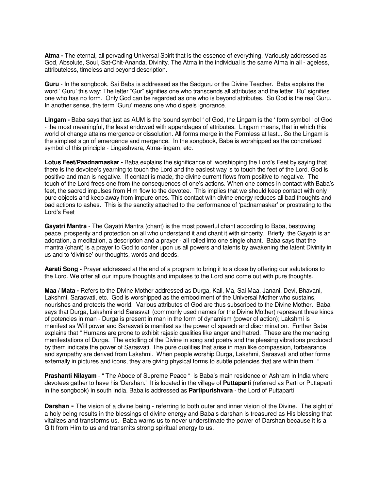**Atma -** The eternal, all pervading Universal Spirit that is the essence of everything. Variously addressed as God, Absolute, Soul, Sat-Chit-Ananda, Divinity. The Atma in the individual is the same Atma in all - ageless, attributeless, timeless and beyond description.

**Guru** - In the songbook, Sai Baba is addressed as the Sadguru or the Divine Teacher. Baba explains the word ' Guru' this way: The letter "Gur" signifies one who transcends all attributes and the letter "Ru" signifies one who has no form. Only God can be regarded as one who is beyond attributes. So God is the real Guru. In another sense, the term 'Guru' means one who dispels ignorance.

**Lingam -** Baba says that just as AUM is the 'sound symbol ' of God, the Lingam is the ' form symbol ' of God - the most meaningful, the least endowed with appendages of attributes. Lingam means, that in which this world of change attains mergence or dissolution. All forms merge in the Formless at last... So the Lingam is the simplest sign of emergence and mergence. In the songbook, Baba is worshipped as the concretized symbol of this principle - Lingeshvara, Atma-lingam, etc.

**Lotus Feet/Paadnamaskar -** Baba explains the significance of worshipping the Lord's Feet by saying that there is the devotee's yearning to touch the Lord and the easiest way is to touch the feet of the Lord. God is positive and man is negative. If contact is made, the divine current flows from positive to negative. The touch of the Lord frees one from the consequences of one's actions. When one comes in contact with Baba's feet, the sacred impulses from Him flow to the devotee. This implies that we should keep contact with only pure objects and keep away from impure ones. This contact with divine energy reduces all bad thoughts and bad actions to ashes. This is the sanctity attached to the performance of 'padnamaskar' or prostrating to the Lord's Feet

**Gayatri Mantra** - The Gayatri Mantra (chant) is the most powerful chant according to Baba, bestowing peace, prosperity and protection on all who understand it and chant it with sincerity. Briefly, the Gayatri is an adoration, a meditation, a description and a prayer - all rolled into one single chant. Baba says that the mantra (chant) is a prayer to God to confer upon us all powers and talents by awakening the latent Divinity in us and to 'divinise' our thoughts, words and deeds.

**Aarati Song -** Prayer addressed at the end of a program to bring it to a close by offering our salutations to the Lord. We offer all our impure thoughts and impulses to the Lord and come out with pure thoughts.

**Maa / Mata -** Refers to the Divine Mother addressed as Durga, Kali, Ma, Sai Maa, Janani, Devi, Bhavani, Lakshmi, Sarasvati, etc. God is worshipped as the embodiment of the Universal Mother who sustains, nourishes and protects the world. Various attributes of God are thus subscribed to the Divine Mother. Baba says that Durga, Lakshmi and Sarasvati (commonly used names for the Divine Mother) represent three kinds of potencies in man - Durga is present in man in the form of dynamism (power of action); Lakshmi is manifest as Will power and Sarasvati is manifest as the power of speech and discrimination. Further Baba explains that " Humans are prone to exhibit rajasic qualities like anger and hatred. These are the menacing manifestations of Durga. The extolling of the Divine in song and poetry and the pleasing vibrations produced by them indicate the power of Sarasvati. The pure qualities that arise in man like compassion, forbearance and sympathy are derived from Lakshmi. When people worship Durga, Lakshmi, Sarasvati and other forms externally in pictures and icons, they are giving physical forms to subtle potencies that are within them. "

**Prashanti Nilayam** - " The Abode of Supreme Peace " is Baba's main residence or Ashram in India where devotees gather to have his 'Darshan.' It is located in the village of **Puttaparti** (referred as Parti or Puttaparti in the songbook) in south India. Baba is addressed as **Partipurishvara** - the Lord of Puttaparti

**Darshan -** The vision of a divine being - referring to both outer and inner vision of the Divine. The sight of a holy being results in the blessings of divine energy and Baba's darshan is treasured as His blessing that vitalizes and transforms us. Baba warns us to never understimate the power of Darshan because it is a Gift from Him to us and transmits strong spiritual energy to us.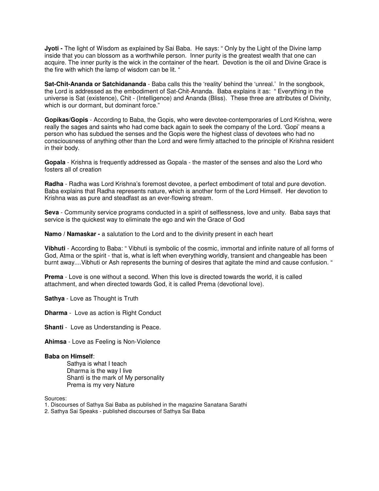**Jyoti -** The light of Wisdom as explained by Sai Baba. He says: " Only by the Light of the Divine lamp inside that you can blossom as a worthwhile person. Inner purity is the greatest wealth that one can acquire. The inner purity is the wick in the container of the heart. Devotion is the oil and Divine Grace is the fire with which the lamp of wisdom can be lit. "

**Sat-Chit-Ananda or Satchidananda** - Baba calls this the 'reality' behind the 'unreal.' In the songbook, the Lord is addressed as the embodiment of Sat-Chit-Ananda. Baba explains it as: " Everything in the universe is Sat (existence), Chit - (Intelligence) and Ananda (Bliss). These three are attributes of Divinity, which is our dormant, but dominant force."

**Gopikas/Gopis** - According to Baba, the Gopis, who were devotee-contemporaries of Lord Krishna, were really the sages and saints who had come back again to seek the company of the Lord. 'Gopi' means a person who has subdued the senses and the Gopis were the highest class of devotees who had no consciousness of anything other than the Lord and were firmly attached to the principle of Krishna resident in their body.

**Gopala** - Krishna is frequently addressed as Gopala - the master of the senses and also the Lord who fosters all of creation

**Radha** - Radha was Lord Krishna's foremost devotee, a perfect embodiment of total and pure devotion. Baba explains that Radha represents nature, which is another form of the Lord Himself. Her devotion to Krishna was as pure and steadfast as an ever-flowing stream.

**Seva** - Community service programs conducted in a spirit of selflessness, love and unity. Baba says that service is the quickest way to eliminate the ego and win the Grace of God

**Namo / Namaskar -** a salutation to the Lord and to the divinity present in each heart

**Vibhuti** - According to Baba: " Vibhuti is symbolic of the cosmic, immortal and infinite nature of all forms of God, Atma or the spirit - that is, what is left when everything worldly, transient and changeable has been burnt away....Vibhuti or Ash represents the burning of desires that agitate the mind and cause confusion. "

**Prema** - Love is one without a second. When this love is directed towards the world, it is called attachment, and when directed towards God, it is called Prema (devotional love).

**Sathya** - Love as Thought is Truth

**Dharma** - Love as action is Right Conduct

**Shanti** - Love as Understanding is Peace.

**Ahimsa** - Love as Feeling is Non-Violence

#### **Baba on Himself**:

 Sathya is what I teach Dharma is the way I live Shanti is the mark of My personality Prema is my very Nature

Sources:

1. Discourses of Sathya Sai Baba as published in the magazine Sanatana Sarathi

2. Sathya Sai Speaks - published discourses of Sathya Sai Baba